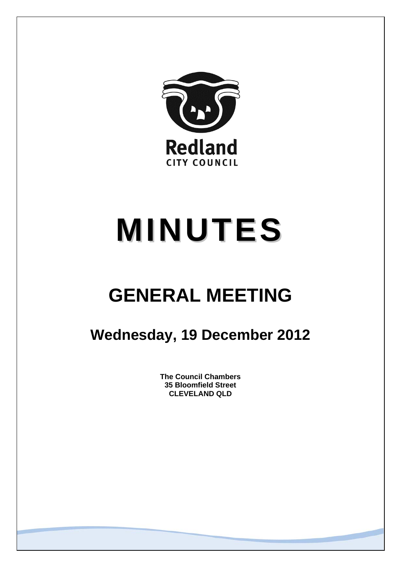

# **MINUTES**

## **GENERAL MEETING**

### **Wednesday, 19 December 2012**

**The Council Chambers 35 Bloomfield Street CLEVELAND QLD**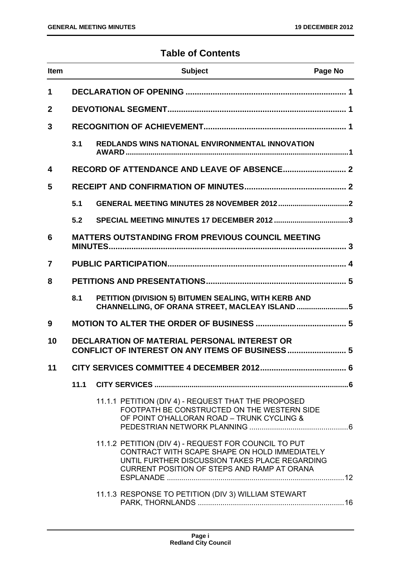#### **Table of Contents**

| <b>Item</b> |                                                                                                        | <b>Subject</b>                                                                                                                                                                                         | Page No |
|-------------|--------------------------------------------------------------------------------------------------------|--------------------------------------------------------------------------------------------------------------------------------------------------------------------------------------------------------|---------|
| 1           |                                                                                                        |                                                                                                                                                                                                        |         |
| $\mathbf 2$ |                                                                                                        |                                                                                                                                                                                                        |         |
| 3           |                                                                                                        |                                                                                                                                                                                                        |         |
|             | 3.1                                                                                                    | <b>REDLANDS WINS NATIONAL ENVIRONMENTAL INNOVATION</b>                                                                                                                                                 |         |
| 4           |                                                                                                        |                                                                                                                                                                                                        |         |
| 5           |                                                                                                        |                                                                                                                                                                                                        |         |
|             | 5.1                                                                                                    |                                                                                                                                                                                                        |         |
|             | 5.2                                                                                                    |                                                                                                                                                                                                        |         |
| 6           |                                                                                                        | <b>MATTERS OUTSTANDING FROM PREVIOUS COUNCIL MEETING</b>                                                                                                                                               |         |
| 7           |                                                                                                        |                                                                                                                                                                                                        |         |
| 8           |                                                                                                        |                                                                                                                                                                                                        |         |
|             | 8.1                                                                                                    | PETITION (DIVISION 5) BITUMEN SEALING, WITH KERB AND<br>CHANNELLING, OF ORANA STREET, MACLEAY ISLAND 5                                                                                                 |         |
| 9           |                                                                                                        |                                                                                                                                                                                                        |         |
| 10          | <b>DECLARATION OF MATERIAL PERSONAL INTEREST OR</b><br>CONFLICT OF INTEREST ON ANY ITEMS OF BUSINESS 5 |                                                                                                                                                                                                        |         |
| 11          |                                                                                                        |                                                                                                                                                                                                        |         |
|             | 11.1                                                                                                   |                                                                                                                                                                                                        |         |
|             |                                                                                                        | 11.1.1 PETITION (DIV 4) - REQUEST THAT THE PROPOSED<br>FOOTPATH BE CONSTRUCTED ON THE WESTERN SIDE<br>OF POINT O'HALLORAN ROAD - TRUNK CYCLING &                                                       |         |
|             |                                                                                                        | 11.1.2 PETITION (DIV 4) - REQUEST FOR COUNCIL TO PUT<br>CONTRACT WITH SCAPE SHAPE ON HOLD IMMEDIATELY<br>UNTIL FURTHER DISCUSSION TAKES PLACE REGARDING<br>CURRENT POSITION OF STEPS AND RAMP AT ORANA |         |
|             |                                                                                                        | 11.1.3 RESPONSE TO PETITION (DIV 3) WILLIAM STEWART                                                                                                                                                    |         |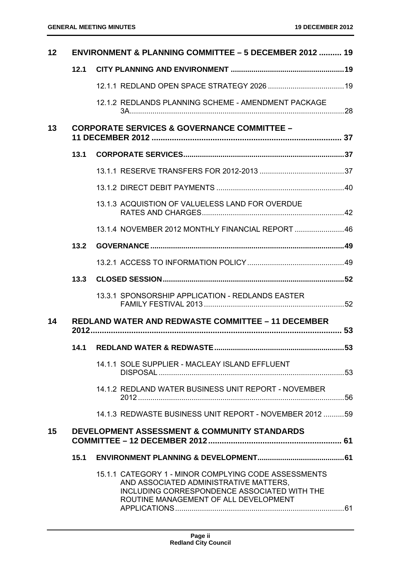| 12 | <b>ENVIRONMENT &amp; PLANNING COMMITTEE - 5 DECEMBER 2012  19</b> |                                                                                                                                                                                         |  |
|----|-------------------------------------------------------------------|-----------------------------------------------------------------------------------------------------------------------------------------------------------------------------------------|--|
|    | 12.1                                                              |                                                                                                                                                                                         |  |
|    |                                                                   |                                                                                                                                                                                         |  |
|    |                                                                   | 12.1.2 REDLANDS PLANNING SCHEME - AMENDMENT PACKAGE                                                                                                                                     |  |
| 13 |                                                                   | <b>CORPORATE SERVICES &amp; GOVERNANCE COMMITTEE -</b>                                                                                                                                  |  |
|    | 13.1                                                              |                                                                                                                                                                                         |  |
|    |                                                                   |                                                                                                                                                                                         |  |
|    |                                                                   |                                                                                                                                                                                         |  |
|    |                                                                   | 13.1.3 ACQUISTION OF VALUELESS LAND FOR OVERDUE                                                                                                                                         |  |
|    |                                                                   | 13.1.4 NOVEMBER 2012 MONTHLY FINANCIAL REPORT  46                                                                                                                                       |  |
|    | 13.2                                                              |                                                                                                                                                                                         |  |
|    |                                                                   |                                                                                                                                                                                         |  |
|    | 13.3                                                              |                                                                                                                                                                                         |  |
|    |                                                                   | 13.3.1 SPONSORSHIP APPLICATION - REDLANDS EASTER                                                                                                                                        |  |
| 14 |                                                                   | <b>REDLAND WATER AND REDWASTE COMMITTEE - 11 DECEMBER</b>                                                                                                                               |  |
|    | 14.1                                                              |                                                                                                                                                                                         |  |
|    |                                                                   | 14.1.1 SOLE SUPPLIER - MACLEAY ISLAND EFFLUENT                                                                                                                                          |  |
|    |                                                                   | 14.1.2 REDLAND WATER BUSINESS UNIT REPORT - NOVEMBER                                                                                                                                    |  |
|    |                                                                   | 14.1.3 REDWASTE BUSINESS UNIT REPORT - NOVEMBER 2012 59                                                                                                                                 |  |
| 15 |                                                                   | <b>DEVELOPMENT ASSESSMENT &amp; COMMUNITY STANDARDS</b>                                                                                                                                 |  |
|    | 15.1                                                              |                                                                                                                                                                                         |  |
|    |                                                                   | 15.1.1 CATEGORY 1 - MINOR COMPLYING CODE ASSESSMENTS<br>AND ASSOCIATED ADMINISTRATIVE MATTERS,<br>INCLUDING CORRESPONDENCE ASSOCIATED WITH THE<br>ROUTINE MANAGEMENT OF ALL DEVELOPMENT |  |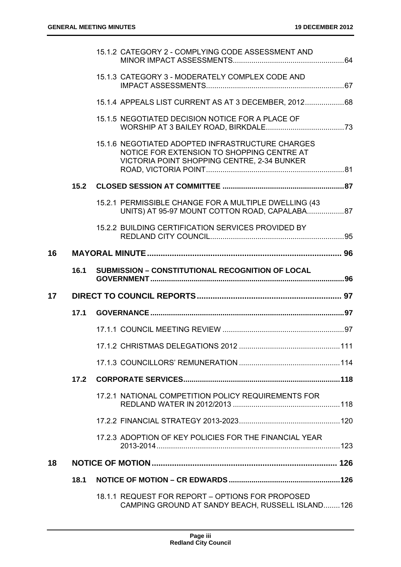|    |      | 15.1.2 CATEGORY 2 - COMPLYING CODE ASSESSMENT AND                                                                                             |  |
|----|------|-----------------------------------------------------------------------------------------------------------------------------------------------|--|
|    |      | 15.1.3 CATEGORY 3 - MODERATELY COMPLEX CODE AND                                                                                               |  |
|    |      | 15.1.4 APPEALS LIST CURRENT AS AT 3 DECEMBER, 201268                                                                                          |  |
|    |      | 15.1.5 NEGOTIATED DECISION NOTICE FOR A PLACE OF                                                                                              |  |
|    |      | 15.1.6 NEGOTIATED ADOPTED INFRASTRUCTURE CHARGES<br>NOTICE FOR EXTENSION TO SHOPPING CENTRE AT<br>VICTORIA POINT SHOPPING CENTRE, 2-34 BUNKER |  |
|    | 15.2 |                                                                                                                                               |  |
|    |      | 15.2.1 PERMISSIBLE CHANGE FOR A MULTIPLE DWELLING (43<br>UNITS) AT 95-97 MOUNT COTTON ROAD, CAPALABA87                                        |  |
|    |      | 15.2.2 BUILDING CERTIFICATION SERVICES PROVIDED BY                                                                                            |  |
| 16 |      |                                                                                                                                               |  |
|    | 16.1 | <b>SUBMISSION - CONSTITUTIONAL RECOGNITION OF LOCAL</b>                                                                                       |  |
|    |      |                                                                                                                                               |  |
| 17 |      |                                                                                                                                               |  |
|    | 17.1 |                                                                                                                                               |  |
|    |      |                                                                                                                                               |  |
|    |      |                                                                                                                                               |  |
|    |      |                                                                                                                                               |  |
|    | 17.2 |                                                                                                                                               |  |
|    |      | 17.2.1 NATIONAL COMPETITION POLICY REQUIREMENTS FOR                                                                                           |  |
|    |      |                                                                                                                                               |  |
|    |      | 17.2.3 ADOPTION OF KEY POLICIES FOR THE FINANCIAL YEAR                                                                                        |  |
| 18 |      |                                                                                                                                               |  |
|    | 18.1 |                                                                                                                                               |  |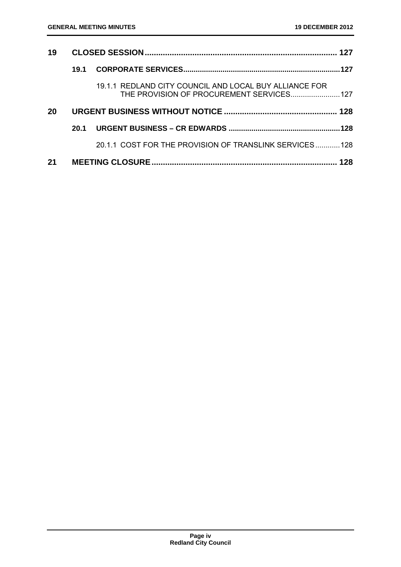| 19 |      |                                                                                                     |  |
|----|------|-----------------------------------------------------------------------------------------------------|--|
|    | 19.1 |                                                                                                     |  |
|    |      | 19.1.1 REDLAND CITY COUNCIL AND LOCAL BUY ALLIANCE FOR<br>THE PROVISION OF PROCUREMENT SERVICES 127 |  |
| 20 |      |                                                                                                     |  |
|    | 20.1 |                                                                                                     |  |
|    |      | 20.1.1 COST FOR THE PROVISION OF TRANSLINK SERVICES128                                              |  |
| 21 |      |                                                                                                     |  |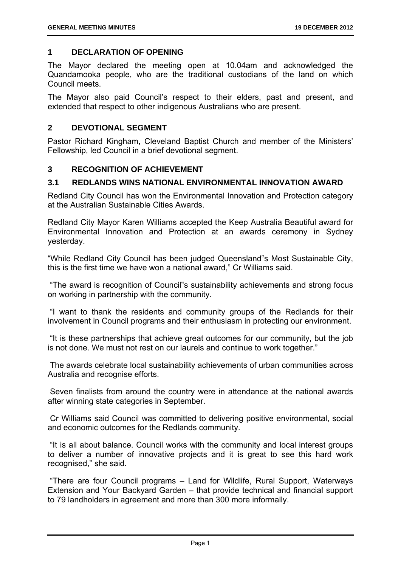#### **1 DECLARATION OF OPENING**

The Mayor declared the meeting open at 10.04am and acknowledged the Quandamooka people, who are the traditional custodians of the land on which Council meets.

The Mayor also paid Council's respect to their elders, past and present, and extended that respect to other indigenous Australians who are present.

#### **2 DEVOTIONAL SEGMENT**

Pastor Richard Kingham, Cleveland Baptist Church and member of the Ministers' Fellowship, led Council in a brief devotional segment.

#### **3 RECOGNITION OF ACHIEVEMENT**

#### **3.1 REDLANDS WINS NATIONAL ENVIRONMENTAL INNOVATION AWARD**

Redland City Council has won the Environmental Innovation and Protection category at the Australian Sustainable Cities Awards.

Redland City Mayor Karen Williams accepted the Keep Australia Beautiful award for Environmental Innovation and Protection at an awards ceremony in Sydney yesterday.

"While Redland City Council has been judged Queensland"s Most Sustainable City, this is the first time we have won a national award," Cr Williams said.

 "The award is recognition of Council"s sustainability achievements and strong focus on working in partnership with the community.

 "I want to thank the residents and community groups of the Redlands for their involvement in Council programs and their enthusiasm in protecting our environment.

 "It is these partnerships that achieve great outcomes for our community, but the job is not done. We must not rest on our laurels and continue to work together."

 The awards celebrate local sustainability achievements of urban communities across Australia and recognise efforts.

 Seven finalists from around the country were in attendance at the national awards after winning state categories in September.

 Cr Williams said Council was committed to delivering positive environmental, social and economic outcomes for the Redlands community.

 "It is all about balance. Council works with the community and local interest groups to deliver a number of innovative projects and it is great to see this hard work recognised," she said.

 "There are four Council programs – Land for Wildlife, Rural Support, Waterways Extension and Your Backyard Garden – that provide technical and financial support to 79 landholders in agreement and more than 300 more informally.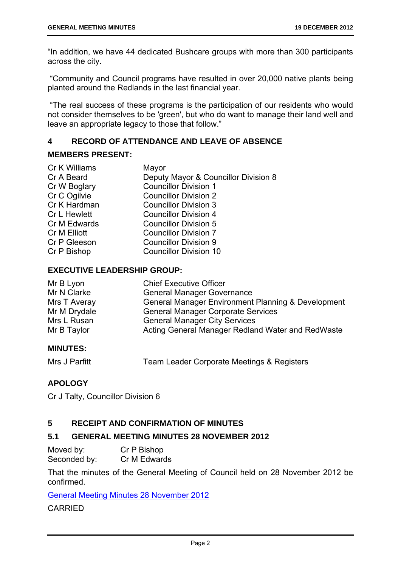"In addition, we have 44 dedicated Bushcare groups with more than 300 participants across the city.

 "Community and Council programs have resulted in over 20,000 native plants being planted around the Redlands in the last financial year.

 "The real success of these programs is the participation of our residents who would not consider themselves to be 'green', but who do want to manage their land well and leave an appropriate legacy to those that follow."

#### **4 RECORD OF ATTENDANCE AND LEAVE OF ABSENCE**

#### **MEMBERS PRESENT:**

| Cr K Williams       | Mayor                                |
|---------------------|--------------------------------------|
| Cr A Beard          | Deputy Mayor & Councillor Division 8 |
| Cr W Boglary        | <b>Councillor Division 1</b>         |
| Cr C Ogilvie        | <b>Councillor Division 2</b>         |
| Cr K Hardman        | <b>Councillor Division 3</b>         |
| <b>Cr L Hewlett</b> | <b>Councillor Division 4</b>         |
| Cr M Edwards        | <b>Councillor Division 5</b>         |
| Cr M Elliott        | <b>Councillor Division 7</b>         |
| Cr P Gleeson        | <b>Councillor Division 9</b>         |
| Cr P Bishop         | <b>Councillor Division 10</b>        |

#### **EXECUTIVE LEADERSHIP GROUP:**

| Mr B Lyon    | <b>Chief Executive Officer</b>                     |
|--------------|----------------------------------------------------|
| Mr N Clarke  | <b>General Manager Governance</b>                  |
| Mrs T Averay | General Manager Environment Planning & Development |
| Mr M Drydale | <b>General Manager Corporate Services</b>          |
| Mrs L Rusan  | <b>General Manager City Services</b>               |
| Mr B Taylor  | Acting General Manager Redland Water and RedWaste  |

#### **MINUTES:**

| Mrs J Parfitt | Team Leader Corporate Meetings & Registers |
|---------------|--------------------------------------------|
|---------------|--------------------------------------------|

#### **APOLOGY**

Cr J Talty, Councillor Division 6

#### **5 RECEIPT AND CONFIRMATION OF MINUTES**

#### **5.1 GENERAL MEETING MINUTES 28 NOVEMBER 2012**

Moved by: Cr P Bishop Seconded by: Cr M Edwards

That the minutes of the General Meeting of Council held on 28 November 2012 be confirmed.

General Meeting Minutes 28 November 2012

CARRIED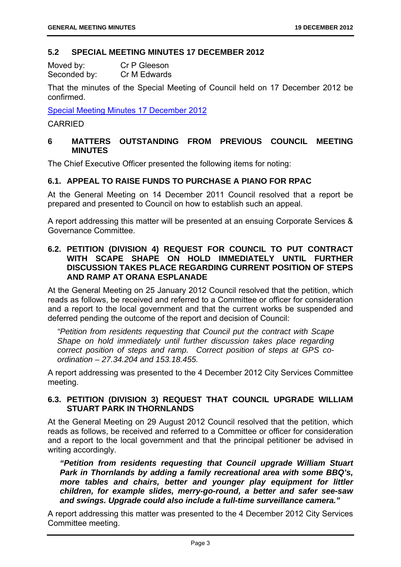#### **5.2 SPECIAL MEETING MINUTES 17 DECEMBER 2012**

| Moved by:    | Cr P Gleeson |
|--------------|--------------|
| Seconded by: | Cr M Edwards |

That the minutes of the Special Meeting of Council held on 17 December 2012 be confirmed.

Special Meeting Minutes 17 December 2012

#### CARRIED

#### **6 MATTERS OUTSTANDING FROM PREVIOUS COUNCIL MEETING MINUTES**

The Chief Executive Officer presented the following items for noting:

#### **6.1. APPEAL TO RAISE FUNDS TO PURCHASE A PIANO FOR RPAC**

At the General Meeting on 14 December 2011 Council resolved that a report be prepared and presented to Council on how to establish such an appeal.

A report addressing this matter will be presented at an ensuing Corporate Services & Governance Committee.

#### **6.2. PETITION (DIVISION 4) REQUEST FOR COUNCIL TO PUT CONTRACT WITH SCAPE SHAPE ON HOLD IMMEDIATELY UNTIL FURTHER DISCUSSION TAKES PLACE REGARDING CURRENT POSITION OF STEPS AND RAMP AT ORANA ESPLANADE**

At the General Meeting on 25 January 2012 Council resolved that the petition, which reads as follows, be received and referred to a Committee or officer for consideration and a report to the local government and that the current works be suspended and deferred pending the outcome of the report and decision of Council:

*"Petition from residents requesting that Council put the contract with Scape Shape on hold immediately until further discussion takes place regarding correct position of steps and ramp. Correct position of steps at GPS coordination – 27.34.204 and 153.18.455.* 

A report addressing was presented to the 4 December 2012 City Services Committee meeting.

#### **6.3. PETITION (DIVISION 3) REQUEST THAT COUNCIL UPGRADE WILLIAM STUART PARK IN THORNLANDS**

At the General Meeting on 29 August 2012 Council resolved that the petition, which reads as follows, be received and referred to a Committee or officer for consideration and a report to the local government and that the principal petitioner be advised in writing accordingly.

*"Petition from residents requesting that Council upgrade William Stuart Park in Thornlands by adding a family recreational area with some BBQ's, more tables and chairs, better and younger play equipment for littler children, for example slides, merry-go-round, a better and safer see-saw and swings. Upgrade could also include a full-time surveillance camera."* 

A report addressing this matter was presented to the 4 December 2012 City Services Committee meeting.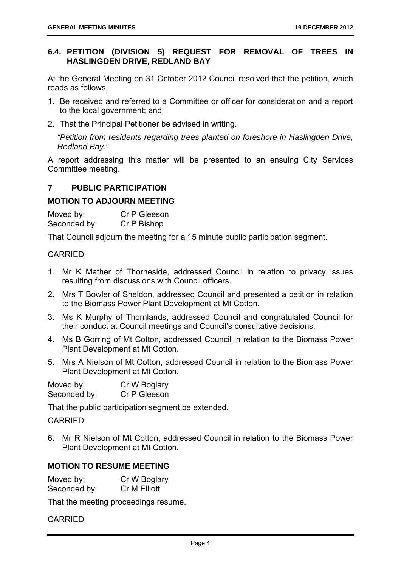#### **6.4. PETITION (DIVISION 5) REQUEST FOR REMOVAL OF TREES IN HASLINGDEN DRIVE, REDLAND BAY**

At the General Meeting on 31 October 2012 Council resolved that the petition, which reads as follows,

- 1. Be received and referred to a Committee or officer for consideration and a report to the local government; and
- 2. That the Principal Petitioner be advised in writing.

*"Petition from residents regarding trees planted on foreshore in Haslingden Drive, Redland Bay."* 

A report addressing this matter will be presented to an ensuing City Services Committee meeting.

#### **7 PUBLIC PARTICIPATION**

#### **MOTION TO ADJOURN MEETING**

Moved by: Cr P Gleeson Seconded by: Cr P Bishop

That Council adjourn the meeting for a 15 minute public participation segment.

#### CARRIED

- 1. Mr K Mather of Thorneside, addressed Council in relation to privacy issues resulting from discussions with Council officers.
- 2. Mrs T Bowler of Sheldon, addressed Council and presented a petition in relation to the Biomass Power Plant Development at Mt Cotton.
- 3. Ms K Murphy of Thornlands, addressed Council and congratulated Council for their conduct at Council meetings and Council's consultative decisions.
- 4. Ms B Gorring of Mt Cotton, addressed Council in relation to the Biomass Power Plant Development at Mt Cotton.
- 5. Mrs A Nielson of Mt Cotton, addressed Council in relation to the Biomass Power Plant Development at Mt Cotton.

| Moved by:    | Cr W Boglary |
|--------------|--------------|
| Seconded by: | Cr P Gleeson |

That the public participation segment be extended.

#### CARRIED

6. Mr R Nielson of Mt Cotton, addressed Council in relation to the Biomass Power Plant Development at Mt Cotton.

#### **MOTION TO RESUME MEETING**

| Moved by:    | Cr W Boglary |
|--------------|--------------|
| Seconded by: | Cr M Elliott |

That the meeting proceedings resume.

CARRIED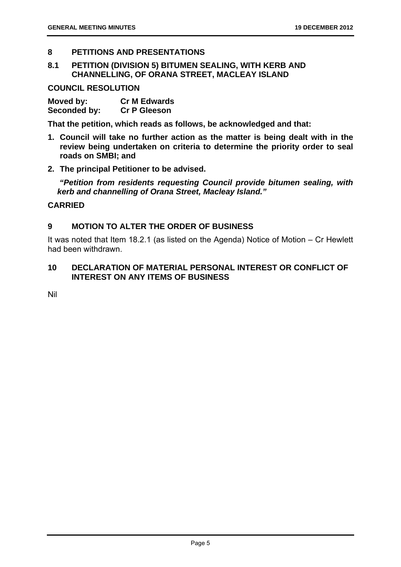#### **8 PETITIONS AND PRESENTATIONS**

**8.1 PETITION (DIVISION 5) BITUMEN SEALING, WITH KERB AND CHANNELLING, OF ORANA STREET, MACLEAY ISLAND** 

**COUNCIL RESOLUTION** 

| Moved by:    | <b>Cr M Edwards</b> |
|--------------|---------------------|
| Seconded by: | <b>Cr P Gleeson</b> |

**That the petition, which reads as follows, be acknowledged and that:** 

- **1. Council will take no further action as the matter is being dealt with in the review being undertaken on criteria to determine the priority order to seal roads on SMBI; and**
- **2. The principal Petitioner to be advised.**

 *"Petition from residents requesting Council provide bitumen sealing, with kerb and channelling of Orana Street, Macleay Island."* 

#### **CARRIED**

#### **9 MOTION TO ALTER THE ORDER OF BUSINESS**

It was noted that Item 18.2.1 (as listed on the Agenda) Notice of Motion – Cr Hewlett had been withdrawn.

#### **10 DECLARATION OF MATERIAL PERSONAL INTEREST OR CONFLICT OF INTEREST ON ANY ITEMS OF BUSINESS**

Nil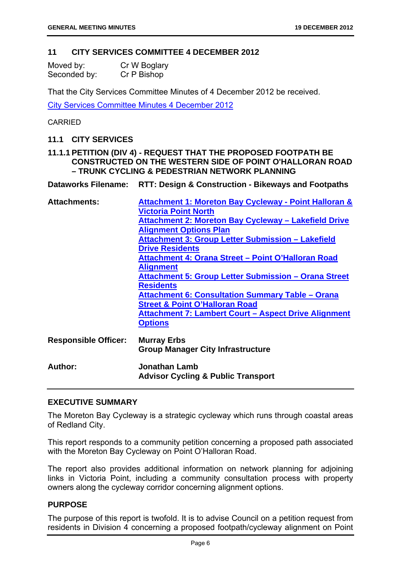#### **11 CITY SERVICES COMMITTEE 4 DECEMBER 2012**

| Moved by:    | Cr W Boglary |
|--------------|--------------|
| Seconded by: | Cr P Bishop  |

That the City Services Committee Minutes of 4 December 2012 be received.

City Services Committee Minutes 4 December 2012

#### CARRIED

#### **11.1 CITY SERVICES**

#### **11.1.1 PETITION (DIV 4) - REQUEST THAT THE PROPOSED FOOTPATH BE CONSTRUCTED ON THE WESTERN SIDE OF POINT O'HALLORAN ROAD – TRUNK CYCLING & PEDESTRIAN NETWORK PLANNING**

**Dataworks Filename: RTT: Design & Construction - Bikeways and Footpaths** 

| <b>Attachments:</b>         | Attachment 1: Moreton Bay Cycleway - Point Halloran &       |  |  |
|-----------------------------|-------------------------------------------------------------|--|--|
|                             | <b>Victoria Point North</b>                                 |  |  |
|                             | <b>Attachment 2: Moreton Bay Cycleway - Lakefield Drive</b> |  |  |
|                             | <b>Alignment Options Plan</b>                               |  |  |
|                             | Attachment 3: Group Letter Submission - Lakefield           |  |  |
|                             | <b>Drive Residents</b>                                      |  |  |
|                             | Attachment 4: Orana Street - Point O'Halloran Road          |  |  |
|                             | <b>Alignment</b>                                            |  |  |
|                             | Attachment 5: Group Letter Submission - Orana Street        |  |  |
|                             | <b>Residents</b>                                            |  |  |
|                             | <b>Attachment 6: Consultation Summary Table - Orana</b>     |  |  |
|                             | <b>Street &amp; Point O'Halloran Road</b>                   |  |  |
|                             | Attachment 7: Lambert Court - Aspect Drive Alignment        |  |  |
|                             | <b>Options</b>                                              |  |  |
|                             |                                                             |  |  |
| <b>Responsible Officer:</b> | <b>Murray Erbs</b>                                          |  |  |
|                             | <b>Group Manager City Infrastructure</b>                    |  |  |
| Author:                     | <b>Jonathan Lamb</b>                                        |  |  |
|                             | <b>Advisor Cycling &amp; Public Transport</b>               |  |  |
|                             |                                                             |  |  |

#### **EXECUTIVE SUMMARY**

The Moreton Bay Cycleway is a strategic cycleway which runs through coastal areas of Redland City.

This report responds to a community petition concerning a proposed path associated with the Moreton Bay Cycleway on Point O'Halloran Road.

The report also provides additional information on network planning for adjoining links in Victoria Point, including a community consultation process with property owners along the cycleway corridor concerning alignment options.

#### **PURPOSE**

The purpose of this report is twofold. It is to advise Council on a petition request from residents in Division 4 concerning a proposed footpath/cycleway alignment on Point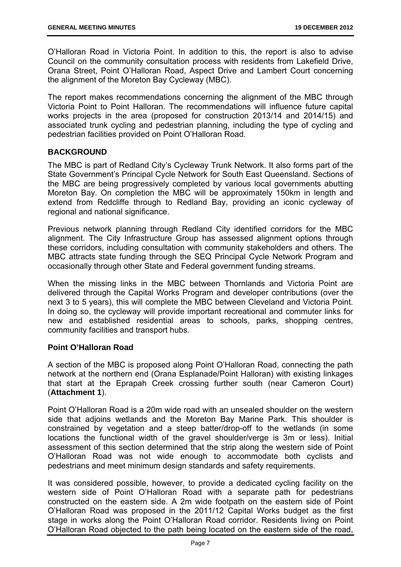O'Halloran Road in Victoria Point. In addition to this, the report is also to advise Council on the community consultation process with residents from Lakefield Drive, Orana Street, Point O'Halloran Road, Aspect Drive and Lambert Court concerning the alignment of the Moreton Bay Cycleway (MBC).

The report makes recommendations concerning the alignment of the MBC through Victoria Point to Point Halloran. The recommendations will influence future capital works projects in the area (proposed for construction 2013/14 and 2014/15) and associated trunk cycling and pedestrian planning, including the type of cycling and pedestrian facilities provided on Point O'Halloran Road.

#### **BACKGROUND**

The MBC is part of Redland City's Cycleway Trunk Network. It also forms part of the State Government's Principal Cycle Network for South East Queensland. Sections of the MBC are being progressively completed by various local governments abutting Moreton Bay. On completion the MBC will be approximately 150km in length and extend from Redcliffe through to Redland Bay, providing an iconic cycleway of regional and national significance.

Previous network planning through Redland City identified corridors for the MBC alignment. The City Infrastructure Group has assessed alignment options through these corridors, including consultation with community stakeholders and others. The MBC attracts state funding through the SEQ Principal Cycle Network Program and occasionally through other State and Federal government funding streams.

When the missing links in the MBC between Thornlands and Victoria Point are delivered through the Capital Works Program and developer contributions (over the next 3 to 5 years), this will complete the MBC between Cleveland and Victoria Point. In doing so, the cycleway will provide important recreational and commuter links for new and established residential areas to schools, parks, shopping centres, community facilities and transport hubs.

#### **Point O'Halloran Road**

A section of the MBC is proposed along Point O'Halloran Road, connecting the path network at the northern end (Orana Esplanade/Point Halloran) with existing linkages that start at the Eprapah Creek crossing further south (near Cameron Court) (**Attachment 1**).

Point O'Halloran Road is a 20m wide road with an unsealed shoulder on the western side that adjoins wetlands and the Moreton Bay Marine Park. This shoulder is constrained by vegetation and a steep batter/drop-off to the wetlands (in some locations the functional width of the gravel shoulder/verge is 3m or less). Initial assessment of this section determined that the strip along the western side of Point O'Halloran Road was not wide enough to accommodate both cyclists and pedestrians and meet minimum design standards and safety requirements.

It was considered possible, however, to provide a dedicated cycling facility on the western side of Point O'Halloran Road with a separate path for pedestrians constructed on the eastern side. A 2m wide footpath on the eastern side of Point O'Halloran Road was proposed in the 2011/12 Capital Works budget as the first stage in works along the Point O'Halloran Road corridor. Residents living on Point O'Halloran Road objected to the path being located on the eastern side of the road,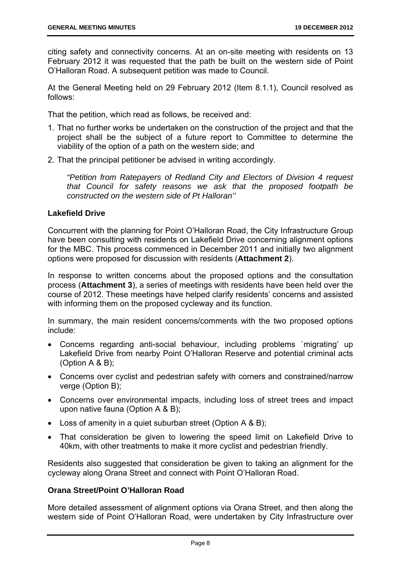citing safety and connectivity concerns. At an on-site meeting with residents on 13 February 2012 it was requested that the path be built on the western side of Point O'Halloran Road. A subsequent petition was made to Council.

At the General Meeting held on 29 February 2012 (Item 8.1.1), Council resolved as follows:

That the petition, which read as follows, be received and:

- 1. That no further works be undertaken on the construction of the project and that the project shall be the subject of a future report to Committee to determine the viability of the option of a path on the western side; and
- 2. That the principal petitioner be advised in writing accordingly.

*"Petition from Ratepayers of Redland City and Electors of Division 4 request that Council for safety reasons we ask that the proposed footpath be constructed on the western side of Pt Halloran''* 

#### **Lakefield Drive**

Concurrent with the planning for Point O'Halloran Road, the City Infrastructure Group have been consulting with residents on Lakefield Drive concerning alignment options for the MBC. This process commenced in December 2011 and initially two alignment options were proposed for discussion with residents (**Attachment 2**).

In response to written concerns about the proposed options and the consultation process (**Attachment 3**), a series of meetings with residents have been held over the course of 2012. These meetings have helped clarify residents' concerns and assisted with informing them on the proposed cycleway and its function.

In summary, the main resident concerns/comments with the two proposed options include:

- Concerns regarding anti-social behaviour, including problems `migrating' up Lakefield Drive from nearby Point O'Halloran Reserve and potential criminal acts (Option A & B);
- Concerns over cyclist and pedestrian safety with corners and constrained/narrow verge (Option B);
- Concerns over environmental impacts, including loss of street trees and impact upon native fauna (Option A & B);
- Loss of amenity in a quiet suburban street (Option A & B);
- That consideration be given to lowering the speed limit on Lakefield Drive to 40km, with other treatments to make it more cyclist and pedestrian friendly.

Residents also suggested that consideration be given to taking an alignment for the cycleway along Orana Street and connect with Point O'Halloran Road.

#### **Orana Street/Point O'Halloran Road**

More detailed assessment of alignment options via Orana Street, and then along the western side of Point O'Halloran Road, were undertaken by City Infrastructure over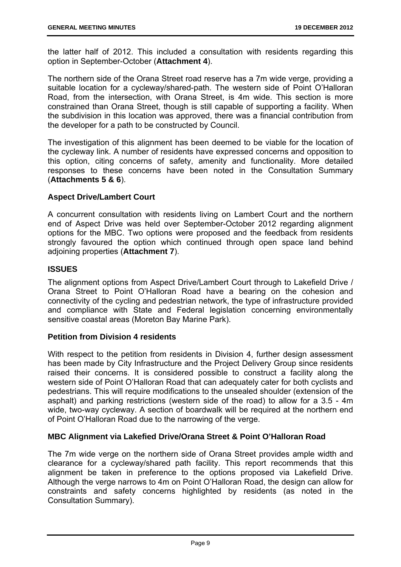the latter half of 2012. This included a consultation with residents regarding this option in September-October (**Attachment 4**).

The northern side of the Orana Street road reserve has a 7m wide verge, providing a suitable location for a cycleway/shared-path. The western side of Point O'Halloran Road, from the intersection, with Orana Street, is 4m wide. This section is more constrained than Orana Street, though is still capable of supporting a facility. When the subdivision in this location was approved, there was a financial contribution from the developer for a path to be constructed by Council.

The investigation of this alignment has been deemed to be viable for the location of the cycleway link. A number of residents have expressed concerns and opposition to this option, citing concerns of safety, amenity and functionality. More detailed responses to these concerns have been noted in the Consultation Summary (**Attachments 5 & 6**).

#### **Aspect Drive/Lambert Court**

A concurrent consultation with residents living on Lambert Court and the northern end of Aspect Drive was held over September-October 2012 regarding alignment options for the MBC. Two options were proposed and the feedback from residents strongly favoured the option which continued through open space land behind adjoining properties (**Attachment 7**).

#### **ISSUES**

The alignment options from Aspect Drive/Lambert Court through to Lakefield Drive / Orana Street to Point O'Halloran Road have a bearing on the cohesion and connectivity of the cycling and pedestrian network, the type of infrastructure provided and compliance with State and Federal legislation concerning environmentally sensitive coastal areas (Moreton Bay Marine Park).

#### **Petition from Division 4 residents**

With respect to the petition from residents in Division 4, further design assessment has been made by City Infrastructure and the Project Delivery Group since residents raised their concerns. It is considered possible to construct a facility along the western side of Point O'Halloran Road that can adequately cater for both cyclists and pedestrians. This will require modifications to the unsealed shoulder (extension of the asphalt) and parking restrictions (western side of the road) to allow for a 3.5 - 4m wide, two-way cycleway. A section of boardwalk will be required at the northern end of Point O'Halloran Road due to the narrowing of the verge.

#### **MBC Alignment via Lakefied Drive/Orana Street & Point O'Halloran Road**

The 7m wide verge on the northern side of Orana Street provides ample width and clearance for a cycleway/shared path facility. This report recommends that this alignment be taken in preference to the options proposed via Lakefield Drive. Although the verge narrows to 4m on Point O'Halloran Road, the design can allow for constraints and safety concerns highlighted by residents (as noted in the Consultation Summary).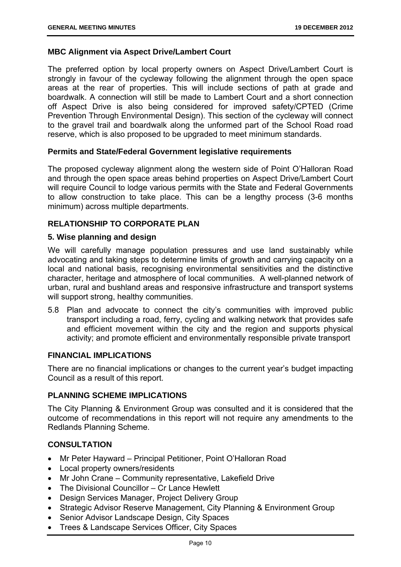#### **MBC Alignment via Aspect Drive/Lambert Court**

The preferred option by local property owners on Aspect Drive/Lambert Court is strongly in favour of the cycleway following the alignment through the open space areas at the rear of properties. This will include sections of path at grade and boardwalk. A connection will still be made to Lambert Court and a short connection off Aspect Drive is also being considered for improved safety/CPTED (Crime Prevention Through Environmental Design). This section of the cycleway will connect to the gravel trail and boardwalk along the unformed part of the School Road road reserve, which is also proposed to be upgraded to meet minimum standards.

#### **Permits and State/Federal Government legislative requirements**

The proposed cycleway alignment along the western side of Point O'Halloran Road and through the open space areas behind properties on Aspect Drive/Lambert Court will require Council to lodge various permits with the State and Federal Governments to allow construction to take place. This can be a lengthy process (3-6 months minimum) across multiple departments.

#### **RELATIONSHIP TO CORPORATE PLAN**

#### **5. Wise planning and design**

We will carefully manage population pressures and use land sustainably while advocating and taking steps to determine limits of growth and carrying capacity on a local and national basis, recognising environmental sensitivities and the distinctive character, heritage and atmosphere of local communities. A well-planned network of urban, rural and bushland areas and responsive infrastructure and transport systems will support strong, healthy communities.

5.8 Plan and advocate to connect the city's communities with improved public transport including a road, ferry, cycling and walking network that provides safe and efficient movement within the city and the region and supports physical activity; and promote efficient and environmentally responsible private transport

#### **FINANCIAL IMPLICATIONS**

There are no financial implications or changes to the current year's budget impacting Council as a result of this report.

#### **PLANNING SCHEME IMPLICATIONS**

The City Planning & Environment Group was consulted and it is considered that the outcome of recommendations in this report will not require any amendments to the Redlands Planning Scheme.

#### **CONSULTATION**

- Mr Peter Hayward Principal Petitioner, Point O'Halloran Road
- Local property owners/residents
- Mr John Crane Community representative, Lakefield Drive
- The Divisional Councillor Cr Lance Hewlett
- Design Services Manager, Project Delivery Group
- Strategic Advisor Reserve Management, City Planning & Environment Group
- Senior Advisor Landscape Design, City Spaces
- Trees & Landscape Services Officer, City Spaces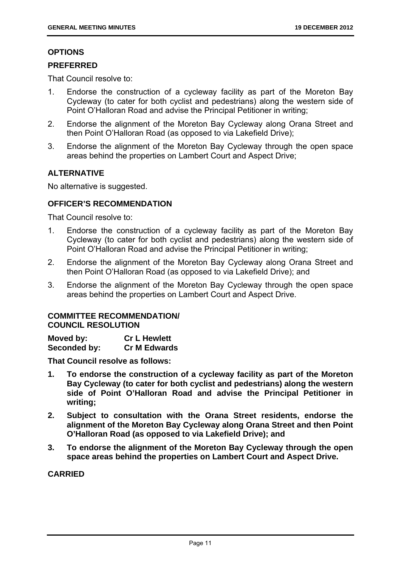#### **OPTIONS**

#### **PREFERRED**

That Council resolve to:

- 1. Endorse the construction of a cycleway facility as part of the Moreton Bay Cycleway (to cater for both cyclist and pedestrians) along the western side of Point O'Halloran Road and advise the Principal Petitioner in writing;
- 2. Endorse the alignment of the Moreton Bay Cycleway along Orana Street and then Point O'Halloran Road (as opposed to via Lakefield Drive);
- 3. Endorse the alignment of the Moreton Bay Cycleway through the open space areas behind the properties on Lambert Court and Aspect Drive;

#### **ALTERNATIVE**

No alternative is suggested.

#### **OFFICER'S RECOMMENDATION**

That Council resolve to:

- 1. Endorse the construction of a cycleway facility as part of the Moreton Bay Cycleway (to cater for both cyclist and pedestrians) along the western side of Point O'Halloran Road and advise the Principal Petitioner in writing;
- 2. Endorse the alignment of the Moreton Bay Cycleway along Orana Street and then Point O'Halloran Road (as opposed to via Lakefield Drive); and
- 3. Endorse the alignment of the Moreton Bay Cycleway through the open space areas behind the properties on Lambert Court and Aspect Drive.

#### **COMMITTEE RECOMMENDATION/ COUNCIL RESOLUTION**

| Moved by:    | <b>Cr L Hewlett</b> |
|--------------|---------------------|
| Seconded by: | <b>Cr M Edwards</b> |

**That Council resolve as follows:** 

- **1. To endorse the construction of a cycleway facility as part of the Moreton Bay Cycleway (to cater for both cyclist and pedestrians) along the western side of Point O'Halloran Road and advise the Principal Petitioner in writing;**
- **2. Subject to consultation with the Orana Street residents, endorse the alignment of the Moreton Bay Cycleway along Orana Street and then Point O'Halloran Road (as opposed to via Lakefield Drive); and**
- **3. To endorse the alignment of the Moreton Bay Cycleway through the open space areas behind the properties on Lambert Court and Aspect Drive.**

#### **CARRIED**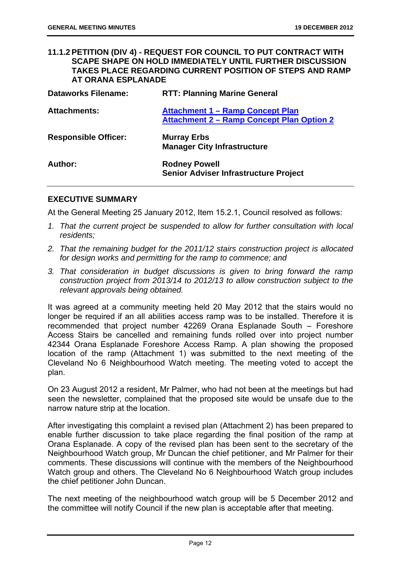#### **11.1.2 PETITION (DIV 4) - REQUEST FOR COUNCIL TO PUT CONTRACT WITH SCAPE SHAPE ON HOLD IMMEDIATELY UNTIL FURTHER DISCUSSION TAKES PLACE REGARDING CURRENT POSITION OF STEPS AND RAMP AT ORANA ESPLANADE**

| <b>Dataworks Filename:</b>  | <b>RTT: Planning Marine General</b>                                                         |
|-----------------------------|---------------------------------------------------------------------------------------------|
| <b>Attachments:</b>         | <b>Attachment 1 - Ramp Concept Plan</b><br><b>Attachment 2 – Ramp Concept Plan Option 2</b> |
| <b>Responsible Officer:</b> | <b>Murray Erbs</b><br><b>Manager City Infrastructure</b>                                    |
| Author:                     | <b>Rodney Powell</b><br><b>Senior Adviser Infrastructure Project</b>                        |

#### **EXECUTIVE SUMMARY**

At the General Meeting 25 January 2012, Item 15.2.1, Council resolved as follows:

- *1. That the current project be suspended to allow for further consultation with local residents;*
- *2. That the remaining budget for the 2011/12 stairs construction project is allocated for design works and permitting for the ramp to commence; and*
- *3. That consideration in budget discussions is given to bring forward the ramp construction project from 2013/14 to 2012/13 to allow construction subject to the relevant approvals being obtained.*

It was agreed at a community meeting held 20 May 2012 that the stairs would no longer be required if an all abilities access ramp was to be installed. Therefore it is recommended that project number 42269 Orana Esplanade South – Foreshore Access Stairs be cancelled and remaining funds rolled over into project number 42344 Orana Esplanade Foreshore Access Ramp. A plan showing the proposed location of the ramp (Attachment 1) was submitted to the next meeting of the Cleveland No 6 Neighbourhood Watch meeting. The meeting voted to accept the plan.

On 23 August 2012 a resident, Mr Palmer, who had not been at the meetings but had seen the newsletter, complained that the proposed site would be unsafe due to the narrow nature strip at the location.

After investigating this complaint a revised plan (Attachment 2) has been prepared to enable further discussion to take place regarding the final position of the ramp at Orana Esplanade. A copy of the revised plan has been sent to the secretary of the Neighbourhood Watch group, Mr Duncan the chief petitioner, and Mr Palmer for their comments. These discussions will continue with the members of the Neighbourhood Watch group and others. The Cleveland No 6 Neighbourhood Watch group includes the chief petitioner John Duncan.

The next meeting of the neighbourhood watch group will be 5 December 2012 and the committee will notify Council if the new plan is acceptable after that meeting.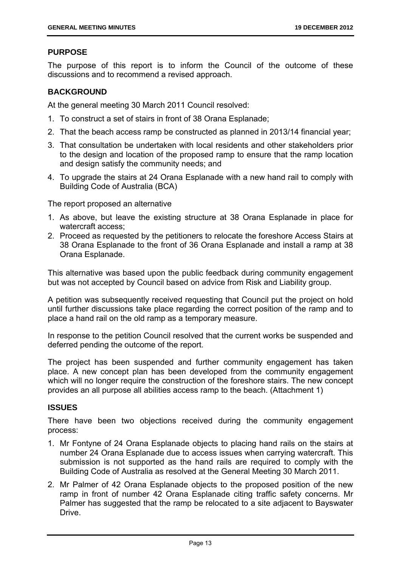#### **PURPOSE**

The purpose of this report is to inform the Council of the outcome of these discussions and to recommend a revised approach.

#### **BACKGROUND**

At the general meeting 30 March 2011 Council resolved:

- 1. To construct a set of stairs in front of 38 Orana Esplanade;
- 2. That the beach access ramp be constructed as planned in 2013/14 financial year;
- 3. That consultation be undertaken with local residents and other stakeholders prior to the design and location of the proposed ramp to ensure that the ramp location and design satisfy the community needs; and
- 4. To upgrade the stairs at 24 Orana Esplanade with a new hand rail to comply with Building Code of Australia (BCA)

The report proposed an alternative

- 1. As above, but leave the existing structure at 38 Orana Esplanade in place for watercraft access;
- 2. Proceed as requested by the petitioners to relocate the foreshore Access Stairs at 38 Orana Esplanade to the front of 36 Orana Esplanade and install a ramp at 38 Orana Esplanade.

This alternative was based upon the public feedback during community engagement but was not accepted by Council based on advice from Risk and Liability group.

A petition was subsequently received requesting that Council put the project on hold until further discussions take place regarding the correct position of the ramp and to place a hand rail on the old ramp as a temporary measure.

In response to the petition Council resolved that the current works be suspended and deferred pending the outcome of the report.

The project has been suspended and further community engagement has taken place. A new concept plan has been developed from the community engagement which will no longer require the construction of the foreshore stairs. The new concept provides an all purpose all abilities access ramp to the beach. (Attachment 1)

#### **ISSUES**

There have been two objections received during the community engagement process:

- 1. Mr Fontyne of 24 Orana Esplanade objects to placing hand rails on the stairs at number 24 Orana Esplanade due to access issues when carrying watercraft. This submission is not supported as the hand rails are required to comply with the Building Code of Australia as resolved at the General Meeting 30 March 2011.
- 2. Mr Palmer of 42 Orana Esplanade objects to the proposed position of the new ramp in front of number 42 Orana Esplanade citing traffic safety concerns. Mr Palmer has suggested that the ramp be relocated to a site adjacent to Bayswater Drive.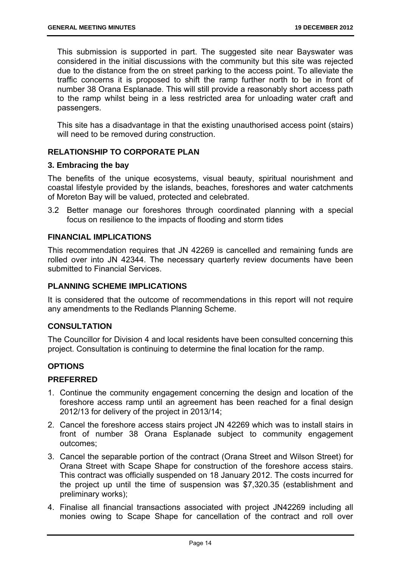This submission is supported in part. The suggested site near Bayswater was considered in the initial discussions with the community but this site was rejected due to the distance from the on street parking to the access point. To alleviate the traffic concerns it is proposed to shift the ramp further north to be in front of number 38 Orana Esplanade. This will still provide a reasonably short access path to the ramp whilst being in a less restricted area for unloading water craft and passengers.

This site has a disadvantage in that the existing unauthorised access point (stairs) will need to be removed during construction.

#### **RELATIONSHIP TO CORPORATE PLAN**

#### **3. Embracing the bay**

The benefits of the unique ecosystems, visual beauty, spiritual nourishment and coastal lifestyle provided by the islands, beaches, foreshores and water catchments of Moreton Bay will be valued, protected and celebrated.

3.2 Better manage our foreshores through coordinated planning with a special focus on resilience to the impacts of flooding and storm tides

#### **FINANCIAL IMPLICATIONS**

This recommendation requires that JN 42269 is cancelled and remaining funds are rolled over into JN 42344. The necessary quarterly review documents have been submitted to Financial Services.

#### **PLANNING SCHEME IMPLICATIONS**

It is considered that the outcome of recommendations in this report will not require any amendments to the Redlands Planning Scheme.

#### **CONSULTATION**

The Councillor for Division 4 and local residents have been consulted concerning this project. Consultation is continuing to determine the final location for the ramp.

#### **OPTIONS**

#### **PREFERRED**

- 1. Continue the community engagement concerning the design and location of the foreshore access ramp until an agreement has been reached for a final design 2012/13 for delivery of the project in 2013/14;
- 2. Cancel the foreshore access stairs project JN 42269 which was to install stairs in front of number 38 Orana Esplanade subject to community engagement outcomes;
- 3. Cancel the separable portion of the contract (Orana Street and Wilson Street) for Orana Street with Scape Shape for construction of the foreshore access stairs. This contract was officially suspended on 18 January 2012. The costs incurred for the project up until the time of suspension was \$7,320.35 (establishment and preliminary works);
- 4. Finalise all financial transactions associated with project JN42269 including all monies owing to Scape Shape for cancellation of the contract and roll over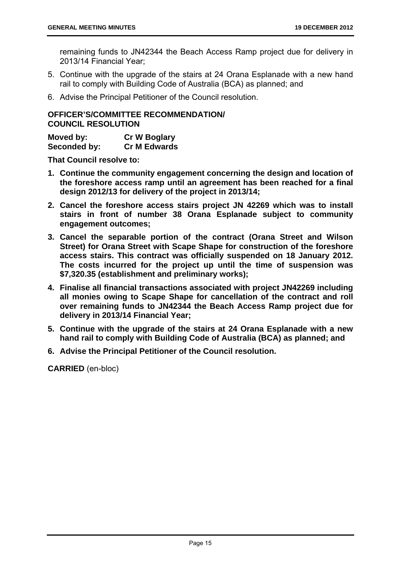remaining funds to JN42344 the Beach Access Ramp project due for delivery in 2013/14 Financial Year;

- 5. Continue with the upgrade of the stairs at 24 Orana Esplanade with a new hand rail to comply with Building Code of Australia (BCA) as planned; and
- 6. Advise the Principal Petitioner of the Council resolution.

#### **OFFICER'S/COMMITTEE RECOMMENDATION/ COUNCIL RESOLUTION**

| Moved by:    | <b>Cr W Boglary</b> |
|--------------|---------------------|
| Seconded by: | <b>Cr M Edwards</b> |

**That Council resolve to:** 

- **1. Continue the community engagement concerning the design and location of the foreshore access ramp until an agreement has been reached for a final design 2012/13 for delivery of the project in 2013/14;**
- **2. Cancel the foreshore access stairs project JN 42269 which was to install stairs in front of number 38 Orana Esplanade subject to community engagement outcomes;**
- **3. Cancel the separable portion of the contract (Orana Street and Wilson Street) for Orana Street with Scape Shape for construction of the foreshore access stairs. This contract was officially suspended on 18 January 2012. The costs incurred for the project up until the time of suspension was \$7,320.35 (establishment and preliminary works);**
- **4. Finalise all financial transactions associated with project JN42269 including all monies owing to Scape Shape for cancellation of the contract and roll over remaining funds to JN42344 the Beach Access Ramp project due for delivery in 2013/14 Financial Year;**
- **5. Continue with the upgrade of the stairs at 24 Orana Esplanade with a new hand rail to comply with Building Code of Australia (BCA) as planned; and**
- **6. Advise the Principal Petitioner of the Council resolution.**

**CARRIED** (en-bloc)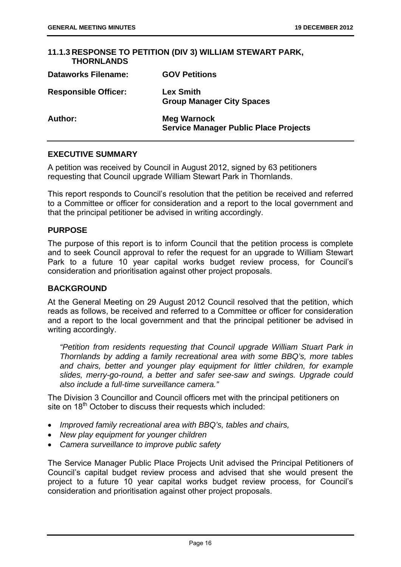#### **11.1.3 RESPONSE TO PETITION (DIV 3) WILLIAM STEWART PARK, THORNLANDS Dataworks Filename: GOV Petitions Responsible Officer: Lex Smith Group Manager City Spaces Author: Meg Warnock Service Manager Public Place Projects**

#### **EXECUTIVE SUMMARY**

A petition was received by Council in August 2012, signed by 63 petitioners requesting that Council upgrade William Stewart Park in Thornlands.

This report responds to Council's resolution that the petition be received and referred to a Committee or officer for consideration and a report to the local government and that the principal petitioner be advised in writing accordingly.

#### **PURPOSE**

The purpose of this report is to inform Council that the petition process is complete and to seek Council approval to refer the request for an upgrade to William Stewart Park to a future 10 year capital works budget review process, for Council's consideration and prioritisation against other project proposals.

#### **BACKGROUND**

At the General Meeting on 29 August 2012 Council resolved that the petition, which reads as follows, be received and referred to a Committee or officer for consideration and a report to the local government and that the principal petitioner be advised in writing accordingly.

*"Petition from residents requesting that Council upgrade William Stuart Park in Thornlands by adding a family recreational area with some BBQ's, more tables and chairs, better and younger play equipment for littler children, for example slides, merry-go-round, a better and safer see-saw and swings. Upgrade could also include a full-time surveillance camera."* 

The Division 3 Councillor and Council officers met with the principal petitioners on site on 18<sup>th</sup> October to discuss their requests which included:

- *Improved family recreational area with BBQ's, tables and chairs,*
- *New play equipment for younger children*
- *Camera surveillance to improve public safety*

The Service Manager Public Place Projects Unit advised the Principal Petitioners of Council's capital budget review process and advised that she would present the project to a future 10 year capital works budget review process, for Council's consideration and prioritisation against other project proposals.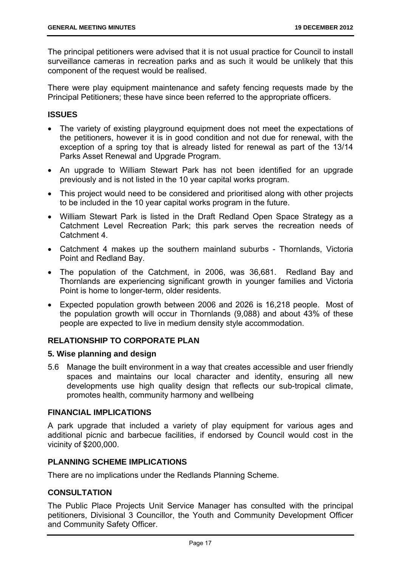The principal petitioners were advised that it is not usual practice for Council to install surveillance cameras in recreation parks and as such it would be unlikely that this component of the request would be realised.

There were play equipment maintenance and safety fencing requests made by the Principal Petitioners; these have since been referred to the appropriate officers.

#### **ISSUES**

- The variety of existing playground equipment does not meet the expectations of the petitioners, however it is in good condition and not due for renewal, with the exception of a spring toy that is already listed for renewal as part of the 13/14 Parks Asset Renewal and Upgrade Program.
- An upgrade to William Stewart Park has not been identified for an upgrade previously and is not listed in the 10 year capital works program.
- This project would need to be considered and prioritised along with other projects to be included in the 10 year capital works program in the future.
- William Stewart Park is listed in the Draft Redland Open Space Strategy as a Catchment Level Recreation Park; this park serves the recreation needs of Catchment 4.
- Catchment 4 makes up the southern mainland suburbs Thornlands, Victoria Point and Redland Bay.
- The population of the Catchment, in 2006, was 36,681. Redland Bay and Thornlands are experiencing significant growth in younger families and Victoria Point is home to longer-term, older residents.
- Expected population growth between 2006 and 2026 is 16,218 people. Most of the population growth will occur in Thornlands (9,088) and about 43% of these people are expected to live in medium density style accommodation.

#### **RELATIONSHIP TO CORPORATE PLAN**

#### **5. Wise planning and design**

5.6 Manage the built environment in a way that creates accessible and user friendly spaces and maintains our local character and identity, ensuring all new developments use high quality design that reflects our sub-tropical climate, promotes health, community harmony and wellbeing

#### **FINANCIAL IMPLICATIONS**

A park upgrade that included a variety of play equipment for various ages and additional picnic and barbecue facilities, if endorsed by Council would cost in the vicinity of \$200,000.

#### **PLANNING SCHEME IMPLICATIONS**

There are no implications under the Redlands Planning Scheme.

#### **CONSULTATION**

The Public Place Projects Unit Service Manager has consulted with the principal petitioners, Divisional 3 Councillor, the Youth and Community Development Officer and Community Safety Officer.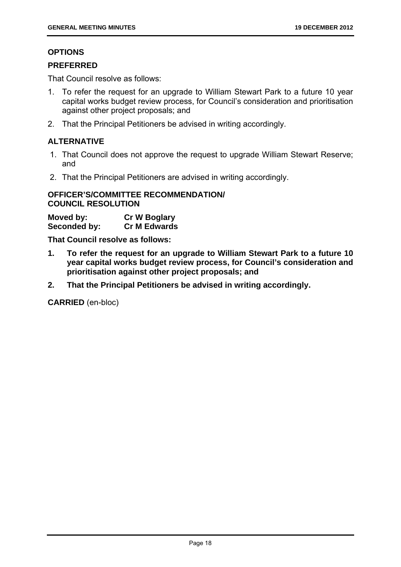#### **OPTIONS**

#### **PREFERRED**

That Council resolve as follows:

- 1. To refer the request for an upgrade to William Stewart Park to a future 10 year capital works budget review process, for Council's consideration and prioritisation against other project proposals; and
- 2. That the Principal Petitioners be advised in writing accordingly.

#### **ALTERNATIVE**

- 1. That Council does not approve the request to upgrade William Stewart Reserve; and
- 2. That the Principal Petitioners are advised in writing accordingly.

#### **OFFICER'S/COMMITTEE RECOMMENDATION/ COUNCIL RESOLUTION**

| Moved by:    | <b>Cr W Boglary</b> |
|--------------|---------------------|
| Seconded by: | <b>Cr M Edwards</b> |

**That Council resolve as follows:** 

- **1. To refer the request for an upgrade to William Stewart Park to a future 10 year capital works budget review process, for Council's consideration and prioritisation against other project proposals; and**
- **2. That the Principal Petitioners be advised in writing accordingly.**

**CARRIED** (en-bloc)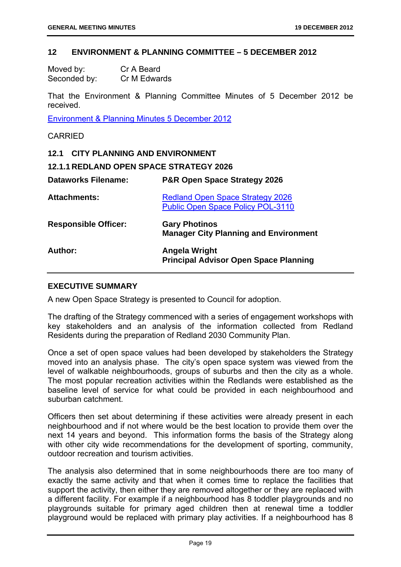#### **12 ENVIRONMENT & PLANNING COMMITTEE – 5 DECEMBER 2012**

| Moved by:    | Cr A Beard   |
|--------------|--------------|
| Seconded by: | Cr M Edwards |

That the Environment & Planning Committee Minutes of 5 December 2012 be received.

Environment & Planning Minutes 5 December 2012

#### CARRIED

#### **12.1 CITY PLANNING AND ENVIRONMENT**

#### **12.1.1 REDLAND OPEN SPACE STRATEGY 2026**

| <b>Dataworks Filename:</b>  | P&R Open Space Strategy 2026                                                 |
|-----------------------------|------------------------------------------------------------------------------|
| <b>Attachments:</b>         | Redland Open Space Strategy 2026<br><b>Public Open Space Policy POL-3110</b> |
| <b>Responsible Officer:</b> | <b>Gary Photinos</b><br><b>Manager City Planning and Environment</b>         |
| Author:                     | <b>Angela Wright</b><br><b>Principal Advisor Open Space Planning</b>         |

#### **EXECUTIVE SUMMARY**

A new Open Space Strategy is presented to Council for adoption.

The drafting of the Strategy commenced with a series of engagement workshops with key stakeholders and an analysis of the information collected from Redland Residents during the preparation of Redland 2030 Community Plan.

Once a set of open space values had been developed by stakeholders the Strategy moved into an analysis phase. The city's open space system was viewed from the level of walkable neighbourhoods, groups of suburbs and then the city as a whole. The most popular recreation activities within the Redlands were established as the baseline level of service for what could be provided in each neighbourhood and suburban catchment.

Officers then set about determining if these activities were already present in each neighbourhood and if not where would be the best location to provide them over the next 14 years and beyond. This information forms the basis of the Strategy along with other city wide recommendations for the development of sporting, community, outdoor recreation and tourism activities.

The analysis also determined that in some neighbourhoods there are too many of exactly the same activity and that when it comes time to replace the facilities that support the activity, then either they are removed altogether or they are replaced with a different facility. For example if a neighbourhood has 8 toddler playgrounds and no playgrounds suitable for primary aged children then at renewal time a toddler playground would be replaced with primary play activities. If a neighbourhood has 8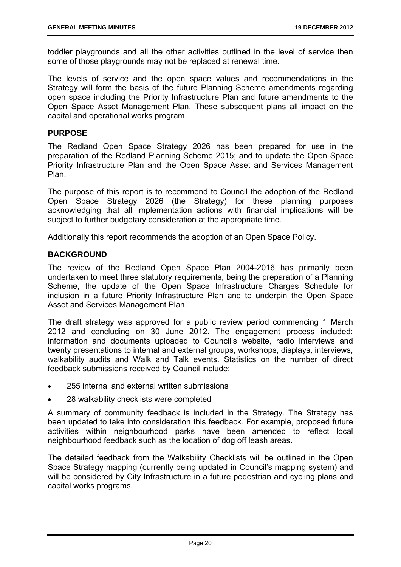toddler playgrounds and all the other activities outlined in the level of service then some of those playgrounds may not be replaced at renewal time.

The levels of service and the open space values and recommendations in the Strategy will form the basis of the future Planning Scheme amendments regarding open space including the Priority Infrastructure Plan and future amendments to the Open Space Asset Management Plan. These subsequent plans all impact on the capital and operational works program.

#### **PURPOSE**

The Redland Open Space Strategy 2026 has been prepared for use in the preparation of the Redland Planning Scheme 2015; and to update the Open Space Priority Infrastructure Plan and the Open Space Asset and Services Management Plan.

The purpose of this report is to recommend to Council the adoption of the Redland Open Space Strategy 2026 (the Strategy) for these planning purposes acknowledging that all implementation actions with financial implications will be subject to further budgetary consideration at the appropriate time.

Additionally this report recommends the adoption of an Open Space Policy.

#### **BACKGROUND**

The review of the Redland Open Space Plan 2004-2016 has primarily been undertaken to meet three statutory requirements, being the preparation of a Planning Scheme, the update of the Open Space Infrastructure Charges Schedule for inclusion in a future Priority Infrastructure Plan and to underpin the Open Space Asset and Services Management Plan.

The draft strategy was approved for a public review period commencing 1 March 2012 and concluding on 30 June 2012. The engagement process included: information and documents uploaded to Council's website, radio interviews and twenty presentations to internal and external groups, workshops, displays, interviews, walkability audits and Walk and Talk events. Statistics on the number of direct feedback submissions received by Council include:

- 255 internal and external written submissions
- 28 walkability checklists were completed

A summary of community feedback is included in the Strategy. The Strategy has been updated to take into consideration this feedback. For example, proposed future activities within neighbourhood parks have been amended to reflect local neighbourhood feedback such as the location of dog off leash areas.

The detailed feedback from the Walkability Checklists will be outlined in the Open Space Strategy mapping (currently being updated in Council's mapping system) and will be considered by City Infrastructure in a future pedestrian and cycling plans and capital works programs.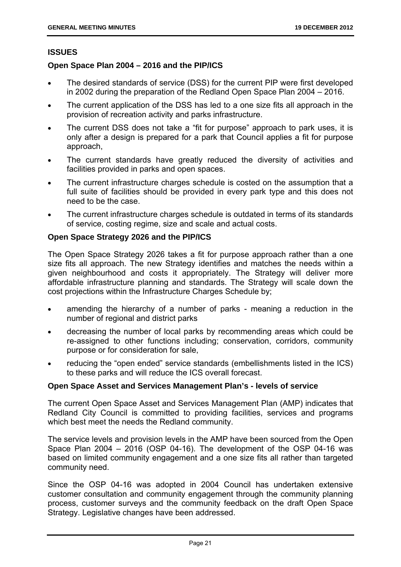#### **ISSUES**

#### **Open Space Plan 2004 – 2016 and the PIP/ICS**

- The desired standards of service (DSS) for the current PIP were first developed in 2002 during the preparation of the Redland Open Space Plan 2004 – 2016.
- The current application of the DSS has led to a one size fits all approach in the provision of recreation activity and parks infrastructure.
- The current DSS does not take a "fit for purpose" approach to park uses, it is only after a design is prepared for a park that Council applies a fit for purpose approach,
- The current standards have greatly reduced the diversity of activities and facilities provided in parks and open spaces.
- The current infrastructure charges schedule is costed on the assumption that a full suite of facilities should be provided in every park type and this does not need to be the case.
- The current infrastructure charges schedule is outdated in terms of its standards of service, costing regime, size and scale and actual costs.

#### **Open Space Strategy 2026 and the PIP/ICS**

The Open Space Strategy 2026 takes a fit for purpose approach rather than a one size fits all approach. The new Strategy identifies and matches the needs within a given neighbourhood and costs it appropriately. The Strategy will deliver more affordable infrastructure planning and standards. The Strategy will scale down the cost projections within the Infrastructure Charges Schedule by;

- amending the hierarchy of a number of parks meaning a reduction in the number of regional and district parks
- decreasing the number of local parks by recommending areas which could be re-assigned to other functions including; conservation, corridors, community purpose or for consideration for sale,
- reducing the "open ended" service standards (embellishments listed in the ICS) to these parks and will reduce the ICS overall forecast.

#### **Open Space Asset and Services Management Plan's - levels of service**

The current Open Space Asset and Services Management Plan (AMP) indicates that Redland City Council is committed to providing facilities, services and programs which best meet the needs the Redland community.

The service levels and provision levels in the AMP have been sourced from the Open Space Plan 2004 – 2016 (OSP 04-16). The development of the OSP 04-16 was based on limited community engagement and a one size fits all rather than targeted community need.

Since the OSP 04-16 was adopted in 2004 Council has undertaken extensive customer consultation and community engagement through the community planning process, customer surveys and the community feedback on the draft Open Space Strategy. Legislative changes have been addressed.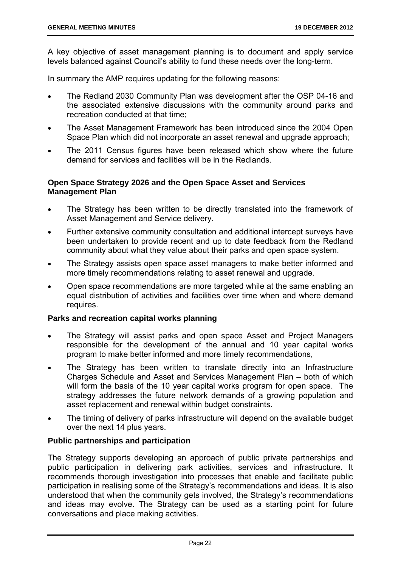A key objective of asset management planning is to document and apply service levels balanced against Council's ability to fund these needs over the long-term.

In summary the AMP requires updating for the following reasons:

- The Redland 2030 Community Plan was development after the OSP 04-16 and the associated extensive discussions with the community around parks and recreation conducted at that time;
- The Asset Management Framework has been introduced since the 2004 Open Space Plan which did not incorporate an asset renewal and upgrade approach;
- The 2011 Census figures have been released which show where the future demand for services and facilities will be in the Redlands.

#### **Open Space Strategy 2026 and the Open Space Asset and Services Management Plan**

- The Strategy has been written to be directly translated into the framework of Asset Management and Service delivery.
- Further extensive community consultation and additional intercept surveys have been undertaken to provide recent and up to date feedback from the Redland community about what they value about their parks and open space system.
- The Strategy assists open space asset managers to make better informed and more timely recommendations relating to asset renewal and upgrade.
- Open space recommendations are more targeted while at the same enabling an equal distribution of activities and facilities over time when and where demand requires.

#### **Parks and recreation capital works planning**

- The Strategy will assist parks and open space Asset and Project Managers responsible for the development of the annual and 10 year capital works program to make better informed and more timely recommendations,
- The Strategy has been written to translate directly into an Infrastructure Charges Schedule and Asset and Services Management Plan – both of which will form the basis of the 10 year capital works program for open space. The strategy addresses the future network demands of a growing population and asset replacement and renewal within budget constraints.
- The timing of delivery of parks infrastructure will depend on the available budget over the next 14 plus years.

#### **Public partnerships and participation**

The Strategy supports developing an approach of public private partnerships and public participation in delivering park activities, services and infrastructure. It recommends thorough investigation into processes that enable and facilitate public participation in realising some of the Strategy's recommendations and ideas. It is also understood that when the community gets involved, the Strategy's recommendations and ideas may evolve. The Strategy can be used as a starting point for future conversations and place making activities.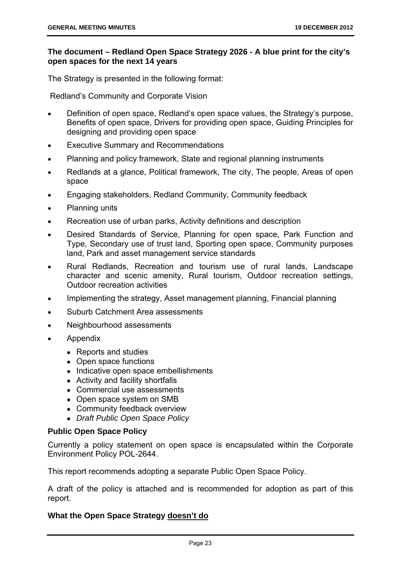#### **The document – Redland Open Space Strategy 2026 - A blue print for the city's open spaces for the next 14 years**

The Strategy is presented in the following format:

Redland's Community and Corporate Vision

- Definition of open space, Redland's open space values, the Strategy's purpose, Benefits of open space, Drivers for providing open space, Guiding Principles for designing and providing open space
- Executive Summary and Recommendations
- Planning and policy framework, State and regional planning instruments
- Redlands at a glance, Political framework, The city, The people, Areas of open space
- Engaging stakeholders, Redland Community, Community feedback
- Planning units
- Recreation use of urban parks, Activity definitions and description
- Desired Standards of Service, Planning for open space, Park Function and Type, Secondary use of trust land, Sporting open space, Community purposes land, Park and asset management service standards
- Rural Redlands, Recreation and tourism use of rural lands, Landscape character and scenic amenity, Rural tourism, Outdoor recreation settings, Outdoor recreation activities
- Implementing the strategy, Asset management planning, Financial planning
- Suburb Catchment Area assessments
- Neighbourhood assessments
- Appendix
	- Reports and studies
	- Open space functions
	- Indicative open space embellishments
	- Activity and facility shortfalls
	- Commercial use assessments
	- Open space system on SMB
	- Community feedback overview
	- *Draft Public Open Space Policy*

#### **Public Open Space Policy**

Currently a policy statement on open space is encapsulated within the Corporate Environment Policy POL-2644.

This report recommends adopting a separate Public Open Space Policy.

A draft of the policy is attached and is recommended for adoption as part of this report.

#### **What the Open Space Strategy doesn't do**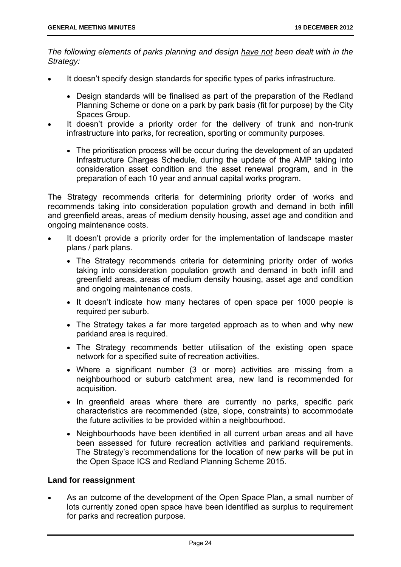*The following elements of parks planning and design have not been dealt with in the Strategy:* 

- It doesn't specify design standards for specific types of parks infrastructure.
	- Design standards will be finalised as part of the preparation of the Redland Planning Scheme or done on a park by park basis (fit for purpose) by the City Spaces Group.
- It doesn't provide a priority order for the delivery of trunk and non-trunk infrastructure into parks, for recreation, sporting or community purposes.
	- The prioritisation process will be occur during the development of an updated Infrastructure Charges Schedule, during the update of the AMP taking into consideration asset condition and the asset renewal program, and in the preparation of each 10 year and annual capital works program.

The Strategy recommends criteria for determining priority order of works and recommends taking into consideration population growth and demand in both infill and greenfield areas, areas of medium density housing, asset age and condition and ongoing maintenance costs.

- It doesn't provide a priority order for the implementation of landscape master plans / park plans.
	- The Strategy recommends criteria for determining priority order of works taking into consideration population growth and demand in both infill and greenfield areas, areas of medium density housing, asset age and condition and ongoing maintenance costs.
	- It doesn't indicate how many hectares of open space per 1000 people is required per suburb.
	- The Strategy takes a far more targeted approach as to when and why new parkland area is required.
	- The Strategy recommends better utilisation of the existing open space network for a specified suite of recreation activities.
	- Where a significant number (3 or more) activities are missing from a neighbourhood or suburb catchment area, new land is recommended for acquisition.
	- In greenfield areas where there are currently no parks, specific park characteristics are recommended (size, slope, constraints) to accommodate the future activities to be provided within a neighbourhood.
	- Neighbourhoods have been identified in all current urban areas and all have been assessed for future recreation activities and parkland requirements. The Strategy's recommendations for the location of new parks will be put in the Open Space ICS and Redland Planning Scheme 2015.

#### **Land for reassignment**

 As an outcome of the development of the Open Space Plan, a small number of lots currently zoned open space have been identified as surplus to requirement for parks and recreation purpose.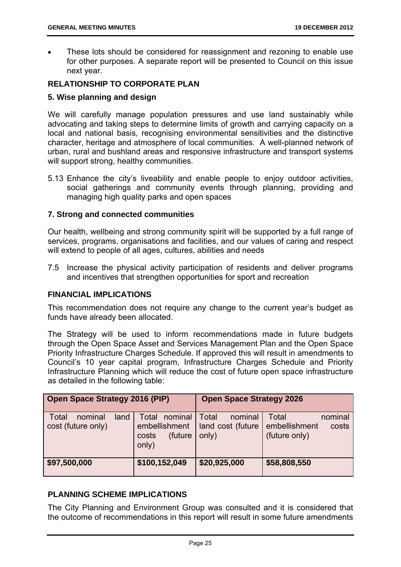These lots should be considered for reassignment and rezoning to enable use for other purposes. A separate report will be presented to Council on this issue next year.

#### **RELATIONSHIP TO CORPORATE PLAN**

#### **5. Wise planning and design**

We will carefully manage population pressures and use land sustainably while advocating and taking steps to determine limits of growth and carrying capacity on a local and national basis, recognising environmental sensitivities and the distinctive character, heritage and atmosphere of local communities. A well-planned network of urban, rural and bushland areas and responsive infrastructure and transport systems will support strong, healthy communities.

5.13 Enhance the city's liveability and enable people to enjoy outdoor activities, social gatherings and community events through planning, providing and managing high quality parks and open spaces

#### **7. Strong and connected communities**

Our health, wellbeing and strong community spirit will be supported by a full range of services, programs, organisations and facilities, and our values of caring and respect will extend to people of all ages, cultures, abilities and needs

7.5 Increase the physical activity participation of residents and deliver programs and incentives that strengthen opportunities for sport and recreation

#### **FINANCIAL IMPLICATIONS**

This recommendation does not require any change to the current year's budget as funds have already been allocated.

The Strategy will be used to inform recommendations made in future budgets through the Open Space Asset and Services Management Plan and the Open Space Priority Infrastructure Charges Schedule. If approved this will result in amendments to Council's 10 year capital program, Infrastructure Charges Schedule and Priority Infrastructure Planning which will reduce the cost of future open space infrastructure as detailed in the following table:

| <b>Open Space Strategy 2016 (PIP)</b>          |                                                                | <b>Open Space Strategy 2026</b>                |                                                             |
|------------------------------------------------|----------------------------------------------------------------|------------------------------------------------|-------------------------------------------------------------|
| Total<br>land<br>nominal<br>cost (future only) | Total<br>nominal<br>embellishment<br>(future<br>costs<br>only) | Total<br>nominal<br>land cost (future<br>only) | Total<br>nominal<br>embellishment<br>costs<br>(future only) |
| \$97,500,000                                   | \$100,152,049                                                  | \$20,925,000                                   | \$58,808,550                                                |

#### **PLANNING SCHEME IMPLICATIONS**

The City Planning and Environment Group was consulted and it is considered that the outcome of recommendations in this report will result in some future amendments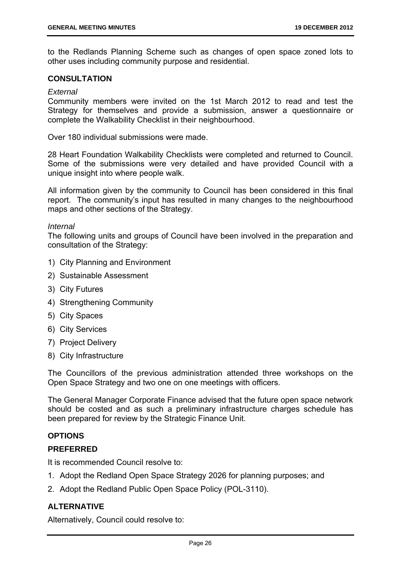to the Redlands Planning Scheme such as changes of open space zoned lots to other uses including community purpose and residential.

#### **CONSULTATION**

#### *External*

Community members were invited on the 1st March 2012 to read and test the Strategy for themselves and provide a submission, answer a questionnaire or complete the Walkability Checklist in their neighbourhood.

Over 180 individual submissions were made.

28 Heart Foundation Walkability Checklists were completed and returned to Council. Some of the submissions were very detailed and have provided Council with a unique insight into where people walk.

All information given by the community to Council has been considered in this final report. The community's input has resulted in many changes to the neighbourhood maps and other sections of the Strategy.

#### *Internal*

The following units and groups of Council have been involved in the preparation and consultation of the Strategy:

- 1) City Planning and Environment
- 2) Sustainable Assessment
- 3) City Futures
- 4) Strengthening Community
- 5) City Spaces
- 6) City Services
- 7) Project Delivery
- 8) City Infrastructure

The Councillors of the previous administration attended three workshops on the Open Space Strategy and two one on one meetings with officers.

The General Manager Corporate Finance advised that the future open space network should be costed and as such a preliminary infrastructure charges schedule has been prepared for review by the Strategic Finance Unit.

#### **OPTIONS**

#### **PREFERRED**

It is recommended Council resolve to:

- 1. Adopt the Redland Open Space Strategy 2026 for planning purposes; and
- 2. Adopt the Redland Public Open Space Policy (POL-3110).

#### **ALTERNATIVE**

Alternatively, Council could resolve to: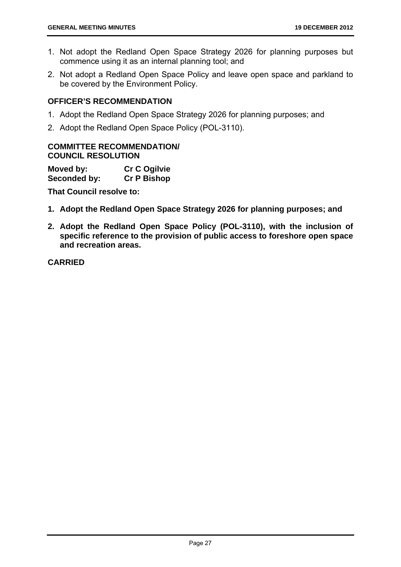- 1. Not adopt the Redland Open Space Strategy 2026 for planning purposes but commence using it as an internal planning tool; and
- 2. Not adopt a Redland Open Space Policy and leave open space and parkland to be covered by the Environment Policy.

#### **OFFICER'S RECOMMENDATION**

- 1. Adopt the Redland Open Space Strategy 2026 for planning purposes; and
- 2. Adopt the Redland Open Space Policy (POL-3110).

#### **COMMITTEE RECOMMENDATION/ COUNCIL RESOLUTION**

| Moved by:    | <b>Cr C Ogilvie</b> |
|--------------|---------------------|
| Seconded by: | <b>Cr P Bishop</b>  |

**That Council resolve to:** 

- **1. Adopt the Redland Open Space Strategy 2026 for planning purposes; and**
- **2. Adopt the Redland Open Space Policy (POL-3110), with the inclusion of specific reference to the provision of public access to foreshore open space and recreation areas.**

**CARRIED**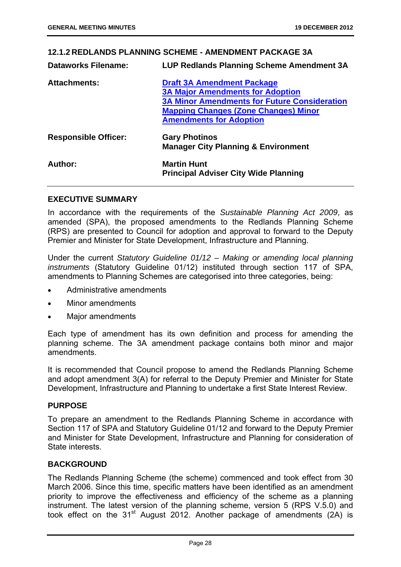#### **12.1.2 REDLANDS PLANNING SCHEME - AMENDMENT PACKAGE 3A Dataworks Filename: LUP Redlands Planning Scheme Amendment 3A Attachments: Draft 3A Amendment Package 3A Major Amendments for Adoption 3A Minor Amendments for Future Consideration Mapping Changes (Zone Changes) Minor Amendments for Adoption Responsible Officer: Gary Photinos Manager City Planning & Environment Author: Martin Hunt Principal Adviser City Wide Planning**

#### **EXECUTIVE SUMMARY**

In accordance with the requirements of the *Sustainable Planning Act 2009*, as amended (SPA), the proposed amendments to the Redlands Planning Scheme (RPS) are presented to Council for adoption and approval to forward to the Deputy Premier and Minister for State Development, Infrastructure and Planning.

Under the current *Statutory Guideline 01/12 – Making or amending local planning instruments* (Statutory Guideline 01/12) instituted through section 117 of SPA, amendments to Planning Schemes are categorised into three categories, being:

- Administrative amendments
- Minor amendments
- Major amendments

Each type of amendment has its own definition and process for amending the planning scheme. The 3A amendment package contains both minor and major amendments.

It is recommended that Council propose to amend the Redlands Planning Scheme and adopt amendment 3(A) for referral to the Deputy Premier and Minister for State Development, Infrastructure and Planning to undertake a first State Interest Review.

#### **PURPOSE**

To prepare an amendment to the Redlands Planning Scheme in accordance with Section 117 of SPA and Statutory Guideline 01/12 and forward to the Deputy Premier and Minister for State Development, Infrastructure and Planning for consideration of State interests.

#### **BACKGROUND**

The Redlands Planning Scheme (the scheme) commenced and took effect from 30 March 2006. Since this time, specific matters have been identified as an amendment priority to improve the effectiveness and efficiency of the scheme as a planning instrument. The latest version of the planning scheme, version 5 (RPS V.5.0) and took effect on the 31<sup>st</sup> August 2012. Another package of amendments  $(2A)$  is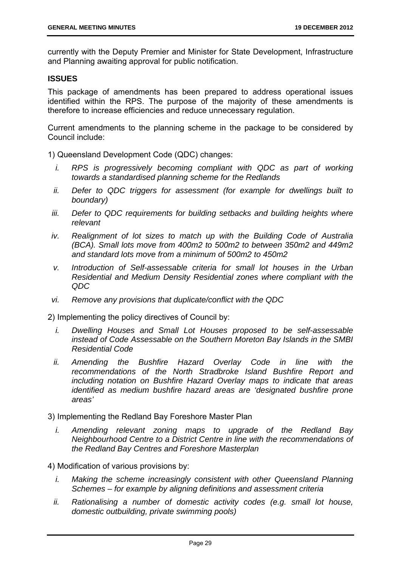currently with the Deputy Premier and Minister for State Development, Infrastructure and Planning awaiting approval for public notification.

#### **ISSUES**

This package of amendments has been prepared to address operational issues identified within the RPS. The purpose of the majority of these amendments is therefore to increase efficiencies and reduce unnecessary regulation.

Current amendments to the planning scheme in the package to be considered by Council include:

1) Queensland Development Code (QDC) changes:

- *i.* RPS is progressively becoming compliant with QDC as part of working *towards a standardised planning scheme for the Redlands*
- *ii. Defer to QDC triggers for assessment (for example for dwellings built to boundary)*
- *iii.* Defer to QDC requirements for building setbacks and building heights where *relevant*
- *iv.* Realignment of lot sizes to match up with the Building Code of Australia *(BCA). Small lots move from 400m2 to 500m2 to between 350m2 and 449m2 and standard lots move from a minimum of 500m2 to 450m2*
- *v. Introduction of Self-assessable criteria for small lot houses in the Urban Residential and Medium Density Residential zones where compliant with the QDC*
- *vi. Remove any provisions that duplicate/conflict with the QDC*

2) Implementing the policy directives of Council by:

- *i. Dwelling Houses and Small Lot Houses proposed to be self-assessable instead of Code Assessable on the Southern Moreton Bay Islands in the SMBI Residential Code*
- *ii. Amending the Bushfire Hazard Overlay Code in line with the recommendations of the North Stradbroke Island Bushfire Report and including notation on Bushfire Hazard Overlay maps to indicate that areas identified as medium bushfire hazard areas are 'designated bushfire prone areas'*

3) Implementing the Redland Bay Foreshore Master Plan

*i. Amending relevant zoning maps to upgrade of the Redland Bay Neighbourhood Centre to a District Centre in line with the recommendations of the Redland Bay Centres and Foreshore Masterplan* 

4) Modification of various provisions by:

- *i.* Making the scheme increasingly consistent with other Queensland Planning *Schemes – for example by aligning definitions and assessment criteria*
- *ii. Rationalising a number of domestic activity codes (e.g. small lot house, domestic outbuilding, private swimming pools)*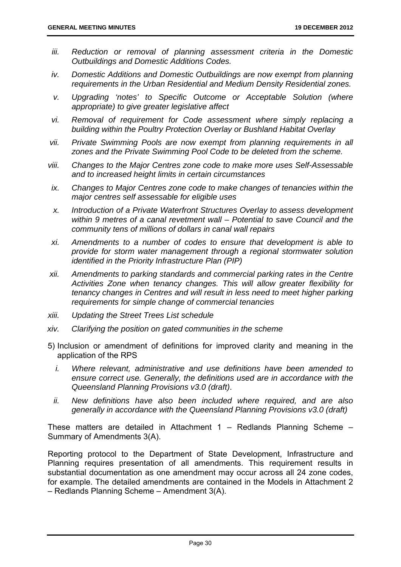- iii. Reduction or removal of planning assessment criteria in the Domestic *Outbuildings and Domestic Additions Codes.*
- *iv. Domestic Additions and Domestic Outbuildings are now exempt from planning requirements in the Urban Residential and Medium Density Residential zones.*
- *v. Upgrading 'notes' to Specific Outcome or Acceptable Solution (where appropriate) to give greater legislative affect*
- *vi. Removal of requirement for Code assessment where simply replacing a building within the Poultry Protection Overlay or Bushland Habitat Overlay*
- *vii. Private Swimming Pools are now exempt from planning requirements in all zones and the Private Swimming Pool Code to be deleted from the scheme.*
- *viii. Changes to the Major Centres zone code to make more uses Self-Assessable and to increased height limits in certain circumstances*
- *ix. Changes to Major Centres zone code to make changes of tenancies within the major centres self assessable for eligible uses*
- *x. Introduction of a Private Waterfront Structures Overlay to assess development within 9 metres of a canal revetment wall – Potential to save Council and the community tens of millions of dollars in canal wall repairs*
- *xi. Amendments to a number of codes to ensure that development is able to provide for storm water management through a regional stormwater solution identified in the Priority Infrastructure Plan (PIP)*
- *xii. Amendments to parking standards and commercial parking rates in the Centre Activities Zone when tenancy changes. This will allow greater flexibility for tenancy changes in Centres and will result in less need to meet higher parking requirements for simple change of commercial tenancies*
- *xiii. Updating the Street Trees List schedule*
- *xiv. Clarifying the position on gated communities in the scheme*
- 5) Inclusion or amendment of definitions for improved clarity and meaning in the application of the RPS
	- *i. Where relevant, administrative and use definitions have been amended to ensure correct use. Generally, the definitions used are in accordance with the Queensland Planning Provisions v3.0 (draft)*.
	- *ii. New definitions have also been included where required, and are also generally in accordance with the Queensland Planning Provisions v3.0 (draft)*

These matters are detailed in Attachment 1 – Redlands Planning Scheme – Summary of Amendments 3(A).

Reporting protocol to the Department of State Development, Infrastructure and Planning requires presentation of all amendments. This requirement results in substantial documentation as one amendment may occur across all 24 zone codes, for example. The detailed amendments are contained in the Models in Attachment 2 – Redlands Planning Scheme – Amendment 3(A).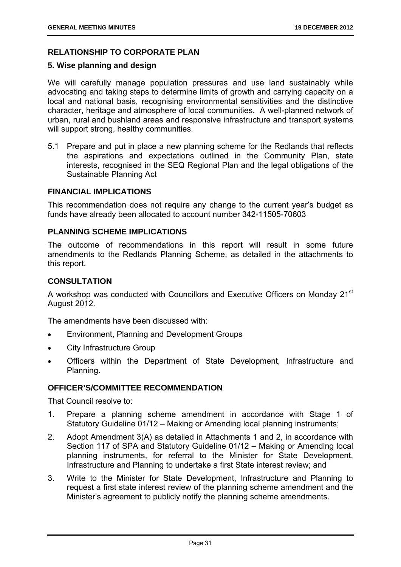#### **RELATIONSHIP TO CORPORATE PLAN**

#### **5. Wise planning and design**

We will carefully manage population pressures and use land sustainably while advocating and taking steps to determine limits of growth and carrying capacity on a local and national basis, recognising environmental sensitivities and the distinctive character, heritage and atmosphere of local communities. A well-planned network of urban, rural and bushland areas and responsive infrastructure and transport systems will support strong, healthy communities.

5.1 Prepare and put in place a new planning scheme for the Redlands that reflects the aspirations and expectations outlined in the Community Plan, state interests, recognised in the SEQ Regional Plan and the legal obligations of the Sustainable Planning Act

#### **FINANCIAL IMPLICATIONS**

This recommendation does not require any change to the current year's budget as funds have already been allocated to account number 342-11505-70603

#### **PLANNING SCHEME IMPLICATIONS**

The outcome of recommendations in this report will result in some future amendments to the Redlands Planning Scheme, as detailed in the attachments to this report.

#### **CONSULTATION**

A workshop was conducted with Councillors and Executive Officers on Monday 21<sup>st</sup> August 2012.

The amendments have been discussed with:

- Environment, Planning and Development Groups
- City Infrastructure Group
- Officers within the Department of State Development, Infrastructure and Planning.

#### **OFFICER'S/COMMITTEE RECOMMENDATION**

That Council resolve to:

- 1. Prepare a planning scheme amendment in accordance with Stage 1 of Statutory Guideline 01/12 – Making or Amending local planning instruments;
- 2. Adopt Amendment 3(A) as detailed in Attachments 1 and 2, in accordance with Section 117 of SPA and Statutory Guideline 01/12 – Making or Amending local planning instruments, for referral to the Minister for State Development, Infrastructure and Planning to undertake a first State interest review; and
- 3. Write to the Minister for State Development, Infrastructure and Planning to request a first state interest review of the planning scheme amendment and the Minister's agreement to publicly notify the planning scheme amendments.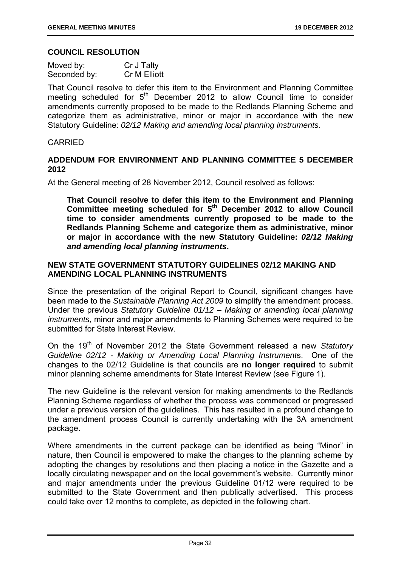#### **COUNCIL RESOLUTION**

| Moved by:    | Cr J Talty   |
|--------------|--------------|
| Seconded by: | Cr M Elliott |

That Council resolve to defer this item to the Environment and Planning Committee meeting scheduled for  $5<sup>th</sup>$  December 2012 to allow Council time to consider amendments currently proposed to be made to the Redlands Planning Scheme and categorize them as administrative, minor or major in accordance with the new Statutory Guideline: *02/12 Making and amending local planning instruments*.

#### CARRIED

# **ADDENDUM FOR ENVIRONMENT AND PLANNING COMMITTEE 5 DECEMBER 2012**

At the General meeting of 28 November 2012, Council resolved as follows:

**That Council resolve to defer this item to the Environment and Planning Committee meeting scheduled for 5th December 2012 to allow Council time to consider amendments currently proposed to be made to the Redlands Planning Scheme and categorize them as administrative, minor or major in accordance with the new Statutory Guideline:** *02/12 Making and amending local planning instruments***.** 

# **NEW STATE GOVERNMENT STATUTORY GUIDELINES 02/12 MAKING AND AMENDING LOCAL PLANNING INSTRUMENTS**

Since the presentation of the original Report to Council, significant changes have been made to the *Sustainable Planning Act 2009* to simplify the amendment process. Under the previous *Statutory Guideline 01/12 – Making or amending local planning instruments*, minor and major amendments to Planning Schemes were required to be submitted for State Interest Review.

On the 19<sup>th</sup> of November 2012 the State Government released a new Statutory *Guideline 02/12 - Making or Amending Local Planning Instrument*s. One of the changes to the 02/12 Guideline is that councils are **no longer required** to submit minor planning scheme amendments for State Interest Review (see Figure 1).

The new Guideline is the relevant version for making amendments to the Redlands Planning Scheme regardless of whether the process was commenced or progressed under a previous version of the guidelines. This has resulted in a profound change to the amendment process Council is currently undertaking with the 3A amendment package.

Where amendments in the current package can be identified as being "Minor" in nature, then Council is empowered to make the changes to the planning scheme by adopting the changes by resolutions and then placing a notice in the Gazette and a locally circulating newspaper and on the local government's website. Currently minor and major amendments under the previous Guideline 01/12 were required to be submitted to the State Government and then publically advertised. This process could take over 12 months to complete, as depicted in the following chart.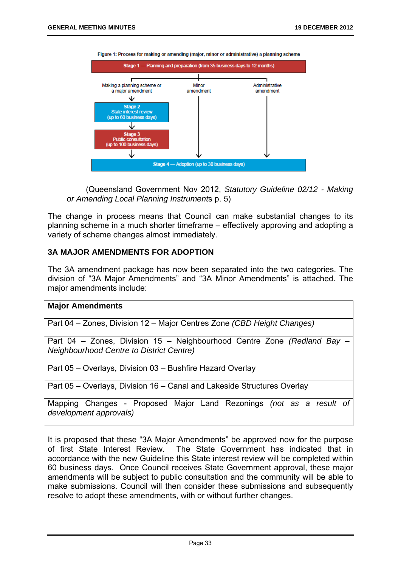

Figure 1: Process for making or amending (major, minor or administrative) a planning scheme

(Queensland Government Nov 2012, *Statutory Guideline 02/12 - Making or Amending Local Planning Instrument*s p. 5)

The change in process means that Council can make substantial changes to its planning scheme in a much shorter timeframe – effectively approving and adopting a variety of scheme changes almost immediately.

# **3A MAJOR AMENDMENTS FOR ADOPTION**

The 3A amendment package has now been separated into the two categories. The division of "3A Major Amendments" and "3A Minor Amendments" is attached. The major amendments include:

#### **Major Amendments**

Part 04 – Zones, Division 12 – Major Centres Zone *(CBD Height Changes)*

Part 04 – Zones, Division 15 – Neighbourhood Centre Zone *(Redland Bay – Neighbourhood Centre to District Centre)*

Part 05 – Overlays, Division 03 – Bushfire Hazard Overlay

Part 05 – Overlays, Division 16 – Canal and Lakeside Structures Overlay

Mapping Changes - Proposed Major Land Rezonings *(not as a result of development approvals)* 

It is proposed that these "3A Major Amendments" be approved now for the purpose of first State Interest Review. The State Government has indicated that in accordance with the new Guideline this State interest review will be completed within 60 business days. Once Council receives State Government approval, these major amendments will be subject to public consultation and the community will be able to make submissions. Council will then consider these submissions and subsequently resolve to adopt these amendments, with or without further changes.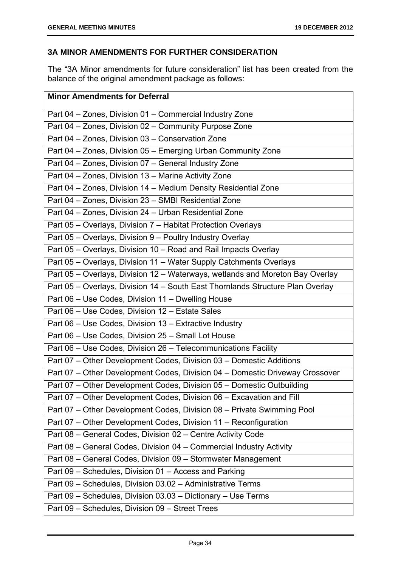# **3A MINOR AMENDMENTS FOR FURTHER CONSIDERATION**

The "3A Minor amendments for future consideration" list has been created from the balance of the original amendment package as follows:

| <b>Minor Amendments for Deferral</b>                                           |
|--------------------------------------------------------------------------------|
| Part 04 - Zones, Division 01 - Commercial Industry Zone                        |
| Part 04 - Zones, Division 02 - Community Purpose Zone                          |
| Part 04 - Zones, Division 03 - Conservation Zone                               |
| Part 04 - Zones, Division 05 - Emerging Urban Community Zone                   |
| Part 04 - Zones, Division 07 - General Industry Zone                           |
| Part 04 - Zones, Division 13 - Marine Activity Zone                            |
| Part 04 - Zones, Division 14 - Medium Density Residential Zone                 |
| Part 04 - Zones, Division 23 - SMBI Residential Zone                           |
| Part 04 - Zones, Division 24 - Urban Residential Zone                          |
| Part 05 - Overlays, Division 7 - Habitat Protection Overlays                   |
| Part 05 - Overlays, Division 9 - Poultry Industry Overlay                      |
| Part 05 - Overlays, Division 10 - Road and Rail Impacts Overlay                |
| Part 05 - Overlays, Division 11 - Water Supply Catchments Overlays             |
| Part 05 - Overlays, Division 12 - Waterways, wetlands and Moreton Bay Overlay  |
| Part 05 - Overlays, Division 14 - South East Thornlands Structure Plan Overlay |
| Part 06 - Use Codes, Division 11 - Dwelling House                              |
| Part 06 - Use Codes, Division 12 - Estate Sales                                |
| Part 06 - Use Codes, Division 13 - Extractive Industry                         |
| Part 06 - Use Codes, Division 25 - Small Lot House                             |
| Part 06 - Use Codes, Division 26 - Telecommunications Facility                 |
| Part 07 - Other Development Codes, Division 03 - Domestic Additions            |
| Part 07 - Other Development Codes, Division 04 - Domestic Driveway Crossover   |
| Part 07 - Other Development Codes, Division 05 - Domestic Outbuilding          |
| Part 07 - Other Development Codes, Division 06 - Excavation and Fill           |
| Part 07 – Other Development Codes, Division 08 – Private Swimming Pool         |
| Part 07 - Other Development Codes, Division 11 - Reconfiguration               |
| Part 08 - General Codes, Division 02 - Centre Activity Code                    |
| Part 08 - General Codes, Division 04 - Commercial Industry Activity            |
| Part 08 - General Codes, Division 09 - Stormwater Management                   |
| Part 09 - Schedules, Division 01 - Access and Parking                          |
| Part 09 - Schedules, Division 03.02 - Administrative Terms                     |
| Part 09 - Schedules, Division 03.03 - Dictionary - Use Terms                   |
| Part 09 - Schedules, Division 09 - Street Trees                                |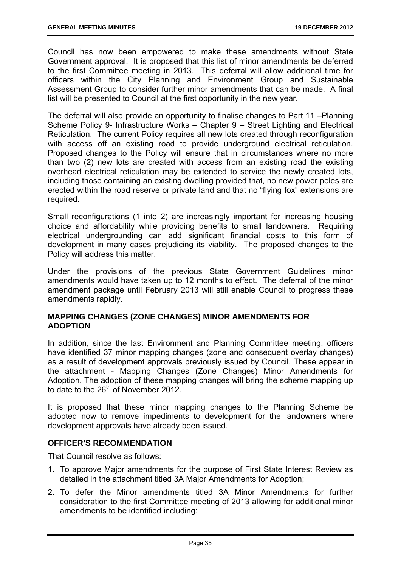Council has now been empowered to make these amendments without State Government approval. It is proposed that this list of minor amendments be deferred to the first Committee meeting in 2013. This deferral will allow additional time for officers within the City Planning and Environment Group and Sustainable Assessment Group to consider further minor amendments that can be made. A final list will be presented to Council at the first opportunity in the new year.

The deferral will also provide an opportunity to finalise changes to Part 11 –Planning Scheme Policy 9- Infrastructure Works – Chapter 9 – Street Lighting and Electrical Reticulation. The current Policy requires all new lots created through reconfiguration with access off an existing road to provide underground electrical reticulation. Proposed changes to the Policy will ensure that in circumstances where no more than two (2) new lots are created with access from an existing road the existing overhead electrical reticulation may be extended to service the newly created lots, including those containing an existing dwelling provided that, no new power poles are erected within the road reserve or private land and that no "flying fox" extensions are required.

Small reconfigurations (1 into 2) are increasingly important for increasing housing choice and affordability while providing benefits to small landowners. Requiring electrical undergrounding can add significant financial costs to this form of development in many cases prejudicing its viability. The proposed changes to the Policy will address this matter.

Under the provisions of the previous State Government Guidelines minor amendments would have taken up to 12 months to effect. The deferral of the minor amendment package until February 2013 will still enable Council to progress these amendments rapidly.

# **MAPPING CHANGES (ZONE CHANGES) MINOR AMENDMENTS FOR ADOPTION**

In addition, since the last Environment and Planning Committee meeting, officers have identified 37 minor mapping changes (zone and consequent overlay changes) as a result of development approvals previously issued by Council. These appear in the attachment - Mapping Changes (Zone Changes) Minor Amendments for Adoption. The adoption of these mapping changes will bring the scheme mapping up to date to the  $26<sup>th</sup>$  of November 2012.

It is proposed that these minor mapping changes to the Planning Scheme be adopted now to remove impediments to development for the landowners where development approvals have already been issued.

# **OFFICER'S RECOMMENDATION**

That Council resolve as follows:

- 1. To approve Major amendments for the purpose of First State Interest Review as detailed in the attachment titled 3A Major Amendments for Adoption;
- 2. To defer the Minor amendments titled 3A Minor Amendments for further consideration to the first Committee meeting of 2013 allowing for additional minor amendments to be identified including: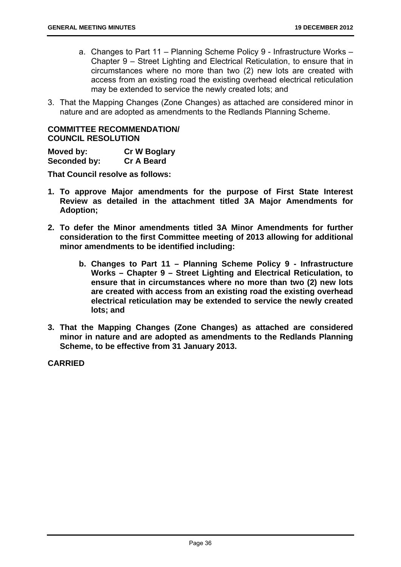- a. Changes to Part 11 Planning Scheme Policy 9 Infrastructure Works Chapter 9 – Street Lighting and Electrical Reticulation, to ensure that in circumstances where no more than two (2) new lots are created with access from an existing road the existing overhead electrical reticulation may be extended to service the newly created lots; and
- 3. That the Mapping Changes (Zone Changes) as attached are considered minor in nature and are adopted as amendments to the Redlands Planning Scheme.

# **COMMITTEE RECOMMENDATION/ COUNCIL RESOLUTION**

**Moved by: Cr W Boglary Seconded by: Cr A Beard** 

**That Council resolve as follows:** 

- **1. To approve Major amendments for the purpose of First State Interest Review as detailed in the attachment titled 3A Major Amendments for Adoption;**
- **2. To defer the Minor amendments titled 3A Minor Amendments for further consideration to the first Committee meeting of 2013 allowing for additional minor amendments to be identified including:** 
	- **b. Changes to Part 11 Planning Scheme Policy 9 Infrastructure Works – Chapter 9 – Street Lighting and Electrical Reticulation, to ensure that in circumstances where no more than two (2) new lots are created with access from an existing road the existing overhead electrical reticulation may be extended to service the newly created lots; and**
- **3. That the Mapping Changes (Zone Changes) as attached are considered minor in nature and are adopted as amendments to the Redlands Planning Scheme, to be effective from 31 January 2013.**

**CARRIED**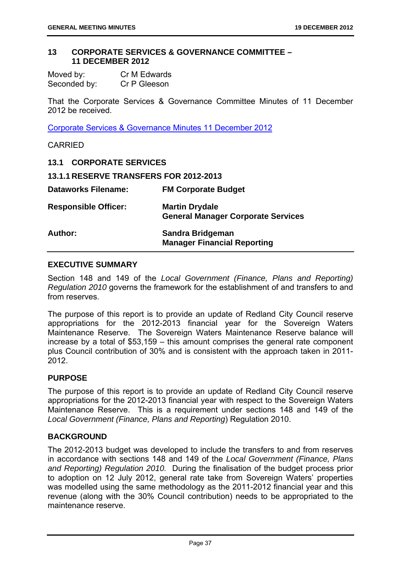#### **13 CORPORATE SERVICES & GOVERNANCE COMMITTEE – 11 DECEMBER 2012**

| Moved by:    | Cr M Edwards |
|--------------|--------------|
| Seconded by: | Cr P Gleeson |

That the Corporate Services & Governance Committee Minutes of 11 December 2012 be received.

Corporate Services & Governance Minutes 11 December 2012

CARRIED

| <b>13.1 CORPORATE SERVICES</b>                |                                                                    |
|-----------------------------------------------|--------------------------------------------------------------------|
| <b>13.1.1 RESERVE TRANSFERS FOR 2012-2013</b> |                                                                    |
| <b>Dataworks Filename:</b>                    | <b>FM Corporate Budget</b>                                         |
| <b>Responsible Officer:</b>                   | <b>Martin Drydale</b><br><b>General Manager Corporate Services</b> |
| Author:                                       | Sandra Bridgeman<br><b>Manager Financial Reporting</b>             |

#### **EXECUTIVE SUMMARY**

Section 148 and 149 of the *Local Government (Finance, Plans and Reporting) Regulation 2010* governs the framework for the establishment of and transfers to and from reserves.

The purpose of this report is to provide an update of Redland City Council reserve appropriations for the 2012-2013 financial year for the Sovereign Waters Maintenance Reserve. The Sovereign Waters Maintenance Reserve balance will increase by a total of \$53,159 – this amount comprises the general rate component plus Council contribution of 30% and is consistent with the approach taken in 2011- 2012.

# **PURPOSE**

The purpose of this report is to provide an update of Redland City Council reserve appropriations for the 2012-2013 financial year with respect to the Sovereign Waters Maintenance Reserve. This is a requirement under sections 148 and 149 of the *Local Government (Finance, Plans and Reporting*) Regulation 2010.

#### **BACKGROUND**

The 2012-2013 budget was developed to include the transfers to and from reserves in accordance with sections 148 and 149 of the *Local Government (Finance, Plans and Reporting) Regulation 2010.* During the finalisation of the budget process prior to adoption on 12 July 2012, general rate take from Sovereign Waters' properties was modelled using the same methodology as the 2011-2012 financial year and this revenue (along with the 30% Council contribution) needs to be appropriated to the maintenance reserve.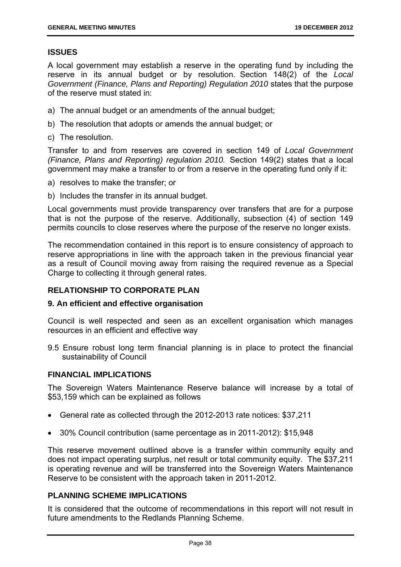# **ISSUES**

A local government may establish a reserve in the operating fund by including the reserve in its annual budget or by resolution. Section 148(2) of the *Local Government (Finance, Plans and Reporting) Regulation 2010* states that the purpose of the reserve must stated in:

- a) The annual budget or an amendments of the annual budget;
- b) The resolution that adopts or amends the annual budget; or
- c) The resolution.

Transfer to and from reserves are covered in section 149 of *Local Government (Finance, Plans and Reporting) regulation 2010.* Section 149(2) states that a local government may make a transfer to or from a reserve in the operating fund only if it:

- a) resolves to make the transfer; or
- b) Includes the transfer in its annual budget.

Local governments must provide transparency over transfers that are for a purpose that is not the purpose of the reserve. Additionally, subsection (4) of section 149 permits councils to close reserves where the purpose of the reserve no longer exists.

The recommendation contained in this report is to ensure consistency of approach to reserve appropriations in line with the approach taken in the previous financial year as a result of Council moving away from raising the required revenue as a Special Charge to collecting it through general rates.

# **RELATIONSHIP TO CORPORATE PLAN**

#### **9. An efficient and effective organisation**

Council is well respected and seen as an excellent organisation which manages resources in an efficient and effective way

9.5 Ensure robust long term financial planning is in place to protect the financial sustainability of Council

# **FINANCIAL IMPLICATIONS**

The Sovereign Waters Maintenance Reserve balance will increase by a total of \$53,159 which can be explained as follows

- General rate as collected through the 2012-2013 rate notices: \$37,211
- 30% Council contribution (same percentage as in 2011-2012): \$15,948

This reserve movement outlined above is a transfer within community equity and does not impact operating surplus, net result or total community equity. The \$37,211 is operating revenue and will be transferred into the Sovereign Waters Maintenance Reserve to be consistent with the approach taken in 2011-2012.

# **PLANNING SCHEME IMPLICATIONS**

It is considered that the outcome of recommendations in this report will not result in future amendments to the Redlands Planning Scheme.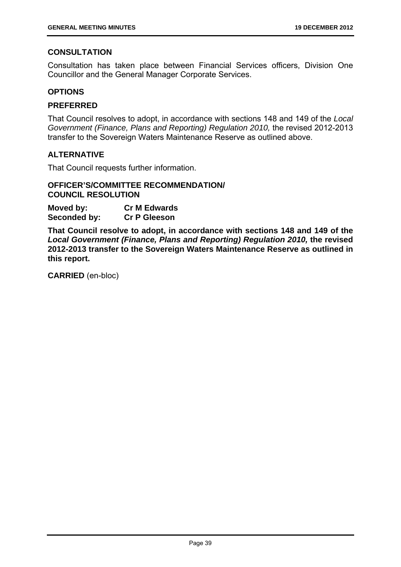# **CONSULTATION**

Consultation has taken place between Financial Services officers, Division One Councillor and the General Manager Corporate Services.

## **OPTIONS**

# **PREFERRED**

That Council resolves to adopt, in accordance with sections 148 and 149 of the *Local Government (Finance, Plans and Reporting) Regulation 2010,* the revised 2012-2013 transfer to the Sovereign Waters Maintenance Reserve as outlined above.

# **ALTERNATIVE**

That Council requests further information.

#### **OFFICER'S/COMMITTEE RECOMMENDATION/ COUNCIL RESOLUTION**

**Moved by: Cr M Edwards Seconded by: Cr P Gleeson** 

**That Council resolve to adopt, in accordance with sections 148 and 149 of the**  *Local Government (Finance, Plans and Reporting) Regulation 2010,* **the revised 2012-2013 transfer to the Sovereign Waters Maintenance Reserve as outlined in this report.**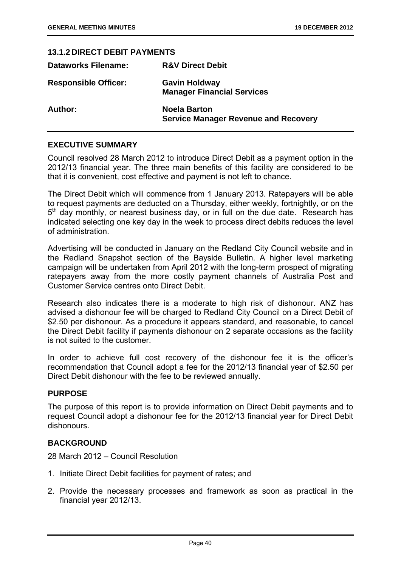| <b>13.1.2 DIRECT DEBIT PAYMENTS</b> |                                                                    |
|-------------------------------------|--------------------------------------------------------------------|
| <b>Dataworks Filename:</b>          | <b>R&amp;V Direct Debit</b>                                        |
| <b>Responsible Officer:</b>         | <b>Gavin Holdway</b><br><b>Manager Financial Services</b>          |
| Author:                             | <b>Noela Barton</b><br><b>Service Manager Revenue and Recovery</b> |

# **EXECUTIVE SUMMARY**

Council resolved 28 March 2012 to introduce Direct Debit as a payment option in the 2012/13 financial year. The three main benefits of this facility are considered to be that it is convenient, cost effective and payment is not left to chance.

The Direct Debit which will commence from 1 January 2013. Ratepayers will be able to request payments are deducted on a Thursday, either weekly, fortnightly, or on the  $5<sup>th</sup>$  day monthly, or nearest business day, or in full on the due date. Research has indicated selecting one key day in the week to process direct debits reduces the level of administration.

Advertising will be conducted in January on the Redland City Council website and in the Redland Snapshot section of the Bayside Bulletin. A higher level marketing campaign will be undertaken from April 2012 with the long-term prospect of migrating ratepayers away from the more costly payment channels of Australia Post and Customer Service centres onto Direct Debit.

Research also indicates there is a moderate to high risk of dishonour. ANZ has advised a dishonour fee will be charged to Redland City Council on a Direct Debit of \$2.50 per dishonour. As a procedure it appears standard, and reasonable, to cancel the Direct Debit facility if payments dishonour on 2 separate occasions as the facility is not suited to the customer.

In order to achieve full cost recovery of the dishonour fee it is the officer's recommendation that Council adopt a fee for the 2012/13 financial year of \$2.50 per Direct Debit dishonour with the fee to be reviewed annually.

#### **PURPOSE**

The purpose of this report is to provide information on Direct Debit payments and to request Council adopt a dishonour fee for the 2012/13 financial year for Direct Debit dishonours.

#### **BACKGROUND**

28 March 2012 – Council Resolution

- 1. Initiate Direct Debit facilities for payment of rates; and
- 2. Provide the necessary processes and framework as soon as practical in the financial year 2012/13.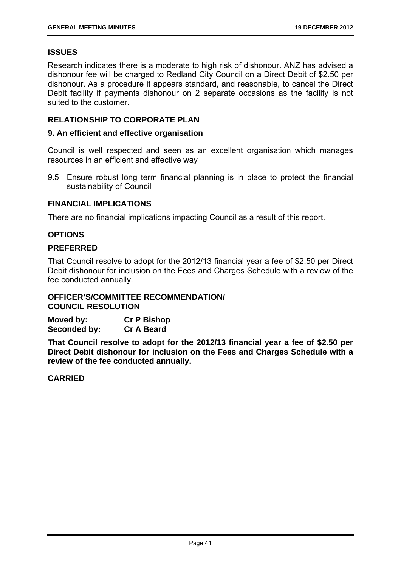# **ISSUES**

Research indicates there is a moderate to high risk of dishonour. ANZ has advised a dishonour fee will be charged to Redland City Council on a Direct Debit of \$2.50 per dishonour. As a procedure it appears standard, and reasonable, to cancel the Direct Debit facility if payments dishonour on 2 separate occasions as the facility is not suited to the customer.

# **RELATIONSHIP TO CORPORATE PLAN**

#### **9. An efficient and effective organisation**

Council is well respected and seen as an excellent organisation which manages resources in an efficient and effective way

9.5 Ensure robust long term financial planning is in place to protect the financial sustainability of Council

#### **FINANCIAL IMPLICATIONS**

There are no financial implications impacting Council as a result of this report.

#### **OPTIONS**

#### **PREFERRED**

That Council resolve to adopt for the 2012/13 financial year a fee of \$2.50 per Direct Debit dishonour for inclusion on the Fees and Charges Schedule with a review of the fee conducted annually.

# **OFFICER'S/COMMITTEE RECOMMENDATION/ COUNCIL RESOLUTION**

| Moved by:    | <b>Cr P Bishop</b> |
|--------------|--------------------|
| Seconded by: | <b>Cr A Beard</b>  |

**That Council resolve to adopt for the 2012/13 financial year a fee of \$2.50 per Direct Debit dishonour for inclusion on the Fees and Charges Schedule with a review of the fee conducted annually.** 

#### **CARRIED**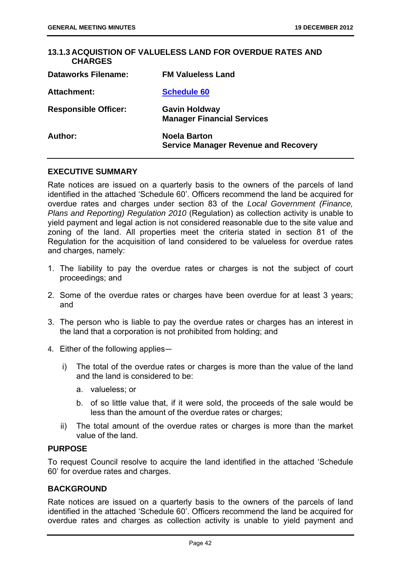| 13.1.3 ACQUISTION OF VALUELESS LAND FOR OVERDUE RATES AND<br><b>CHARGES</b> |                                                                    |
|-----------------------------------------------------------------------------|--------------------------------------------------------------------|
| <b>Dataworks Filename:</b>                                                  | <b>FM Valueless Land</b>                                           |
| Attachment:                                                                 | <b>Schedule 60</b>                                                 |
| <b>Responsible Officer:</b>                                                 | <b>Gavin Holdway</b><br><b>Manager Financial Services</b>          |
| Author:                                                                     | <b>Noela Barton</b><br><b>Service Manager Revenue and Recovery</b> |

#### **EXECUTIVE SUMMARY**

Rate notices are issued on a quarterly basis to the owners of the parcels of land identified in the attached 'Schedule 60'. Officers recommend the land be acquired for overdue rates and charges under section 83 of the *Local Government (Finance, Plans and Reporting) Regulation 2010* (Regulation) as collection activity is unable to yield payment and legal action is not considered reasonable due to the site value and zoning of the land. All properties meet the criteria stated in section 81 of the Regulation for the acquisition of land considered to be valueless for overdue rates and charges, namely:

- 1. The liability to pay the overdue rates or charges is not the subject of court proceedings; and
- 2. Some of the overdue rates or charges have been overdue for at least 3 years; and
- 3. The person who is liable to pay the overdue rates or charges has an interest in the land that a corporation is not prohibited from holding; and
- 4. Either of the following applies―
	- i) The total of the overdue rates or charges is more than the value of the land and the land is considered to be:
		- a. valueless; or
		- b. of so little value that, if it were sold, the proceeds of the sale would be less than the amount of the overdue rates or charges:
	- ii) The total amount of the overdue rates or charges is more than the market value of the land.

#### **PURPOSE**

To request Council resolve to acquire the land identified in the attached 'Schedule 60' for overdue rates and charges.

#### **BACKGROUND**

Rate notices are issued on a quarterly basis to the owners of the parcels of land identified in the attached 'Schedule 60'. Officers recommend the land be acquired for overdue rates and charges as collection activity is unable to yield payment and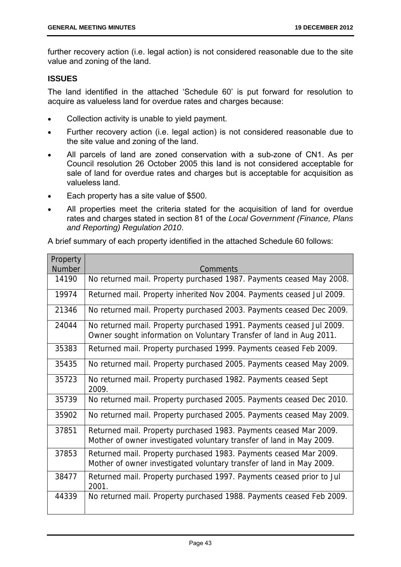further recovery action (i.e. legal action) is not considered reasonable due to the site value and zoning of the land.

# **ISSUES**

The land identified in the attached 'Schedule 60' is put forward for resolution to acquire as valueless land for overdue rates and charges because:

- Collection activity is unable to yield payment.
- Further recovery action (i.e. legal action) is not considered reasonable due to the site value and zoning of the land.
- All parcels of land are zoned conservation with a sub-zone of CN1. As per Council resolution 26 October 2005 this land is not considered acceptable for sale of land for overdue rates and charges but is acceptable for acquisition as valueless land.
- Each property has a site value of \$500.
- All properties meet the criteria stated for the acquisition of land for overdue rates and charges stated in section 81 of the *Local Government (Finance, Plans and Reporting) Regulation 2010*.

A brief summary of each property identified in the attached Schedule 60 follows:

| Property      |                                                                                                                                             |
|---------------|---------------------------------------------------------------------------------------------------------------------------------------------|
| <b>Number</b> | <b>Comments</b>                                                                                                                             |
| 14190         | No returned mail. Property purchased 1987. Payments ceased May 2008.                                                                        |
| 19974         | Returned mail. Property inherited Nov 2004. Payments ceased Jul 2009.                                                                       |
| 21346         | No returned mail. Property purchased 2003. Payments ceased Dec 2009.                                                                        |
| 24044         | No returned mail. Property purchased 1991. Payments ceased Jul 2009.<br>Owner sought information on Voluntary Transfer of land in Aug 2011. |
| 35383         | Returned mail. Property purchased 1999. Payments ceased Feb 2009.                                                                           |
| 35435         | No returned mail. Property purchased 2005. Payments ceased May 2009.                                                                        |
| 35723         | No returned mail. Property purchased 1982. Payments ceased Sept<br>2009.                                                                    |
| 35739         | No returned mail. Property purchased 2005. Payments ceased Dec 2010.                                                                        |
| 35902         | No returned mail. Property purchased 2005. Payments ceased May 2009.                                                                        |
| 37851         | Returned mail. Property purchased 1983. Payments ceased Mar 2009.<br>Mother of owner investigated voluntary transfer of land in May 2009.   |
| 37853         | Returned mail. Property purchased 1983. Payments ceased Mar 2009.<br>Mother of owner investigated voluntary transfer of land in May 2009.   |
| 38477         | Returned mail. Property purchased 1997. Payments ceased prior to Jul<br>2001.                                                               |
| 44339         | No returned mail. Property purchased 1988. Payments ceased Feb 2009.                                                                        |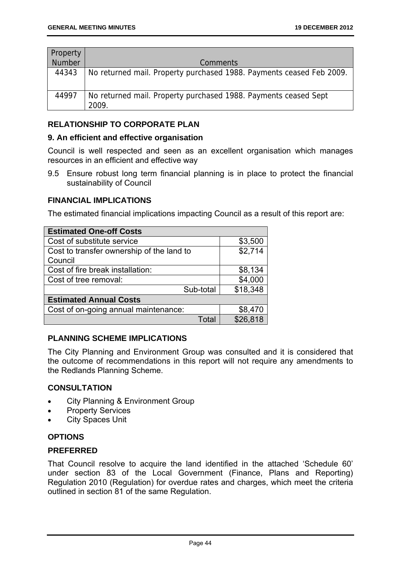| Property      |                                                                          |
|---------------|--------------------------------------------------------------------------|
| <b>Number</b> | <b>Comments</b>                                                          |
| 44343         | No returned mail. Property purchased 1988. Payments ceased Feb 2009.     |
| 44997         | No returned mail. Property purchased 1988. Payments ceased Sept<br>2009. |

# **RELATIONSHIP TO CORPORATE PLAN**

## **9. An efficient and effective organisation**

Council is well respected and seen as an excellent organisation which manages resources in an efficient and effective way

9.5 Ensure robust long term financial planning is in place to protect the financial sustainability of Council

# **FINANCIAL IMPLICATIONS**

The estimated financial implications impacting Council as a result of this report are:

| <b>Estimated One-off Costs</b>            |          |
|-------------------------------------------|----------|
| Cost of substitute service                | \$3,500  |
| Cost to transfer ownership of the land to | \$2,714  |
| Council                                   |          |
| Cost of fire break installation:          | \$8,134  |
| Cost of tree removal:                     | \$4,000  |
| Sub-total                                 | \$18,348 |
| <b>Estimated Annual Costs</b>             |          |
| Cost of on-going annual maintenance:      | \$8,470  |
| Total                                     | \$26,818 |

# **PLANNING SCHEME IMPLICATIONS**

The City Planning and Environment Group was consulted and it is considered that the outcome of recommendations in this report will not require any amendments to the Redlands Planning Scheme.

#### **CONSULTATION**

- City Planning & Environment Group
- Property Services
- City Spaces Unit

# **OPTIONS**

#### **PREFERRED**

That Council resolve to acquire the land identified in the attached 'Schedule 60' under section 83 of the Local Government (Finance, Plans and Reporting) Regulation 2010 (Regulation) for overdue rates and charges, which meet the criteria outlined in section 81 of the same Regulation.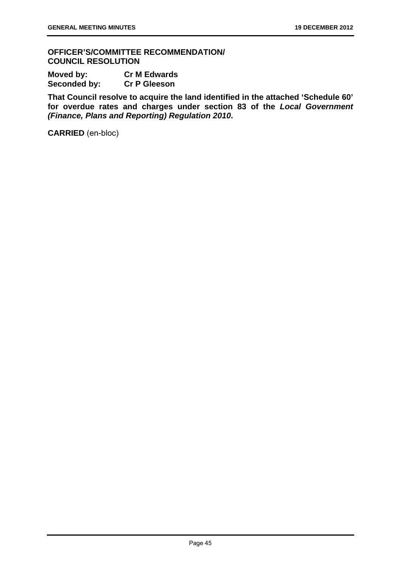**OFFICER'S/COMMITTEE RECOMMENDATION/ COUNCIL RESOLUTION** 

| Moved by:    | <b>Cr M Edwards</b> |
|--------------|---------------------|
| Seconded by: | <b>Cr P Gleeson</b> |

**That Council resolve to acquire the land identified in the attached 'Schedule 60' for overdue rates and charges under section 83 of the** *Local Government (Finance, Plans and Reporting) Regulation 2010***.**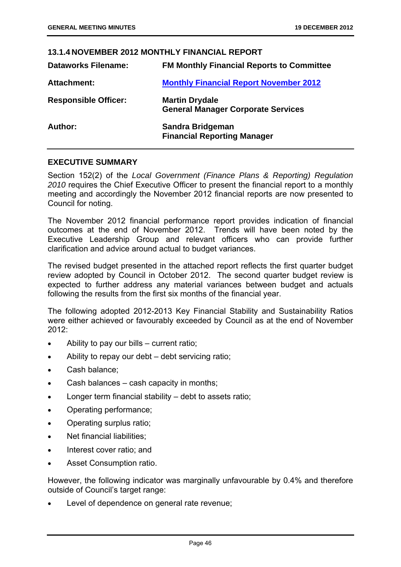# **13.1.4 NOVEMBER 2012 MONTHLY FINANCIAL REPORT Dataworks Filename: FM Monthly Financial Reports to Committee**  Attachment: Monthly Financial Report November 2012 **Responsible Officer: Martin Drydale General Manager Corporate Services Author: Sandra Bridgeman Financial Reporting Manager**

# **EXECUTIVE SUMMARY**

Section 152(2) of the *Local Government (Finance Plans & Reporting) Regulation 2010* requires the Chief Executive Officer to present the financial report to a monthly meeting and accordingly the November 2012 financial reports are now presented to Council for noting.

The November 2012 financial performance report provides indication of financial outcomes at the end of November 2012. Trends will have been noted by the Executive Leadership Group and relevant officers who can provide further clarification and advice around actual to budget variances.

The revised budget presented in the attached report reflects the first quarter budget review adopted by Council in October 2012. The second quarter budget review is expected to further address any material variances between budget and actuals following the results from the first six months of the financial year.

The following adopted 2012-2013 Key Financial Stability and Sustainability Ratios were either achieved or favourably exceeded by Council as at the end of November 2012:

- Ability to pay our bills current ratio;
- Ability to repay our debt debt servicing ratio;
- Cash balance;
- Cash balances cash capacity in months;
- Longer term financial stability debt to assets ratio;
- Operating performance;
- Operating surplus ratio;
- Net financial liabilities:
- Interest cover ratio; and
- Asset Consumption ratio.

However, the following indicator was marginally unfavourable by 0.4% and therefore outside of Council's target range:

Level of dependence on general rate revenue;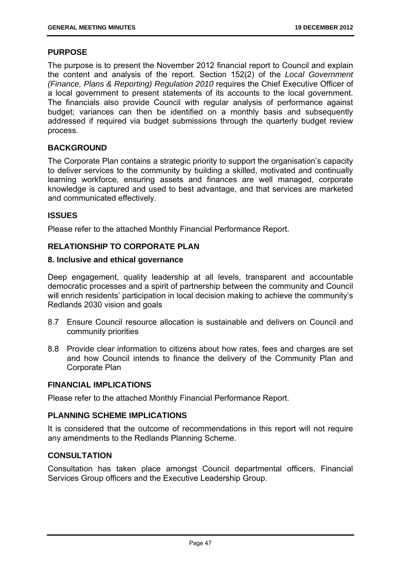## **PURPOSE**

The purpose is to present the November 2012 financial report to Council and explain the content and analysis of the report. Section 152(2) of the *Local Government (Finance, Plans & Reporting) Regulation 2010* requires the Chief Executive Officer of a local government to present statements of its accounts to the local government. The financials also provide Council with regular analysis of performance against budget; variances can then be identified on a monthly basis and subsequently addressed if required via budget submissions through the quarterly budget review process.

# **BACKGROUND**

The Corporate Plan contains a strategic priority to support the organisation's capacity to deliver services to the community by building a skilled, motivated and continually learning workforce, ensuring assets and finances are well managed, corporate knowledge is captured and used to best advantage, and that services are marketed and communicated effectively.

# **ISSUES**

Please refer to the attached Monthly Financial Performance Report.

# **RELATIONSHIP TO CORPORATE PLAN**

# **8. Inclusive and ethical governance**

Deep engagement, quality leadership at all levels, transparent and accountable democratic processes and a spirit of partnership between the community and Council will enrich residents' participation in local decision making to achieve the community's Redlands 2030 vision and goals

- 8.7 Ensure Council resource allocation is sustainable and delivers on Council and community priorities
- 8.8 Provide clear information to citizens about how rates, fees and charges are set and how Council intends to finance the delivery of the Community Plan and Corporate Plan

#### **FINANCIAL IMPLICATIONS**

Please refer to the attached Monthly Financial Performance Report.

# **PLANNING SCHEME IMPLICATIONS**

It is considered that the outcome of recommendations in this report will not require any amendments to the Redlands Planning Scheme.

# **CONSULTATION**

Consultation has taken place amongst Council departmental officers, Financial Services Group officers and the Executive Leadership Group.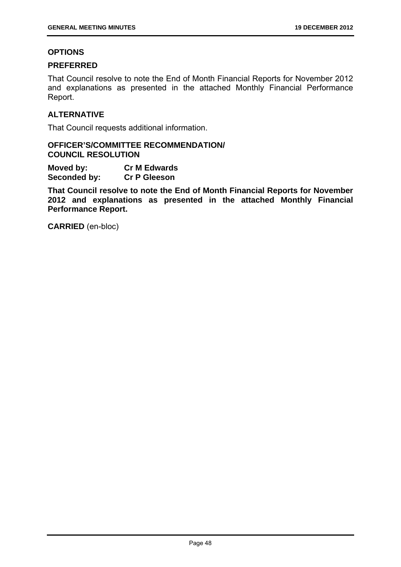#### **OPTIONS**

## **PREFERRED**

That Council resolve to note the End of Month Financial Reports for November 2012 and explanations as presented in the attached Monthly Financial Performance Report.

# **ALTERNATIVE**

That Council requests additional information.

# **OFFICER'S/COMMITTEE RECOMMENDATION/ COUNCIL RESOLUTION**

**Moved by: Cr M Edwards Seconded by: Cr P Gleeson** 

**That Council resolve to note the End of Month Financial Reports for November 2012 and explanations as presented in the attached Monthly Financial Performance Report.**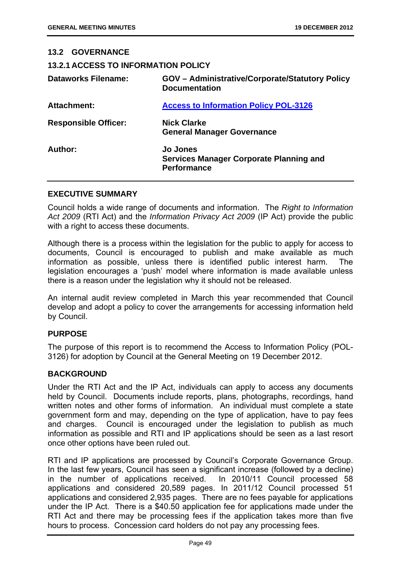# **13.2 GOVERNANCE**

**13.2.1 ACCESS TO INFORMATION POLICY** 

| <b>Dataworks Filename:</b>  | <b>GOV</b> – Administrative/Corporate/Statutory Policy<br><b>Documentation</b>          |
|-----------------------------|-----------------------------------------------------------------------------------------|
| <b>Attachment:</b>          | <b>Access to Information Policy POL-3126</b>                                            |
| <b>Responsible Officer:</b> | <b>Nick Clarke</b><br><b>General Manager Governance</b>                                 |
| Author:                     | <b>Jo Jones</b><br><b>Services Manager Corporate Planning and</b><br><b>Performance</b> |

#### **EXECUTIVE SUMMARY**

Council holds a wide range of documents and information. The *Right to Information Act 2009* (RTI Act) and the *Information Privacy Act 2009* (IP Act) provide the public with a right to access these documents.

Although there is a process within the legislation for the public to apply for access to documents, Council is encouraged to publish and make available as much information as possible, unless there is identified public interest harm. The legislation encourages a 'push' model where information is made available unless there is a reason under the legislation why it should not be released.

An internal audit review completed in March this year recommended that Council develop and adopt a policy to cover the arrangements for accessing information held by Council.

#### **PURPOSE**

The purpose of this report is to recommend the Access to Information Policy (POL-3126) for adoption by Council at the General Meeting on 19 December 2012.

#### **BACKGROUND**

Under the RTI Act and the IP Act, individuals can apply to access any documents held by Council. Documents include reports, plans, photographs, recordings, hand written notes and other forms of information. An individual must complete a state government form and may, depending on the type of application, have to pay fees and charges. Council is encouraged under the legislation to publish as much information as possible and RTI and IP applications should be seen as a last resort once other options have been ruled out.

RTI and IP applications are processed by Council's Corporate Governance Group. In the last few years, Council has seen a significant increase (followed by a decline) in the number of applications received. In 2010/11 Council processed 58 applications and considered 20,589 pages. In 2011/12 Council processed 51 applications and considered 2,935 pages. There are no fees payable for applications under the IP Act. There is a \$40.50 application fee for applications made under the RTI Act and there may be processing fees if the application takes more than five hours to process. Concession card holders do not pay any processing fees.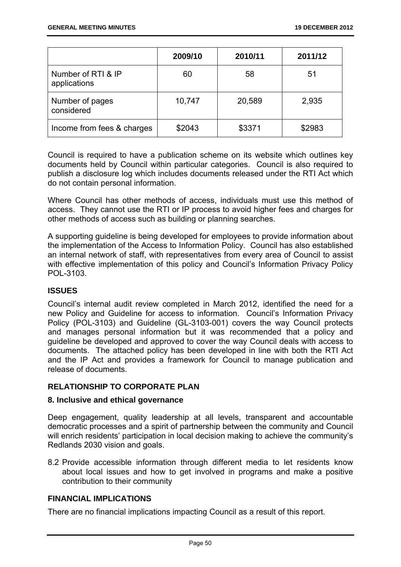|                                    | 2009/10 | 2010/11 | 2011/12 |
|------------------------------------|---------|---------|---------|
| Number of RTI & IP<br>applications | 60      | 58      | 51      |
| Number of pages<br>considered      | 10,747  | 20,589  | 2,935   |
| Income from fees & charges         | \$2043  | \$3371  | \$2983  |

Council is required to have a publication scheme on its website which outlines key documents held by Council within particular categories. Council is also required to publish a disclosure log which includes documents released under the RTI Act which do not contain personal information.

Where Council has other methods of access, individuals must use this method of access. They cannot use the RTI or IP process to avoid higher fees and charges for other methods of access such as building or planning searches.

A supporting guideline is being developed for employees to provide information about the implementation of the Access to Information Policy. Council has also established an internal network of staff, with representatives from every area of Council to assist with effective implementation of this policy and Council's Information Privacy Policy POL-3103.

# **ISSUES**

Council's internal audit review completed in March 2012, identified the need for a new Policy and Guideline for access to information. Council's Information Privacy Policy (POL-3103) and Guideline (GL-3103-001) covers the way Council protects and manages personal information but it was recommended that a policy and guideline be developed and approved to cover the way Council deals with access to documents. The attached policy has been developed in line with both the RTI Act and the IP Act and provides a framework for Council to manage publication and release of documents.

# **RELATIONSHIP TO CORPORATE PLAN**

#### **8. Inclusive and ethical governance**

Deep engagement, quality leadership at all levels, transparent and accountable democratic processes and a spirit of partnership between the community and Council will enrich residents' participation in local decision making to achieve the community's Redlands 2030 vision and goals.

8.2 Provide accessible information through different media to let residents know about local issues and how to get involved in programs and make a positive contribution to their community

## **FINANCIAL IMPLICATIONS**

There are no financial implications impacting Council as a result of this report.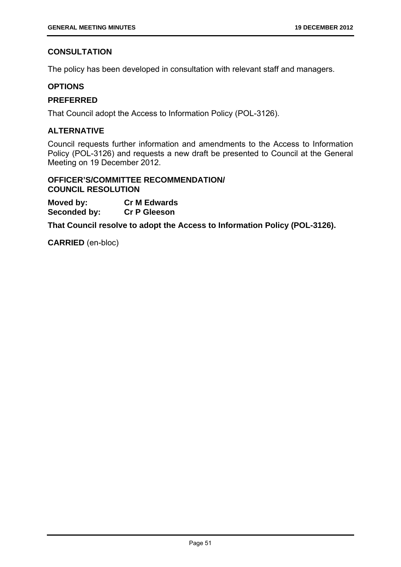# **CONSULTATION**

The policy has been developed in consultation with relevant staff and managers.

# **OPTIONS**

# **PREFERRED**

That Council adopt the Access to Information Policy (POL-3126).

# **ALTERNATIVE**

Council requests further information and amendments to the Access to Information Policy (POL-3126) and requests a new draft be presented to Council at the General Meeting on 19 December 2012.

# **OFFICER'S/COMMITTEE RECOMMENDATION/ COUNCIL RESOLUTION**

**Moved by: Cr M Edwards Seconded by: Cr P Gleeson** 

**That Council resolve to adopt the Access to Information Policy (POL-3126).**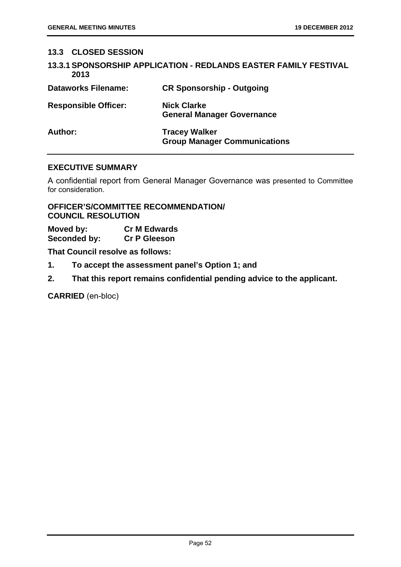# **13.3 CLOSED SESSION**

|      | <b>13.3.1 SPONSORSHIP APPLICATION - REDLANDS EASTER FAMILY FESTIVAL</b> |
|------|-------------------------------------------------------------------------|
| 2013 |                                                                         |

| <b>Dataworks Filename:</b>  | <b>CR Sponsorship - Outgoing</b>                            |
|-----------------------------|-------------------------------------------------------------|
| <b>Responsible Officer:</b> | <b>Nick Clarke</b><br><b>General Manager Governance</b>     |
| Author:                     | <b>Tracey Walker</b><br><b>Group Manager Communications</b> |

# **EXECUTIVE SUMMARY**

A confidential report from General Manager Governance was presented to Committee for consideration.

# **OFFICER'S/COMMITTEE RECOMMENDATION/ COUNCIL RESOLUTION**

| Moved by:    | <b>Cr M Edwards</b> |
|--------------|---------------------|
| Seconded by: | <b>Cr P Gleeson</b> |

**That Council resolve as follows:** 

- **1. To accept the assessment panel's Option 1; and**
- **2. That this report remains confidential pending advice to the applicant.**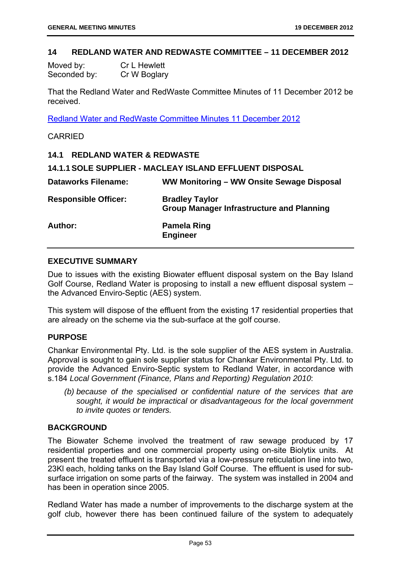#### **14 REDLAND WATER AND REDWASTE COMMITTEE – 11 DECEMBER 2012**

| Moved by:    | <b>Cr L Hewlett</b> |
|--------------|---------------------|
| Seconded by: | Cr W Boglary        |

That the Redland Water and RedWaste Committee Minutes of 11 December 2012 be received.

Redland Water and RedWaste Committee Minutes 11 December 2012

#### CARRIED

#### **14.1 REDLAND WATER & REDWASTE**

| <b>Dataworks Filename:</b>  | WW Monitoring – WW Onsite Sewage Disposal                                 |
|-----------------------------|---------------------------------------------------------------------------|
| <b>Responsible Officer:</b> | <b>Bradley Taylor</b><br><b>Group Manager Infrastructure and Planning</b> |
| Author:                     | <b>Pamela Ring</b><br><b>Engineer</b>                                     |

# **EXECUTIVE SUMMARY**

Due to issues with the existing Biowater effluent disposal system on the Bay Island Golf Course, Redland Water is proposing to install a new effluent disposal system – the Advanced Enviro-Septic (AES) system.

This system will dispose of the effluent from the existing 17 residential properties that are already on the scheme via the sub-surface at the golf course.

#### **PURPOSE**

Chankar Environmental Pty. Ltd. is the sole supplier of the AES system in Australia. Approval is sought to gain sole supplier status for Chankar Environmental Pty. Ltd. to provide the Advanced Enviro-Septic system to Redland Water, in accordance with s.184 *Local Government (Finance, Plans and Reporting) Regulation 2010*:

 *(b) because of the specialised or confidential nature of the services that are sought, it would be impractical or disadvantageous for the local government to invite quotes or tenders.* 

#### **BACKGROUND**

The Biowater Scheme involved the treatment of raw sewage produced by 17 residential properties and one commercial property using on-site Biolytix units. At present the treated effluent is transported via a low-pressure reticulation line into two, 23Kl each, holding tanks on the Bay Island Golf Course. The effluent is used for subsurface irrigation on some parts of the fairway. The system was installed in 2004 and has been in operation since 2005.

Redland Water has made a number of improvements to the discharge system at the golf club, however there has been continued failure of the system to adequately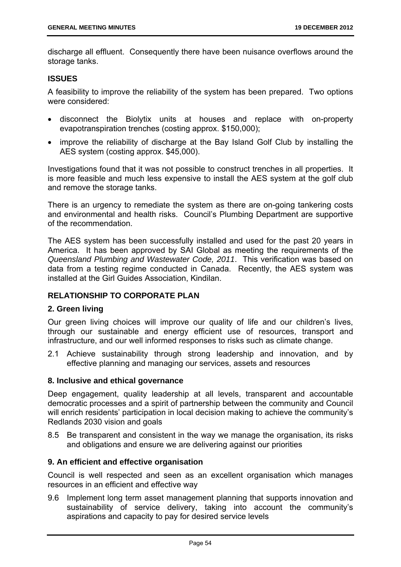discharge all effluent. Consequently there have been nuisance overflows around the storage tanks.

# **ISSUES**

A feasibility to improve the reliability of the system has been prepared. Two options were considered:

- disconnect the Biolytix units at houses and replace with on-property evapotranspiration trenches (costing approx. \$150,000);
- improve the reliability of discharge at the Bay Island Golf Club by installing the AES system (costing approx. \$45,000).

Investigations found that it was not possible to construct trenches in all properties. It is more feasible and much less expensive to install the AES system at the golf club and remove the storage tanks.

There is an urgency to remediate the system as there are on-going tankering costs and environmental and health risks. Council's Plumbing Department are supportive of the recommendation.

The AES system has been successfully installed and used for the past 20 years in America. It has been approved by SAI Global as meeting the requirements of the *Queensland Plumbing and Wastewater Code, 2011*. This verification was based on data from a testing regime conducted in Canada. Recently, the AES system was installed at the Girl Guides Association, Kindilan.

# **RELATIONSHIP TO CORPORATE PLAN**

#### **2. Green living**

Our green living choices will improve our quality of life and our children's lives, through our sustainable and energy efficient use of resources, transport and infrastructure, and our well informed responses to risks such as climate change.

2.1 Achieve sustainability through strong leadership and innovation, and by effective planning and managing our services, assets and resources

## **8. Inclusive and ethical governance**

Deep engagement, quality leadership at all levels, transparent and accountable democratic processes and a spirit of partnership between the community and Council will enrich residents' participation in local decision making to achieve the community's Redlands 2030 vision and goals

8.5 Be transparent and consistent in the way we manage the organisation, its risks and obligations and ensure we are delivering against our priorities

# **9. An efficient and effective organisation**

Council is well respected and seen as an excellent organisation which manages resources in an efficient and effective way

9.6 Implement long term asset management planning that supports innovation and sustainability of service delivery, taking into account the community's aspirations and capacity to pay for desired service levels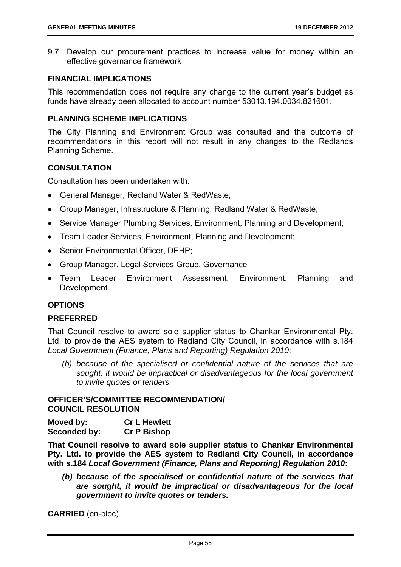9.7 Develop our procurement practices to increase value for money within an effective governance framework

#### **FINANCIAL IMPLICATIONS**

This recommendation does not require any change to the current year's budget as funds have already been allocated to account number 53013.194.0034.821601.

# **PLANNING SCHEME IMPLICATIONS**

The City Planning and Environment Group was consulted and the outcome of recommendations in this report will not result in any changes to the Redlands Planning Scheme.

# **CONSULTATION**

Consultation has been undertaken with:

- General Manager, Redland Water & RedWaste;
- Group Manager, Infrastructure & Planning, Redland Water & RedWaste;
- Service Manager Plumbing Services, Environment, Planning and Development;
- Team Leader Services, Environment, Planning and Development;
- Senior Environmental Officer, DEHP;
- Group Manager, Legal Services Group, Governance
- Team Leader Environment Assessment, Environment, Planning and Development

# **OPTIONS**

#### **PREFERRED**

That Council resolve to award sole supplier status to Chankar Environmental Pty. Ltd. to provide the AES system to Redland City Council, in accordance with s.184 *Local Government (Finance, Plans and Reporting) Regulation 2010*:

*(b) because of the specialised or confidential nature of the services that are sought, it would be impractical or disadvantageous for the local government to invite quotes or tenders.* 

#### **OFFICER'S/COMMITTEE RECOMMENDATION/ COUNCIL RESOLUTION**

| Moved by:    | <b>Cr L Hewlett</b> |
|--------------|---------------------|
| Seconded by: | <b>Cr P Bishop</b>  |

**That Council resolve to award sole supplier status to Chankar Environmental Pty. Ltd. to provide the AES system to Redland City Council, in accordance with s.184** *Local Government (Finance, Plans and Reporting) Regulation 2010***:** 

*(b) because of the specialised or confidential nature of the services that are sought, it would be impractical or disadvantageous for the local government to invite quotes or tenders.*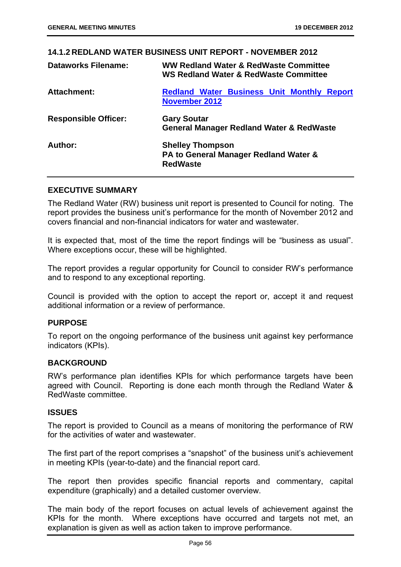# **14.1.2 REDLAND WATER BUSINESS UNIT REPORT - NOVEMBER 2012 Dataworks Filename: WW Redland Water & RedWaste Committee WS Redland Water & RedWaste Committee**  Attachment: Redland Water Business Unit Monthly Report **November 2012 Responsible Officer: Gary Soutar General Manager Redland Water & RedWaste Author: Shelley Thompson PA to General Manager Redland Water & RedWaste**

#### **EXECUTIVE SUMMARY**

The Redland Water (RW) business unit report is presented to Council for noting. The report provides the business unit's performance for the month of November 2012 and covers financial and non-financial indicators for water and wastewater.

It is expected that, most of the time the report findings will be "business as usual". Where exceptions occur, these will be highlighted.

The report provides a regular opportunity for Council to consider RW's performance and to respond to any exceptional reporting.

Council is provided with the option to accept the report or, accept it and request additional information or a review of performance.

#### **PURPOSE**

To report on the ongoing performance of the business unit against key performance indicators (KPIs).

#### **BACKGROUND**

RW's performance plan identifies KPIs for which performance targets have been agreed with Council. Reporting is done each month through the Redland Water & RedWaste committee.

#### **ISSUES**

The report is provided to Council as a means of monitoring the performance of RW for the activities of water and wastewater.

The first part of the report comprises a "snapshot" of the business unit's achievement in meeting KPIs (year-to-date) and the financial report card.

The report then provides specific financial reports and commentary, capital expenditure (graphically) and a detailed customer overview.

The main body of the report focuses on actual levels of achievement against the KPIs for the month. Where exceptions have occurred and targets not met, an explanation is given as well as action taken to improve performance.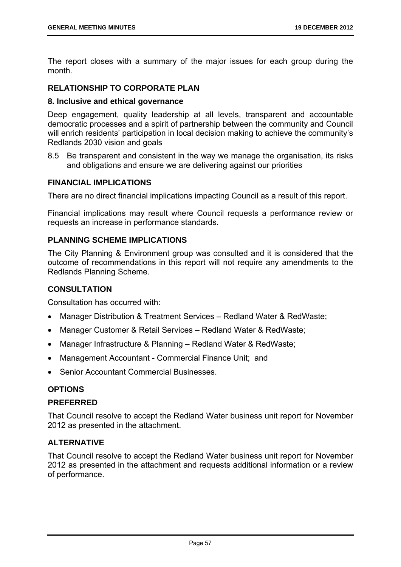The report closes with a summary of the major issues for each group during the month.

# **RELATIONSHIP TO CORPORATE PLAN**

#### **8. Inclusive and ethical governance**

Deep engagement, quality leadership at all levels, transparent and accountable democratic processes and a spirit of partnership between the community and Council will enrich residents' participation in local decision making to achieve the community's Redlands 2030 vision and goals

8.5 Be transparent and consistent in the way we manage the organisation, its risks and obligations and ensure we are delivering against our priorities

#### **FINANCIAL IMPLICATIONS**

There are no direct financial implications impacting Council as a result of this report.

Financial implications may result where Council requests a performance review or requests an increase in performance standards.

# **PLANNING SCHEME IMPLICATIONS**

The City Planning & Environment group was consulted and it is considered that the outcome of recommendations in this report will not require any amendments to the Redlands Planning Scheme.

#### **CONSULTATION**

Consultation has occurred with:

- Manager Distribution & Treatment Services Redland Water & RedWaste;
- Manager Customer & Retail Services Redland Water & RedWaste;
- Manager Infrastructure & Planning Redland Water & RedWaste;
- Management Accountant Commercial Finance Unit; and
- Senior Accountant Commercial Businesses.

# **OPTIONS**

#### **PREFERRED**

That Council resolve to accept the Redland Water business unit report for November 2012 as presented in the attachment.

# **ALTERNATIVE**

That Council resolve to accept the Redland Water business unit report for November 2012 as presented in the attachment and requests additional information or a review of performance.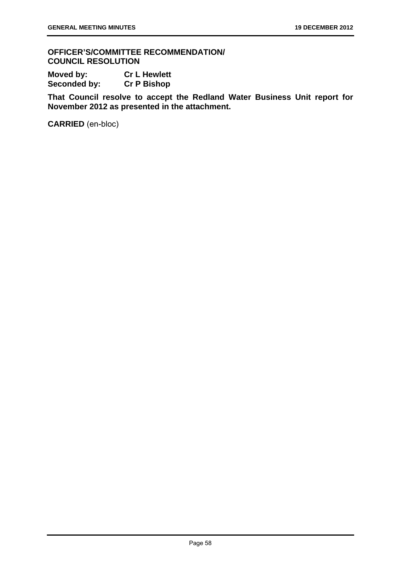**OFFICER'S/COMMITTEE RECOMMENDATION/ COUNCIL RESOLUTION** 

| Moved by:    | <b>Cr L Hewlett</b> |
|--------------|---------------------|
| Seconded by: | <b>Cr P Bishop</b>  |

**That Council resolve to accept the Redland Water Business Unit report for November 2012 as presented in the attachment.**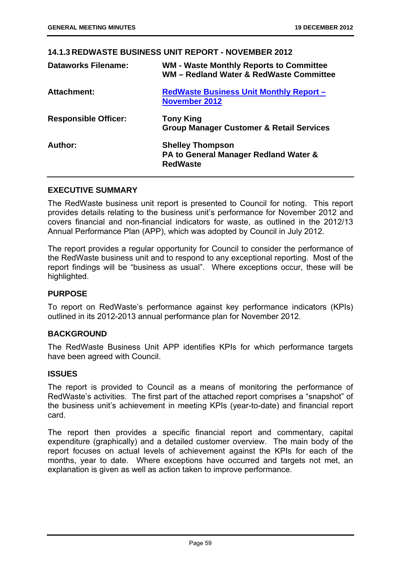# **14.1.3 REDWASTE BUSINESS UNIT REPORT - NOVEMBER 2012**

| <b>Dataworks Filename:</b>  | <b>WM - Waste Monthly Reports to Committee</b><br>WM - Redland Water & RedWaste Committee |
|-----------------------------|-------------------------------------------------------------------------------------------|
| Attachment:                 | RedWaste Business Unit Monthly Report -<br><b>November 2012</b>                           |
| <b>Responsible Officer:</b> | <b>Tony King</b><br><b>Group Manager Customer &amp; Retail Services</b>                   |
| Author:                     | <b>Shelley Thompson</b><br>PA to General Manager Redland Water &<br><b>RedWaste</b>       |

# **EXECUTIVE SUMMARY**

The RedWaste business unit report is presented to Council for noting. This report provides details relating to the business unit's performance for November 2012 and covers financial and non-financial indicators for waste, as outlined in the 2012/13 Annual Performance Plan (APP), which was adopted by Council in July 2012.

The report provides a regular opportunity for Council to consider the performance of the RedWaste business unit and to respond to any exceptional reporting. Most of the report findings will be "business as usual". Where exceptions occur, these will be highlighted.

#### **PURPOSE**

To report on RedWaste's performance against key performance indicators (KPIs) outlined in its 2012-2013 annual performance plan for November 2012.

# **BACKGROUND**

The RedWaste Business Unit APP identifies KPIs for which performance targets have been agreed with Council.

#### **ISSUES**

The report is provided to Council as a means of monitoring the performance of RedWaste's activities. The first part of the attached report comprises a "snapshot" of the business unit's achievement in meeting KPIs (year-to-date) and financial report card.

The report then provides a specific financial report and commentary, capital expenditure (graphically) and a detailed customer overview. The main body of the report focuses on actual levels of achievement against the KPIs for each of the months, year to date. Where exceptions have occurred and targets not met, an explanation is given as well as action taken to improve performance.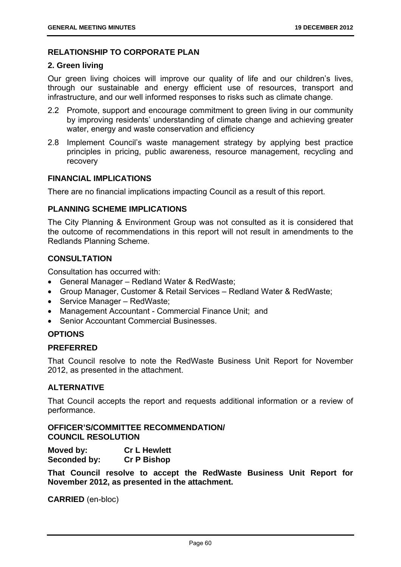## **RELATIONSHIP TO CORPORATE PLAN**

#### **2. Green living**

Our green living choices will improve our quality of life and our children's lives, through our sustainable and energy efficient use of resources, transport and infrastructure, and our well informed responses to risks such as climate change.

- 2.2 Promote, support and encourage commitment to green living in our community by improving residents' understanding of climate change and achieving greater water, energy and waste conservation and efficiency
- 2.8 Implement Council's waste management strategy by applying best practice principles in pricing, public awareness, resource management, recycling and recovery

#### **FINANCIAL IMPLICATIONS**

There are no financial implications impacting Council as a result of this report.

#### **PLANNING SCHEME IMPLICATIONS**

The City Planning & Environment Group was not consulted as it is considered that the outcome of recommendations in this report will not result in amendments to the Redlands Planning Scheme.

# **CONSULTATION**

Consultation has occurred with:

- General Manager Redland Water & RedWaste;
- Group Manager, Customer & Retail Services Redland Water & RedWaste;
- Service Manager RedWaste;
- Management Accountant Commercial Finance Unit; and
- Senior Accountant Commercial Businesses.

#### **OPTIONS**

# **PREFERRED**

That Council resolve to note the RedWaste Business Unit Report for November 2012, as presented in the attachment.

# **ALTERNATIVE**

That Council accepts the report and requests additional information or a review of performance.

# **OFFICER'S/COMMITTEE RECOMMENDATION/ COUNCIL RESOLUTION**

**Moved by: Cr L Hewlett Seconded by: Cr P Bishop** 

**That Council resolve to accept the RedWaste Business Unit Report for November 2012, as presented in the attachment.**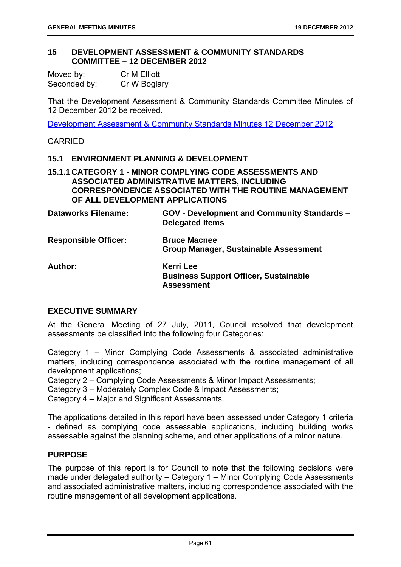#### **15 DEVELOPMENT ASSESSMENT & COMMUNITY STANDARDS COMMITTEE – 12 DECEMBER 2012**

| Moved by:    | Cr M Elliott |
|--------------|--------------|
| Seconded by: | Cr W Boglary |

That the Development Assessment & Community Standards Committee Minutes of 12 December 2012 be received.

Development Assessment & Community Standards Minutes 12 December 2012

#### CARRIED

# **15.1 ENVIRONMENT PLANNING & DEVELOPMENT**

# **15.1.1 CATEGORY 1 - MINOR COMPLYING CODE ASSESSMENTS AND ASSOCIATED ADMINISTRATIVE MATTERS, INCLUDING CORRESPONDENCE ASSOCIATED WITH THE ROUTINE MANAGEMENT OF ALL DEVELOPMENT APPLICATIONS**

| <b>Dataworks Filename:</b>  | GOV - Development and Community Standards -<br><b>Delegated Items</b>                 |
|-----------------------------|---------------------------------------------------------------------------------------|
| <b>Responsible Officer:</b> | <b>Bruce Macnee</b><br><b>Group Manager, Sustainable Assessment</b>                   |
| Author:                     | <b>Kerri Lee</b><br><b>Business Support Officer, Sustainable</b><br><b>Assessment</b> |

#### **EXECUTIVE SUMMARY**

At the General Meeting of 27 July, 2011, Council resolved that development assessments be classified into the following four Categories:

Category 1 – Minor Complying Code Assessments & associated administrative matters, including correspondence associated with the routine management of all development applications;

Category 2 – Complying Code Assessments & Minor Impact Assessments;

Category 3 – Moderately Complex Code & Impact Assessments;

Category 4 – Major and Significant Assessments.

The applications detailed in this report have been assessed under Category 1 criteria - defined as complying code assessable applications, including building works assessable against the planning scheme, and other applications of a minor nature.

# **PURPOSE**

The purpose of this report is for Council to note that the following decisions were made under delegated authority – Category 1 – Minor Complying Code Assessments and associated administrative matters, including correspondence associated with the routine management of all development applications.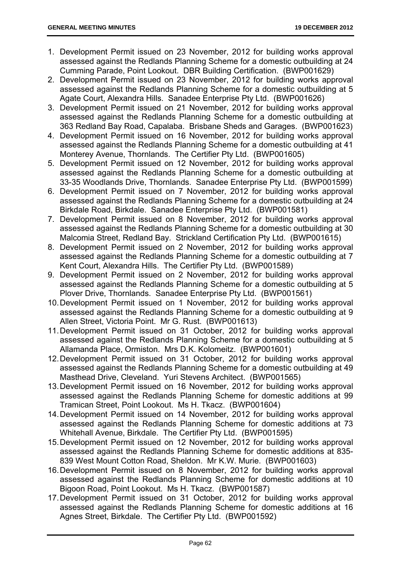- 1. Development Permit issued on 23 November, 2012 for building works approval assessed against the Redlands Planning Scheme for a domestic outbuilding at 24 Cumming Parade, Point Lookout. DBR Building Certification. (BWP001629)
- 2. Development Permit issued on 23 November, 2012 for building works approval assessed against the Redlands Planning Scheme for a domestic outbuilding at 5 Agate Court, Alexandra Hills. Sanadee Enterprise Pty Ltd. (BWP001626)
- 3. Development Permit issued on 21 November, 2012 for building works approval assessed against the Redlands Planning Scheme for a domestic outbuilding at 363 Redland Bay Road, Capalaba. Brisbane Sheds and Garages. (BWP001623)
- 4. Development Permit issued on 16 November, 2012 for building works approval assessed against the Redlands Planning Scheme for a domestic outbuilding at 41 Monterey Avenue, Thornlands. The Certifier Pty Ltd. (BWP001605)
- 5. Development Permit issued on 12 November, 2012 for building works approval assessed against the Redlands Planning Scheme for a domestic outbuilding at 33-35 Woodlands Drive, Thornlands. Sanadee Enterprise Pty Ltd. (BWP001599)
- 6. Development Permit issued on 7 November, 2012 for building works approval assessed against the Redlands Planning Scheme for a domestic outbuilding at 24 Birkdale Road, Birkdale. Sanadee Enterprise Pty Ltd. (BWP001581)
- 7. Development Permit issued on 8 November, 2012 for building works approval assessed against the Redlands Planning Scheme for a domestic outbuilding at 30 Malcomia Street, Redland Bay. Strickland Certification Pty Ltd. (BWP001615)
- 8. Development Permit issued on 2 November, 2012 for building works approval assessed against the Redlands Planning Scheme for a domestic outbuilding at 7 Kent Court, Alexandra Hills. The Certifier Pty Ltd. (BWP001589)
- 9. Development Permit issued on 2 November, 2012 for building works approval assessed against the Redlands Planning Scheme for a domestic outbuilding at 5 Plover Drive, Thornlands. Sanadee Enterprise Pty Ltd. (BWP001561)
- 10. Development Permit issued on 1 November, 2012 for building works approval assessed against the Redlands Planning Scheme for a domestic outbuilding at 9 Allen Street, Victoria Point. Mr G. Rust. (BWP001613)
- 11. Development Permit issued on 31 October, 2012 for building works approval assessed against the Redlands Planning Scheme for a domestic outbuilding at 5 Allamanda Place, Ormiston. Mrs D.K. Kolomeitz. (BWP001601)
- 12. Development Permit issued on 31 October, 2012 for building works approval assessed against the Redlands Planning Scheme for a domestic outbuilding at 49 Masthead Drive, Cleveland. Yuri Stevens Architect. (BWP001565)
- 13. Development Permit issued on 16 November, 2012 for building works approval assessed against the Redlands Planning Scheme for domestic additions at 99 Tramican Street, Point Lookout. Ms H. Tkacz. (BWP001604)
- 14. Development Permit issued on 14 November, 2012 for building works approval assessed against the Redlands Planning Scheme for domestic additions at 73 Whitehall Avenue, Birkdale. The Certifier Pty Ltd. (BWP001595)
- 15. Development Permit issued on 12 November, 2012 for building works approval assessed against the Redlands Planning Scheme for domestic additions at 835- 839 West Mount Cotton Road, Sheldon. Mr K.W. Murie. (BWP001603)
- 16. Development Permit issued on 8 November, 2012 for building works approval assessed against the Redlands Planning Scheme for domestic additions at 10 Bigoon Road, Point Lookout. Ms H. Tkacz. (BWP001587)
- 17. Development Permit issued on 31 October, 2012 for building works approval assessed against the Redlands Planning Scheme for domestic additions at 16 Agnes Street, Birkdale. The Certifier Pty Ltd. (BWP001592)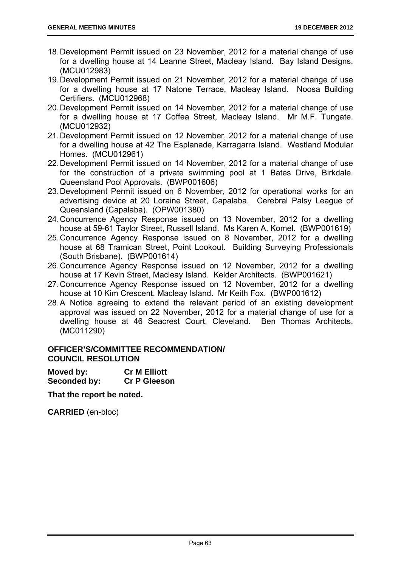- 18. Development Permit issued on 23 November, 2012 for a material change of use for a dwelling house at 14 Leanne Street, Macleay Island. Bay Island Designs. (MCU012983)
- 19. Development Permit issued on 21 November, 2012 for a material change of use for a dwelling house at 17 Natone Terrace, Macleay Island. Noosa Building Certifiers. (MCU012968)
- 20. Development Permit issued on 14 November, 2012 for a material change of use for a dwelling house at 17 Coffea Street, Macleay Island. Mr M.F. Tungate. (MCU012932)
- 21. Development Permit issued on 12 November, 2012 for a material change of use for a dwelling house at 42 The Esplanade, Karragarra Island. Westland Modular Homes. (MCU012961)
- 22. Development Permit issued on 14 November, 2012 for a material change of use for the construction of a private swimming pool at 1 Bates Drive, Birkdale. Queensland Pool Approvals. (BWP001606)
- 23. Development Permit issued on 6 November, 2012 for operational works for an advertising device at 20 Loraine Street, Capalaba. Cerebral Palsy League of Queensland (Capalaba). (OPW001380)
- 24. Concurrence Agency Response issued on 13 November, 2012 for a dwelling house at 59-61 Taylor Street, Russell Island. Ms Karen A. Komel. (BWP001619)
- 25. Concurrence Agency Response issued on 8 November, 2012 for a dwelling house at 68 Tramican Street, Point Lookout. Building Surveying Professionals (South Brisbane). (BWP001614)
- 26. Concurrence Agency Response issued on 12 November, 2012 for a dwelling house at 17 Kevin Street, Macleay Island. Kelder Architects. (BWP001621)
- 27. Concurrence Agency Response issued on 12 November, 2012 for a dwelling house at 10 Kim Crescent, Macleay Island. Mr Keith Fox. (BWP001612)
- 28. A Notice agreeing to extend the relevant period of an existing development approval was issued on 22 November, 2012 for a material change of use for a dwelling house at 46 Seacrest Court, Cleveland. Ben Thomas Architects. (MC011290)

# **OFFICER'S/COMMITTEE RECOMMENDATION/ COUNCIL RESOLUTION**

**Moved by: Cr M Elliott Seconded by: Cr P Gleeson** 

**That the report be noted.**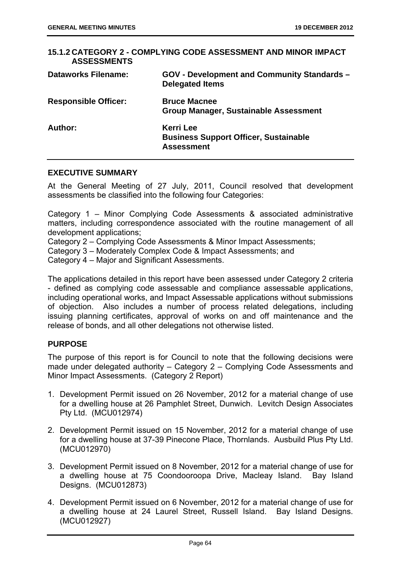| <b>ASSESSMENTS</b>          | 15.1.2 CATEGORY 2 - COMPLYING CODE ASSESSMENT AND MINOR IMPACT                        |
|-----------------------------|---------------------------------------------------------------------------------------|
| <b>Dataworks Filename:</b>  | <b>GOV - Development and Community Standards -</b><br><b>Delegated Items</b>          |
| <b>Responsible Officer:</b> | <b>Bruce Macnee</b><br><b>Group Manager, Sustainable Assessment</b>                   |
| Author:                     | <b>Kerri Lee</b><br><b>Business Support Officer, Sustainable</b><br><b>Assessment</b> |

#### **EXECUTIVE SUMMARY**

At the General Meeting of 27 July, 2011, Council resolved that development assessments be classified into the following four Categories:

Category 1 – Minor Complying Code Assessments & associated administrative matters, including correspondence associated with the routine management of all development applications;

Category 2 – Complying Code Assessments & Minor Impact Assessments;

Category 3 – Moderately Complex Code & Impact Assessments; and

Category 4 – Major and Significant Assessments.

The applications detailed in this report have been assessed under Category 2 criteria - defined as complying code assessable and compliance assessable applications, including operational works, and Impact Assessable applications without submissions of objection. Also includes a number of process related delegations, including issuing planning certificates, approval of works on and off maintenance and the release of bonds, and all other delegations not otherwise listed.

# **PURPOSE**

The purpose of this report is for Council to note that the following decisions were made under delegated authority – Category 2 – Complying Code Assessments and Minor Impact Assessments. (Category 2 Report)

- 1. Development Permit issued on 26 November, 2012 for a material change of use for a dwelling house at 26 Pamphlet Street, Dunwich. Levitch Design Associates Pty Ltd. (MCU012974)
- 2. Development Permit issued on 15 November, 2012 for a material change of use for a dwelling house at 37-39 Pinecone Place, Thornlands. Ausbuild Plus Pty Ltd. (MCU012970)
- 3. Development Permit issued on 8 November, 2012 for a material change of use for a dwelling house at 75 Coondooroopa Drive, Macleay Island. Bay Island Designs. (MCU012873)
- 4. Development Permit issued on 6 November, 2012 for a material change of use for a dwelling house at 24 Laurel Street, Russell Island. Bay Island Designs. (MCU012927)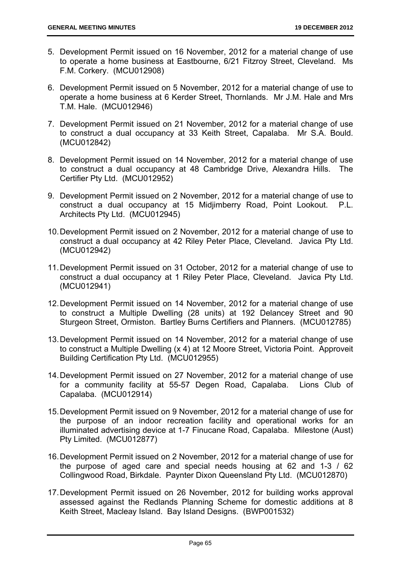- 5. Development Permit issued on 16 November, 2012 for a material change of use to operate a home business at Eastbourne, 6/21 Fitzroy Street, Cleveland. Ms F.M. Corkery. (MCU012908)
- 6. Development Permit issued on 5 November, 2012 for a material change of use to operate a home business at 6 Kerder Street, Thornlands. Mr J.M. Hale and Mrs T.M. Hale. (MCU012946)
- 7. Development Permit issued on 21 November, 2012 for a material change of use to construct a dual occupancy at 33 Keith Street, Capalaba. Mr S.A. Bould. (MCU012842)
- 8. Development Permit issued on 14 November, 2012 for a material change of use to construct a dual occupancy at 48 Cambridge Drive, Alexandra Hills. The Certifier Pty Ltd. (MCU012952)
- 9. Development Permit issued on 2 November, 2012 for a material change of use to construct a dual occupancy at 15 Midjimberry Road, Point Lookout. P.L. Architects Pty Ltd. (MCU012945)
- 10. Development Permit issued on 2 November, 2012 for a material change of use to construct a dual occupancy at 42 Riley Peter Place, Cleveland. Javica Pty Ltd. (MCU012942)
- 11. Development Permit issued on 31 October, 2012 for a material change of use to construct a dual occupancy at 1 Riley Peter Place, Cleveland. Javica Pty Ltd. (MCU012941)
- 12. Development Permit issued on 14 November, 2012 for a material change of use to construct a Multiple Dwelling (28 units) at 192 Delancey Street and 90 Sturgeon Street, Ormiston. Bartley Burns Certifiers and Planners. (MCU012785)
- 13. Development Permit issued on 14 November, 2012 for a material change of use to construct a Multiple Dwelling (x 4) at 12 Moore Street, Victoria Point. Approveit Building Certification Pty Ltd. (MCU012955)
- 14. Development Permit issued on 27 November, 2012 for a material change of use for a community facility at 55-57 Degen Road, Capalaba. Lions Club of Capalaba. (MCU012914)
- 15. Development Permit issued on 9 November, 2012 for a material change of use for the purpose of an indoor recreation facility and operational works for an illuminated advertising device at 1-7 Finucane Road, Capalaba. Milestone (Aust) Pty Limited. (MCU012877)
- 16. Development Permit issued on 2 November, 2012 for a material change of use for the purpose of aged care and special needs housing at 62 and 1-3 / 62 Collingwood Road, Birkdale. Paynter Dixon Queensland Pty Ltd. (MCU012870)
- 17. Development Permit issued on 26 November, 2012 for building works approval assessed against the Redlands Planning Scheme for domestic additions at 8 Keith Street, Macleay Island. Bay Island Designs. (BWP001532)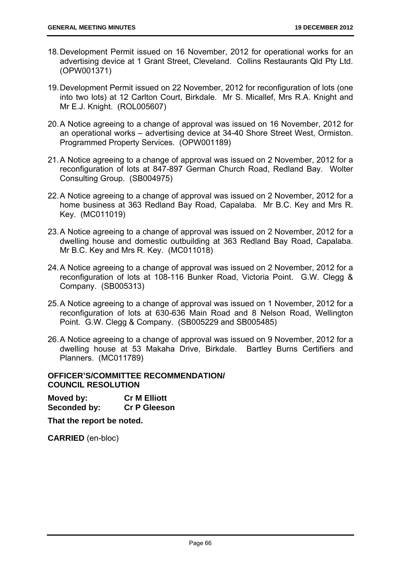- 18. Development Permit issued on 16 November, 2012 for operational works for an advertising device at 1 Grant Street, Cleveland. Collins Restaurants Qld Pty Ltd. (OPW001371)
- 19. Development Permit issued on 22 November, 2012 for reconfiguration of lots (one into two lots) at 12 Carlton Court, Birkdale. Mr S. Micallef, Mrs R.A. Knight and Mr E.J. Knight. (ROL005607)
- 20. A Notice agreeing to a change of approval was issued on 16 November, 2012 for an operational works – advertising device at 34-40 Shore Street West, Ormiston. Programmed Property Services. (OPW001189)
- 21. A Notice agreeing to a change of approval was issued on 2 November, 2012 for a reconfiguration of lots at 847-897 German Church Road, Redland Bay. Wolter Consulting Group. (SB004975)
- 22. A Notice agreeing to a change of approval was issued on 2 November, 2012 for a home business at 363 Redland Bay Road, Capalaba. Mr B.C. Key and Mrs R. Key. (MC011019)
- 23. A Notice agreeing to a change of approval was issued on 2 November, 2012 for a dwelling house and domestic outbuilding at 363 Redland Bay Road, Capalaba. Mr B.C. Key and Mrs R. Key. (MC011018)
- 24. A Notice agreeing to a change of approval was issued on 2 November, 2012 for a reconfiguration of lots at 108-116 Bunker Road, Victoria Point. G.W. Clegg & Company. (SB005313)
- 25. A Notice agreeing to a change of approval was issued on 1 November, 2012 for a reconfiguration of lots at 630-636 Main Road and 8 Nelson Road, Wellington Point. G.W. Clegg & Company. (SB005229 and SB005485)
- 26. A Notice agreeing to a change of approval was issued on 9 November, 2012 for a dwelling house at 53 Makaha Drive, Birkdale. Bartley Burns Certifiers and Planners. (MC011789)

### **OFFICER'S/COMMITTEE RECOMMENDATION/ COUNCIL RESOLUTION**

**Moved by: Cr M Elliott Seconded by: Cr P Gleeson** 

**That the report be noted.**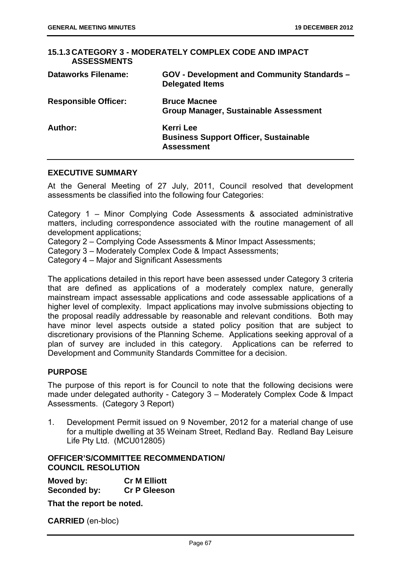| <b>ASSESSMENTS</b>          | 15.1.3 CATEGORY 3 - MODERATELY COMPLEX CODE AND IMPACT                                |
|-----------------------------|---------------------------------------------------------------------------------------|
| <b>Dataworks Filename:</b>  | GOV - Development and Community Standards -<br><b>Delegated Items</b>                 |
| <b>Responsible Officer:</b> | <b>Bruce Macnee</b><br>Group Manager, Sustainable Assessment                          |
| Author:                     | <b>Kerri Lee</b><br><b>Business Support Officer, Sustainable</b><br><b>Assessment</b> |

#### **EXECUTIVE SUMMARY**

At the General Meeting of 27 July, 2011, Council resolved that development assessments be classified into the following four Categories:

Category 1 – Minor Complying Code Assessments & associated administrative matters, including correspondence associated with the routine management of all development applications;

Category 2 – Complying Code Assessments & Minor Impact Assessments;

Category 3 – Moderately Complex Code & Impact Assessments;

Category 4 – Major and Significant Assessments

The applications detailed in this report have been assessed under Category 3 criteria that are defined as applications of a moderately complex nature, generally mainstream impact assessable applications and code assessable applications of a higher level of complexity. Impact applications may involve submissions objecting to the proposal readily addressable by reasonable and relevant conditions. Both may have minor level aspects outside a stated policy position that are subject to discretionary provisions of the Planning Scheme. Applications seeking approval of a plan of survey are included in this category. Applications can be referred to Development and Community Standards Committee for a decision.

#### **PURPOSE**

The purpose of this report is for Council to note that the following decisions were made under delegated authority - Category 3 – Moderately Complex Code & Impact Assessments. (Category 3 Report)

1. Development Permit issued on 9 November, 2012 for a material change of use for a multiple dwelling at 35 Weinam Street, Redland Bay. Redland Bay Leisure Life Pty Ltd. (MCU012805)

# **OFFICER'S/COMMITTEE RECOMMENDATION/ COUNCIL RESOLUTION**

**Moved by: Cr M Elliott Seconded by: Cr P Gleeson** 

**That the report be noted.**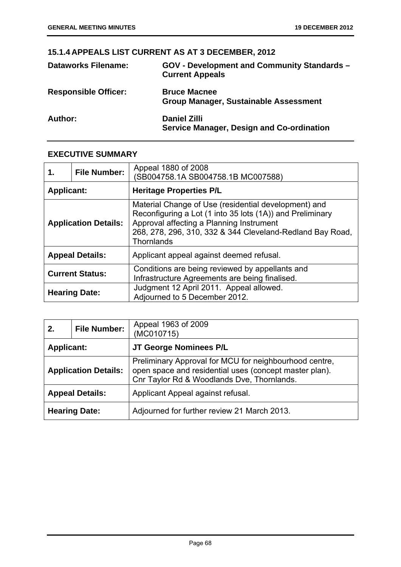# **15.1.4 APPEALS LIST CURRENT AS AT 3 DECEMBER, 2012**

| <b>Dataworks Filename:</b>  | GOV - Development and Community Standards -<br><b>Current Appeals</b>   |
|-----------------------------|-------------------------------------------------------------------------|
| <b>Responsible Officer:</b> | <b>Bruce Macnee</b><br><b>Group Manager, Sustainable Assessment</b>     |
| Author:                     | <b>Daniel Zilli</b><br><b>Service Manager, Design and Co-ordination</b> |

# **EXECUTIVE SUMMARY**

| 1.                | <b>File Number:</b>         | Appeal 1880 of 2008<br>(SB004758.1A SB004758.1B MC007588)                                                                                                                                                                                       |
|-------------------|-----------------------------|-------------------------------------------------------------------------------------------------------------------------------------------------------------------------------------------------------------------------------------------------|
| <b>Applicant:</b> |                             | <b>Heritage Properties P/L</b>                                                                                                                                                                                                                  |
|                   | <b>Application Details:</b> | Material Change of Use (residential development) and<br>Reconfiguring a Lot (1 into 35 lots (1A)) and Preliminary<br>Approval affecting a Planning Instrument<br>268, 278, 296, 310, 332 & 344 Cleveland-Redland Bay Road,<br><b>Thornlands</b> |
|                   | <b>Appeal Details:</b>      | Applicant appeal against deemed refusal.                                                                                                                                                                                                        |
|                   | <b>Current Status:</b>      | Conditions are being reviewed by appellants and<br>Infrastructure Agreements are being finalised.                                                                                                                                               |
|                   | <b>Hearing Date:</b>        | Judgment 12 April 2011. Appeal allowed.<br>Adjourned to 5 December 2012.                                                                                                                                                                        |

| 2.                | <b>File Number:</b>         | Appeal 1963 of 2009<br>(MC010715)                                                                                                                              |
|-------------------|-----------------------------|----------------------------------------------------------------------------------------------------------------------------------------------------------------|
| <b>Applicant:</b> |                             | JT George Nominees P/L                                                                                                                                         |
|                   | <b>Application Details:</b> | Preliminary Approval for MCU for neighbourhood centre,<br>open space and residential uses (concept master plan).<br>Cnr Taylor Rd & Woodlands Dve, Thornlands. |
|                   | <b>Appeal Details:</b>      | Applicant Appeal against refusal.                                                                                                                              |
|                   | <b>Hearing Date:</b>        | Adjourned for further review 21 March 2013.                                                                                                                    |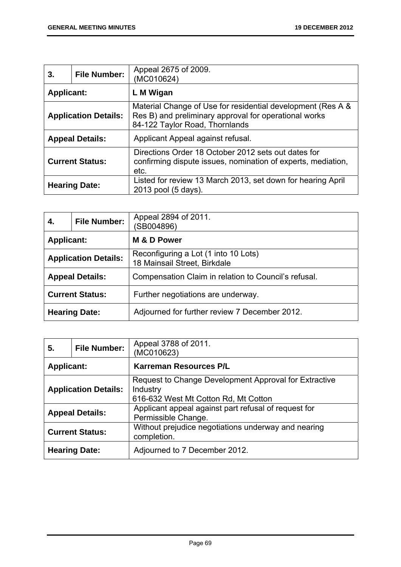| 3.                | <b>File Number:</b>         | Appeal 2675 of 2009.<br>(MC010624)                                                                                                                     |
|-------------------|-----------------------------|--------------------------------------------------------------------------------------------------------------------------------------------------------|
| <b>Applicant:</b> |                             | L M Wigan                                                                                                                                              |
|                   | <b>Application Details:</b> | Material Change of Use for residential development (Res A &<br>Res B) and preliminary approval for operational works<br>84-122 Taylor Road, Thornlands |
|                   | <b>Appeal Details:</b>      | Applicant Appeal against refusal.                                                                                                                      |
|                   | <b>Current Status:</b>      | Directions Order 18 October 2012 sets out dates for<br>confirming dispute issues, nomination of experts, mediation,<br>etc.                            |
|                   | <b>Hearing Date:</b>        | Listed for review 13 March 2013, set down for hearing April<br>2013 pool (5 days).                                                                     |

| 4.                | <b>File Number:</b>         | Appeal 2894 of 2011.<br>(SB004896)                                   |
|-------------------|-----------------------------|----------------------------------------------------------------------|
| <b>Applicant:</b> |                             | M & D Power                                                          |
|                   | <b>Application Details:</b> | Reconfiguring a Lot (1 into 10 Lots)<br>18 Mainsail Street, Birkdale |
|                   | <b>Appeal Details:</b>      | Compensation Claim in relation to Council's refusal.                 |
|                   | <b>Current Status:</b>      | Further negotiations are underway.                                   |
|                   | <b>Hearing Date:</b>        | Adjourned for further review 7 December 2012.                        |

| 5.                | <b>File Number:</b>         | Appeal 3788 of 2011.<br>(MC010623)                                                                        |
|-------------------|-----------------------------|-----------------------------------------------------------------------------------------------------------|
| <b>Applicant:</b> |                             | <b>Karreman Resources P/L</b>                                                                             |
|                   | <b>Application Details:</b> | Request to Change Development Approval for Extractive<br>Industry<br>616-632 West Mt Cotton Rd, Mt Cotton |
|                   | <b>Appeal Details:</b>      | Applicant appeal against part refusal of request for<br>Permissible Change.                               |
|                   | <b>Current Status:</b>      | Without prejudice negotiations underway and nearing<br>completion.                                        |
|                   | <b>Hearing Date:</b>        | Adjourned to 7 December 2012.                                                                             |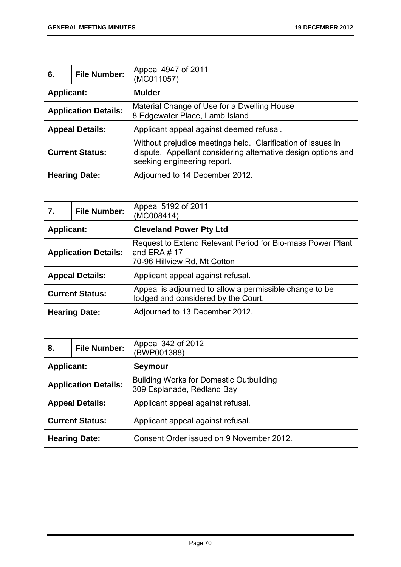| 6.                | <b>File Number:</b>         | Appeal 4947 of 2011<br>(MC011057)                                                                                                                           |
|-------------------|-----------------------------|-------------------------------------------------------------------------------------------------------------------------------------------------------------|
| <b>Applicant:</b> |                             | <b>Mulder</b>                                                                                                                                               |
|                   | <b>Application Details:</b> | Material Change of Use for a Dwelling House<br>8 Edgewater Place, Lamb Island                                                                               |
|                   | <b>Appeal Details:</b>      | Applicant appeal against deemed refusal.                                                                                                                    |
|                   | <b>Current Status:</b>      | Without prejudice meetings held. Clarification of issues in<br>dispute. Appellant considering alternative design options and<br>seeking engineering report. |
|                   | <b>Hearing Date:</b>        | Adjourned to 14 December 2012.                                                                                                                              |

| 7.                   | <b>File Number:</b>         | Appeal 5192 of 2011<br>(MC008414)                                                                            |
|----------------------|-----------------------------|--------------------------------------------------------------------------------------------------------------|
| <b>Applicant:</b>    |                             | <b>Cleveland Power Pty Ltd</b>                                                                               |
|                      | <b>Application Details:</b> | Request to Extend Relevant Period for Bio-mass Power Plant<br>and ERA $# 17$<br>70-96 Hillview Rd, Mt Cotton |
|                      | <b>Appeal Details:</b>      | Applicant appeal against refusal.                                                                            |
|                      | <b>Current Status:</b>      | Appeal is adjourned to allow a permissible change to be<br>lodged and considered by the Court.               |
| <b>Hearing Date:</b> |                             | Adjourned to 13 December 2012.                                                                               |

| 8.                | <b>File Number:</b>         | Appeal 342 of 2012<br>(BWP001388)                                            |
|-------------------|-----------------------------|------------------------------------------------------------------------------|
| <b>Applicant:</b> |                             | <b>Seymour</b>                                                               |
|                   | <b>Application Details:</b> | <b>Building Works for Domestic Outbuilding</b><br>309 Esplanade, Redland Bay |
|                   | <b>Appeal Details:</b>      | Applicant appeal against refusal.                                            |
|                   | <b>Current Status:</b>      | Applicant appeal against refusal.                                            |
|                   | <b>Hearing Date:</b>        | Consent Order issued on 9 November 2012.                                     |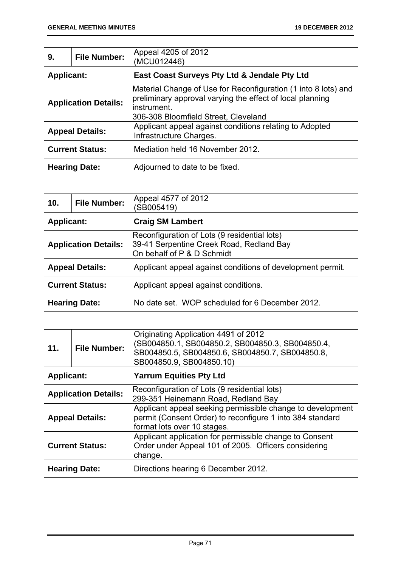| 9.                | <b>File Number:</b>         | Appeal 4205 of 2012<br>(MCU012446)                                                                                                                                                 |
|-------------------|-----------------------------|------------------------------------------------------------------------------------------------------------------------------------------------------------------------------------|
| <b>Applicant:</b> |                             | East Coast Surveys Pty Ltd & Jendale Pty Ltd                                                                                                                                       |
|                   | <b>Application Details:</b> | Material Change of Use for Reconfiguration (1 into 8 lots) and<br>preliminary approval varying the effect of local planning<br>instrument.<br>306-308 Bloomfield Street, Cleveland |
|                   | <b>Appeal Details:</b>      | Applicant appeal against conditions relating to Adopted<br>Infrastructure Charges.                                                                                                 |
|                   | <b>Current Status:</b>      | Mediation held 16 November 2012.                                                                                                                                                   |
|                   | <b>Hearing Date:</b>        | Adjourned to date to be fixed.                                                                                                                                                     |

| 10.               | <b>File Number:</b>         | Appeal 4577 of 2012<br>(SB005419)                                                                                      |
|-------------------|-----------------------------|------------------------------------------------------------------------------------------------------------------------|
| <b>Applicant:</b> |                             | <b>Craig SM Lambert</b>                                                                                                |
|                   | <b>Application Details:</b> | Reconfiguration of Lots (9 residential lots)<br>39-41 Serpentine Creek Road, Redland Bay<br>On behalf of P & D Schmidt |
|                   | <b>Appeal Details:</b>      | Applicant appeal against conditions of development permit.                                                             |
|                   | <b>Current Status:</b>      | Applicant appeal against conditions.                                                                                   |
|                   | <b>Hearing Date:</b>        | No date set. WOP scheduled for 6 December 2012.                                                                        |

| 11.                    | <b>File Number:</b>         | Originating Application 4491 of 2012<br>(SB004850.1, SB004850.2, SB004850.3, SB004850.4,<br>SB004850.5, SB004850.6, SB004850.7, SB004850.8,<br>SB004850.9, SB004850.10) |
|------------------------|-----------------------------|-------------------------------------------------------------------------------------------------------------------------------------------------------------------------|
| <b>Applicant:</b>      |                             | <b>Yarrum Equities Pty Ltd</b>                                                                                                                                          |
|                        | <b>Application Details:</b> | Reconfiguration of Lots (9 residential lots)<br>299-351 Heinemann Road, Redland Bay                                                                                     |
| <b>Appeal Details:</b> |                             | Applicant appeal seeking permissible change to development<br>permit (Consent Order) to reconfigure 1 into 384 standard<br>format lots over 10 stages.                  |
| <b>Current Status:</b> |                             | Applicant application for permissible change to Consent<br>Order under Appeal 101 of 2005. Officers considering<br>change.                                              |
|                        | <b>Hearing Date:</b>        | Directions hearing 6 December 2012.                                                                                                                                     |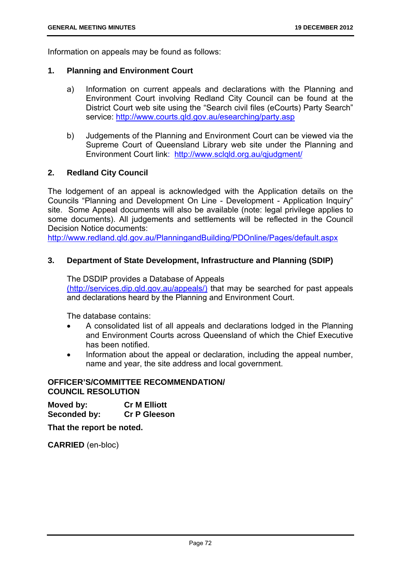Information on appeals may be found as follows:

#### **1. Planning and Environment Court**

- a) Information on current appeals and declarations with the Planning and Environment Court involving Redland City Council can be found at the District Court web site using the "Search civil files (eCourts) Party Search" service: http://www.courts.gld.gov.au/esearching/party.asp
- b) Judgements of the Planning and Environment Court can be viewed via the Supreme Court of Queensland Library web site under the Planning and Environment Court link: http://www.sclqld.org.au/qjudgment/

#### **2. Redland City Council**

The lodgement of an appeal is acknowledged with the Application details on the Councils "Planning and Development On Line - Development - Application Inquiry" site. Some Appeal documents will also be available (note: legal privilege applies to some documents). All judgements and settlements will be reflected in the Council Decision Notice documents:

http://www.redland.qld.gov.au/PlanningandBuilding/PDOnline/Pages/default.aspx

#### **3. Department of State Development, Infrastructure and Planning (SDIP)**

The DSDIP provides a Database of Appeals (http://services.dip.qld.gov.au/appeals/) that may be searched for past appeals and declarations heard by the Planning and Environment Court.

The database contains:

- A consolidated list of all appeals and declarations lodged in the Planning and Environment Courts across Queensland of which the Chief Executive has been notified.
- Information about the appeal or declaration, including the appeal number, name and year, the site address and local government.

#### **OFFICER'S/COMMITTEE RECOMMENDATION/ COUNCIL RESOLUTION**

**Moved by: Cr M Elliott Seconded by: Cr P Gleeson** 

**That the report be noted.** 

**CARRIED** (en-bloc)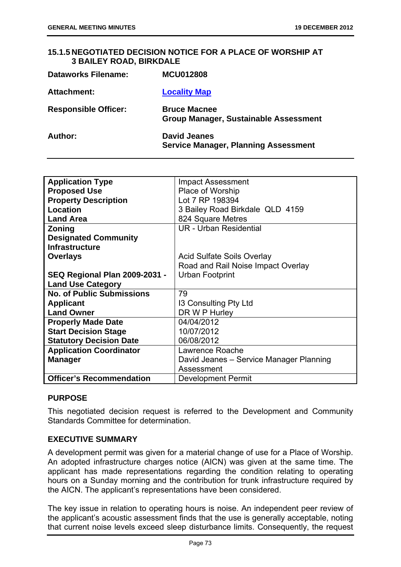### **15.1.5 NEGOTIATED DECISION NOTICE FOR A PLACE OF WORSHIP AT 3 BAILEY ROAD, BIRKDALE**

| <b>Dataworks Filename:</b>  | <b>MCU012808</b>                                                   |
|-----------------------------|--------------------------------------------------------------------|
| <b>Attachment:</b>          | <b>Locality Map</b>                                                |
| <b>Responsible Officer:</b> | <b>Bruce Macnee</b><br>Group Manager, Sustainable Assessment       |
| Author:                     | <b>David Jeanes</b><br><b>Service Manager, Planning Assessment</b> |

| <b>Application Type</b>              | <b>Impact Assessment</b>                |
|--------------------------------------|-----------------------------------------|
| <b>Proposed Use</b>                  | Place of Worship                        |
| <b>Property Description</b>          | Lot 7 RP 198394                         |
| Location                             | 3 Bailey Road Birkdale QLD 4159         |
| <b>Land Area</b>                     | 824 Square Metres                       |
| <b>Zoning</b>                        | <b>UR</b> - Urban Residential           |
| <b>Designated Community</b>          |                                         |
| <b>Infrastructure</b>                |                                         |
| <b>Overlays</b>                      | Acid Sulfate Soils Overlay              |
|                                      | Road and Rail Noise Impact Overlay      |
| <b>SEQ Regional Plan 2009-2031 -</b> | Urban Footprint                         |
| <b>Land Use Category</b>             |                                         |
| <b>No. of Public Submissions</b>     | 79                                      |
| <b>Applicant</b>                     | 13 Consulting Pty Ltd                   |
| <b>Land Owner</b>                    | DR W P Hurley                           |
| <b>Properly Made Date</b>            | 04/04/2012                              |
| <b>Start Decision Stage</b>          | 10/07/2012                              |
| <b>Statutory Decision Date</b>       | 06/08/2012                              |
| <b>Application Coordinator</b>       | Lawrence Roache                         |
| <b>Manager</b>                       | David Jeanes - Service Manager Planning |
|                                      | Assessment                              |
| <b>Officer's Recommendation</b>      | <b>Development Permit</b>               |

#### **PURPOSE**

This negotiated decision request is referred to the Development and Community Standards Committee for determination.

# **EXECUTIVE SUMMARY**

A development permit was given for a material change of use for a Place of Worship. An adopted infrastructure charges notice (AICN) was given at the same time. The applicant has made representations regarding the condition relating to operating hours on a Sunday morning and the contribution for trunk infrastructure required by the AICN. The applicant's representations have been considered.

The key issue in relation to operating hours is noise. An independent peer review of the applicant's acoustic assessment finds that the use is generally acceptable, noting that current noise levels exceed sleep disturbance limits. Consequently, the request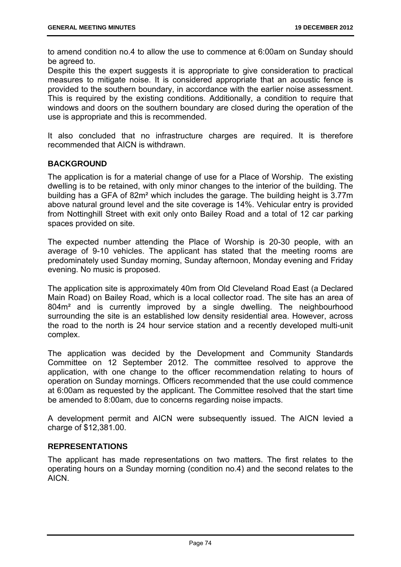to amend condition no.4 to allow the use to commence at 6:00am on Sunday should be agreed to.

Despite this the expert suggests it is appropriate to give consideration to practical measures to mitigate noise. It is considered appropriate that an acoustic fence is provided to the southern boundary, in accordance with the earlier noise assessment. This is required by the existing conditions. Additionally, a condition to require that windows and doors on the southern boundary are closed during the operation of the use is appropriate and this is recommended.

It also concluded that no infrastructure charges are required. It is therefore recommended that AICN is withdrawn.

# **BACKGROUND**

The application is for a material change of use for a Place of Worship. The existing dwelling is to be retained, with only minor changes to the interior of the building. The building has a GFA of 82m² which includes the garage. The building height is 3.77m above natural ground level and the site coverage is 14%. Vehicular entry is provided from Nottinghill Street with exit only onto Bailey Road and a total of 12 car parking spaces provided on site.

The expected number attending the Place of Worship is 20-30 people, with an average of 9-10 vehicles. The applicant has stated that the meeting rooms are predominately used Sunday morning, Sunday afternoon, Monday evening and Friday evening. No music is proposed.

The application site is approximately 40m from Old Cleveland Road East (a Declared Main Road) on Bailey Road, which is a local collector road. The site has an area of 804m² and is currently improved by a single dwelling. The neighbourhood surrounding the site is an established low density residential area. However, across the road to the north is 24 hour service station and a recently developed multi-unit complex.

The application was decided by the Development and Community Standards Committee on 12 September 2012. The committee resolved to approve the application, with one change to the officer recommendation relating to hours of operation on Sunday mornings. Officers recommended that the use could commence at 6:00am as requested by the applicant. The Committee resolved that the start time be amended to 8:00am, due to concerns regarding noise impacts.

A development permit and AICN were subsequently issued. The AICN levied a charge of \$12,381.00.

#### **REPRESENTATIONS**

The applicant has made representations on two matters. The first relates to the operating hours on a Sunday morning (condition no.4) and the second relates to the AICN.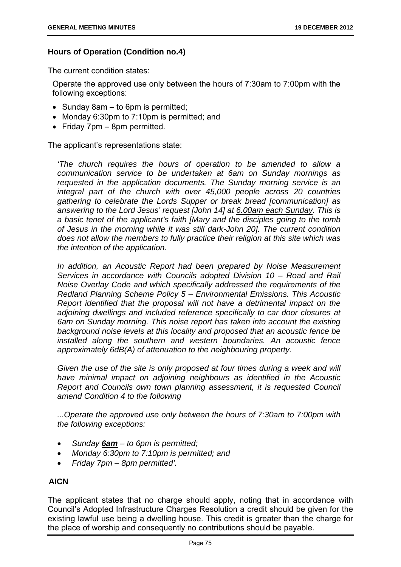### **Hours of Operation (Condition no.4)**

The current condition states:

Operate the approved use only between the hours of 7:30am to 7:00pm with the following exceptions:

- Sunday 8am  $-$  to 6pm is permitted;
- Monday 6:30pm to 7:10pm is permitted; and
- Friday  $7 \text{pm} 8 \text{pm}$  permitted.

The applicant's representations state:

*'The church requires the hours of operation to be amended to allow a communication service to be undertaken at 6am on Sunday mornings as requested in the application documents. The Sunday morning service is an integral part of the church with over 45,000 people across 20 countries gathering to celebrate the Lords Supper or break bread [communication] as answering to the Lord Jesus' request [John 14] at 6.00am each Sunday. This is a basic tenet of the applicant's faith [Mary and the disciples going to the tomb of Jesus in the morning while it was still dark-John 20]. The current condition does not allow the members to fully practice their religion at this site which was the intention of the application.* 

*In addition, an Acoustic Report had been prepared by Noise Measurement Services in accordance with Councils adopted Division 10 – Road and Rail Noise Overlay Code and which specifically addressed the requirements of the Redland Planning Scheme Policy 5 – Environmental Emissions. This Acoustic Report identified that the proposal will not have a detrimental impact on the adjoining dwellings and included reference specifically to car door closures at 6am on Sunday morning. This noise report has taken into account the existing background noise levels at this locality and proposed that an acoustic fence be installed along the southern and western boundaries. An acoustic fence approximately 6dB(A) of attenuation to the neighbouring property.* 

*Given the use of the site is only proposed at four times during a week and will have minimal impact on adjoining neighbours as identified in the Acoustic Report and Councils own town planning assessment, it is requested Council amend Condition 4 to the following* 

*...Operate the approved use only between the hours of 7:30am to 7:00pm with the following exceptions:* 

- *Sunday 6am to 6pm is permitted;*
- *Monday 6:30pm to 7:10pm is permitted; and*
- *Friday 7pm 8pm permitted'.*

# **AICN**

The applicant states that no charge should apply, noting that in accordance with Council's Adopted Infrastructure Charges Resolution a credit should be given for the existing lawful use being a dwelling house. This credit is greater than the charge for the place of worship and consequently no contributions should be payable.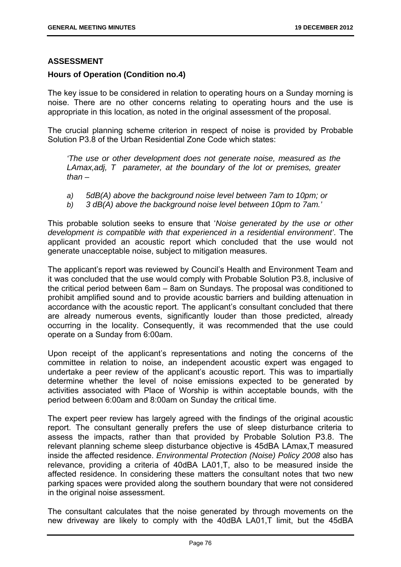### **ASSESSMENT**

### **Hours of Operation (Condition no.4)**

The key issue to be considered in relation to operating hours on a Sunday morning is noise. There are no other concerns relating to operating hours and the use is appropriate in this location, as noted in the original assessment of the proposal.

The crucial planning scheme criterion in respect of noise is provided by Probable Solution P3.8 of the Urban Residential Zone Code which states:

*'The use or other development does not generate noise, measured as the LAmax,adj, T parameter, at the boundary of the lot or premises, greater than –* 

- *a) 5dB(A) above the background noise level between 7am to 10pm; or*
- *b) 3 dB(A) above the background noise level between 10pm to 7am.'*

This probable solution seeks to ensure that '*Noise generated by the use or other development is compatible with that experienced in a residential environment'*. The applicant provided an acoustic report which concluded that the use would not generate unacceptable noise, subject to mitigation measures.

The applicant's report was reviewed by Council's Health and Environment Team and it was concluded that the use would comply with Probable Solution P3.8, inclusive of the critical period between 6am – 8am on Sundays. The proposal was conditioned to prohibit amplified sound and to provide acoustic barriers and building attenuation in accordance with the acoustic report. The applicant's consultant concluded that there are already numerous events, significantly louder than those predicted, already occurring in the locality. Consequently, it was recommended that the use could operate on a Sunday from 6:00am.

Upon receipt of the applicant's representations and noting the concerns of the committee in relation to noise, an independent acoustic expert was engaged to undertake a peer review of the applicant's acoustic report. This was to impartially determine whether the level of noise emissions expected to be generated by activities associated with Place of Worship is within acceptable bounds, with the period between 6:00am and 8:00am on Sunday the critical time.

The expert peer review has largely agreed with the findings of the original acoustic report. The consultant generally prefers the use of sleep disturbance criteria to assess the impacts, rather than that provided by Probable Solution P3.8. The relevant planning scheme sleep disturbance objective is 45dBA LAmax,T measured inside the affected residence. *Environmental Protection (Noise) Policy 2008* also has relevance, providing a criteria of 40dBA LA01,T, also to be measured inside the affected residence. In considering these matters the consultant notes that two new parking spaces were provided along the southern boundary that were not considered in the original noise assessment.

The consultant calculates that the noise generated by through movements on the new driveway are likely to comply with the 40dBA LA01,T limit, but the 45dBA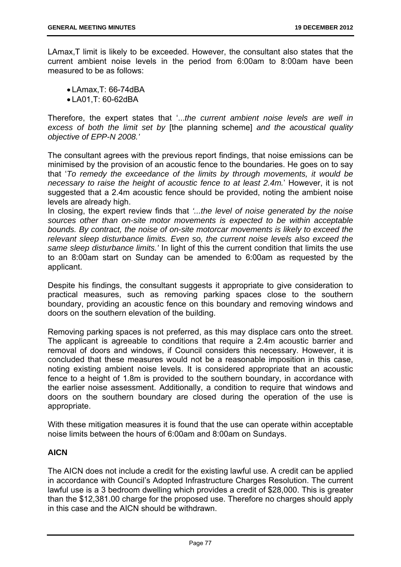LAmax,T limit is likely to be exceeded. However, the consultant also states that the current ambient noise levels in the period from 6:00am to 8:00am have been measured to be as follows:

 LAmax,T: 66-74dBA LA01,T: 60-62dBA

Therefore, the expert states that '...*the current ambient noise levels are well in excess of both the limit set by* [the planning scheme] *and the acoustical quality objective of EPP-N 2008.'*

The consultant agrees with the previous report findings, that noise emissions can be minimised by the provision of an acoustic fence to the boundaries. He goes on to say that '*To remedy the exceedance of the limits by through movements, it would be necessary to raise the height of acoustic fence to at least 2.4m.*' However, it is not suggested that a 2.4m acoustic fence should be provided, noting the ambient noise levels are already high.

In closing, the expert review finds that *'...the level of noise generated by the noise sources other than on-site motor movements is expected to be within acceptable bounds. By contract, the noise of on-site motorcar movements is likely to exceed the relevant sleep disturbance limits. Even so, the current noise levels also exceed the same sleep disturbance limits.'* In light of this the current condition that limits the use to an 8:00am start on Sunday can be amended to 6:00am as requested by the applicant.

Despite his findings, the consultant suggests it appropriate to give consideration to practical measures, such as removing parking spaces close to the southern boundary, providing an acoustic fence on this boundary and removing windows and doors on the southern elevation of the building.

Removing parking spaces is not preferred, as this may displace cars onto the street. The applicant is agreeable to conditions that require a 2.4m acoustic barrier and removal of doors and windows, if Council considers this necessary. However, it is concluded that these measures would not be a reasonable imposition in this case, noting existing ambient noise levels. It is considered appropriate that an acoustic fence to a height of 1.8m is provided to the southern boundary, in accordance with the earlier noise assessment. Additionally, a condition to require that windows and doors on the southern boundary are closed during the operation of the use is appropriate.

With these mitigation measures it is found that the use can operate within acceptable noise limits between the hours of 6:00am and 8:00am on Sundays.

# **AICN**

The AICN does not include a credit for the existing lawful use. A credit can be applied in accordance with Council's Adopted Infrastructure Charges Resolution. The current lawful use is a 3 bedroom dwelling which provides a credit of \$28,000. This is greater than the \$12,381.00 charge for the proposed use. Therefore no charges should apply in this case and the AICN should be withdrawn.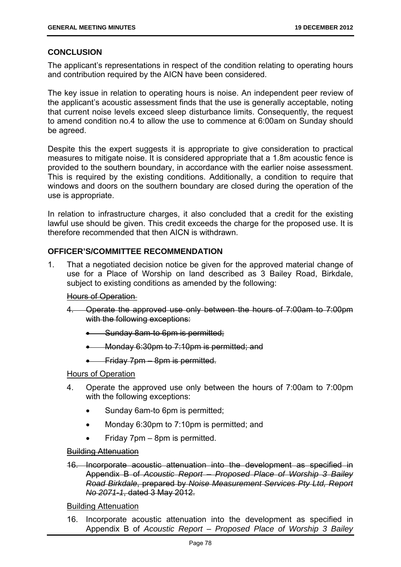# **CONCLUSION**

The applicant's representations in respect of the condition relating to operating hours and contribution required by the AICN have been considered.

The key issue in relation to operating hours is noise. An independent peer review of the applicant's acoustic assessment finds that the use is generally acceptable, noting that current noise levels exceed sleep disturbance limits. Consequently, the request to amend condition no.4 to allow the use to commence at 6:00am on Sunday should be agreed.

Despite this the expert suggests it is appropriate to give consideration to practical measures to mitigate noise. It is considered appropriate that a 1.8m acoustic fence is provided to the southern boundary, in accordance with the earlier noise assessment. This is required by the existing conditions. Additionally, a condition to require that windows and doors on the southern boundary are closed during the operation of the use is appropriate.

In relation to infrastructure charges, it also concluded that a credit for the existing lawful use should be given. This credit exceeds the charge for the proposed use. It is therefore recommended that then AICN is withdrawn.

# **OFFICER'S/COMMITTEE RECOMMENDATION**

1. That a negotiated decision notice be given for the approved material change of use for a Place of Worship on land described as 3 Bailey Road, Birkdale, subject to existing conditions as amended by the following:

#### Hours of Operation

- 4. Operate the approved use only between the hours of 7:00am to 7:00pm with the following exceptions:
	- Sunday 8am-to 6pm is permitted;
	- Monday 6:30pm to 7:10pm is permitted; and
	- Friday 7pm 8pm is permitted.

#### Hours of Operation

- 4. Operate the approved use only between the hours of 7:00am to 7:00pm with the following exceptions:
	- Sunday 6am-to 6pm is permitted;
	- Monday 6:30pm to 7:10pm is permitted; and
	- Friday 7pm 8pm is permitted.

#### Building Attenuation

16. Incorporate acoustic attenuation into the development as specified in Appendix B of *Acoustic Report – Proposed Place of Worship 3 Bailey Road Birkdale*, prepared by *Noise Measurement Services Pty Ltd, Report No 2071-1*, dated 3 May 2012.

Building Attenuation

16. Incorporate acoustic attenuation into the development as specified in Appendix B of *Acoustic Report – Proposed Place of Worship 3 Bailey*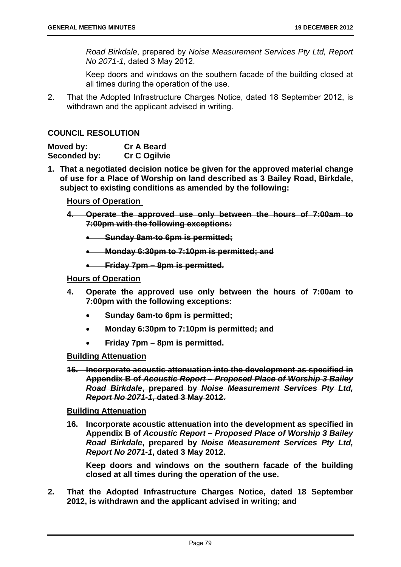*Road Birkdale*, prepared by *Noise Measurement Services Pty Ltd, Report No 2071-1*, dated 3 May 2012.

Keep doors and windows on the southern facade of the building closed at all times during the operation of the use.

2. That the Adopted Infrastructure Charges Notice, dated 18 September 2012, is withdrawn and the applicant advised in writing.

#### **COUNCIL RESOLUTION**

| Moved by:    | <b>Cr A Beard</b>   |
|--------------|---------------------|
| Seconded by: | <b>Cr C Ogilvie</b> |

**1. That a negotiated decision notice be given for the approved material change of use for a Place of Worship on land described as 3 Bailey Road, Birkdale, subject to existing conditions as amended by the following:** 

#### **Hours of Operation**

- **4. Operate the approved use only between the hours of 7:00am to 7:00pm with the following exceptions:** 
	- **Sunday 8am-to 6pm is permitted;**
	- **Monday 6:30pm to 7:10pm is permitted; and**
	- **Friday 7pm 8pm is permitted.**

### **Hours of Operation**

- **4. Operate the approved use only between the hours of 7:00am to 7:00pm with the following exceptions:** 
	- **Sunday 6am-to 6pm is permitted;**
	- **Monday 6:30pm to 7:10pm is permitted; and**
	- **Friday 7pm 8pm is permitted.**

### **Building Attenuation**

**16. Incorporate acoustic attenuation into the development as specified in Appendix B of** *Acoustic Report – Proposed Place of Worship 3 Bailey Road Birkdale***, prepared by** *Noise Measurement Services Pty Ltd, Report No 2071-1***, dated 3 May 2012.** 

#### **Building Attenuation**

**16. Incorporate acoustic attenuation into the development as specified in Appendix B of** *Acoustic Report – Proposed Place of Worship 3 Bailey Road Birkdale***, prepared by** *Noise Measurement Services Pty Ltd, Report No 2071-1***, dated 3 May 2012.** 

**Keep doors and windows on the southern facade of the building closed at all times during the operation of the use.** 

**2. That the Adopted Infrastructure Charges Notice, dated 18 September 2012, is withdrawn and the applicant advised in writing; and**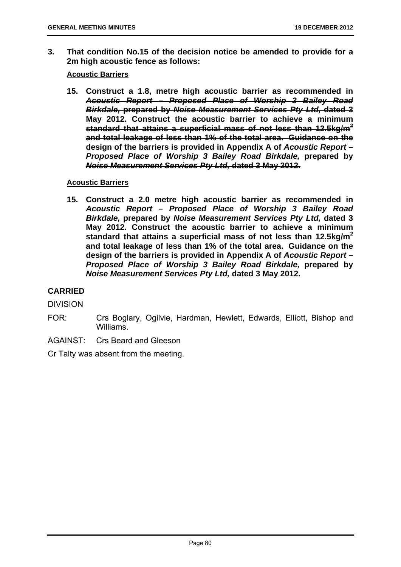**3. That condition No.15 of the decision notice be amended to provide for a 2m high acoustic fence as follows:** 

#### **Acoustic Barriers**

**15. Construct a 1.8, metre high acoustic barrier as recommended in**  *Acoustic Report – Proposed Place of Worship 3 Bailey Road Birkdale,* **prepared by** *Noise Measurement Services Pty Ltd,* **dated 3 May 2012. Construct the acoustic barrier to achieve a minimum standard that attains a superficial mass of not less than 12.5kg/m<sup>2</sup> and total leakage of less than 1% of the total area. Guidance on the design of the barriers is provided in Appendix A of** *Acoustic Report – Proposed Place of Worship 3 Bailey Road Birkdale,* **prepared by**  *Noise Measurement Services Pty Ltd,* **dated 3 May 2012.**

#### **Acoustic Barriers**

**15. Construct a 2.0 metre high acoustic barrier as recommended in**  *Acoustic Report – Proposed Place of Worship 3 Bailey Road Birkdale,* **prepared by** *Noise Measurement Services Pty Ltd,* **dated 3 May 2012. Construct the acoustic barrier to achieve a minimum standard that attains a superficial mass of not less than 12.5kg/m<sup>2</sup> and total leakage of less than 1% of the total area. Guidance on the design of the barriers is provided in Appendix A of** *Acoustic Report – Proposed Place of Worship 3 Bailey Road Birkdale,* **prepared by**  *Noise Measurement Services Pty Ltd,* **dated 3 May 2012.**

# **CARRIED**

DIVISION

- FOR: Crs Boglary, Ogilvie, Hardman, Hewlett, Edwards, Elliott, Bishop and Williams.
- AGAINST: Crs Beard and Gleeson

Cr Talty was absent from the meeting.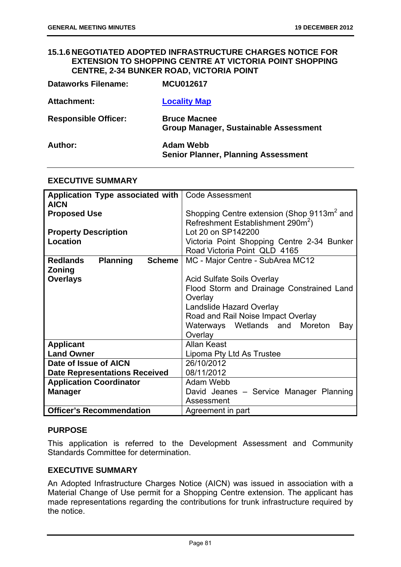### **15.1.6 NEGOTIATED ADOPTED INFRASTRUCTURE CHARGES NOTICE FOR EXTENSION TO SHOPPING CENTRE AT VICTORIA POINT SHOPPING CENTRE, 2-34 BUNKER ROAD, VICTORIA POINT**

| <b>Dataworks Filename:</b>  | <b>MCU012617</b>                                                    |
|-----------------------------|---------------------------------------------------------------------|
| Attachment:                 | <b>Locality Map</b>                                                 |
| <b>Responsible Officer:</b> | <b>Bruce Macnee</b><br><b>Group Manager, Sustainable Assessment</b> |
| Author:                     | <b>Adam Webb</b><br><b>Senior Planner, Planning Assessment</b>      |

# **EXECUTIVE SUMMARY**

| Application Type associated with   Code Assessment |                                                        |  |
|----------------------------------------------------|--------------------------------------------------------|--|
| <b>AICN</b>                                        |                                                        |  |
| <b>Proposed Use</b>                                | Shopping Centre extension (Shop 9113m <sup>2</sup> and |  |
|                                                    | Refreshment Establishment 290m <sup>2</sup> )          |  |
|                                                    |                                                        |  |
| <b>Property Description</b>                        | Lot 20 on SP142200                                     |  |
| Location                                           | Victoria Point Shopping Centre 2-34 Bunker             |  |
|                                                    | Road Victoria Point QLD 4165                           |  |
| <b>Planning</b><br><b>Redlands</b><br>Scheme       | MC - Major Centre - SubArea MC12                       |  |
| Zoning                                             |                                                        |  |
| <b>Overlays</b>                                    | <b>Acid Sulfate Soils Overlay</b>                      |  |
|                                                    | Flood Storm and Drainage Constrained Land              |  |
|                                                    | Overlay                                                |  |
|                                                    | Landslide Hazard Overlay                               |  |
|                                                    | Road and Rail Noise Impact Overlay                     |  |
|                                                    | Waterways Wetlands and Moreton<br>Bay                  |  |
|                                                    | Overlay                                                |  |
| <b>Applicant</b>                                   | Allan Keast                                            |  |
| <b>Land Owner</b>                                  | Lipoma Pty Ltd As Trustee                              |  |
| Date of Issue of AICN                              | 26/10/2012                                             |  |
|                                                    |                                                        |  |
| <b>Date Representations Received</b>               | 08/11/2012                                             |  |
| <b>Application Coordinator</b>                     | Adam Webb                                              |  |
| <b>Manager</b>                                     | David Jeanes - Service Manager Planning                |  |
|                                                    | Assessment                                             |  |
| <b>Officer's Recommendation</b>                    | Agreement in part                                      |  |

# **PURPOSE**

This application is referred to the Development Assessment and Community Standards Committee for determination.

### **EXECUTIVE SUMMARY**

An Adopted Infrastructure Charges Notice (AICN) was issued in association with a Material Change of Use permit for a Shopping Centre extension. The applicant has made representations regarding the contributions for trunk infrastructure required by the notice.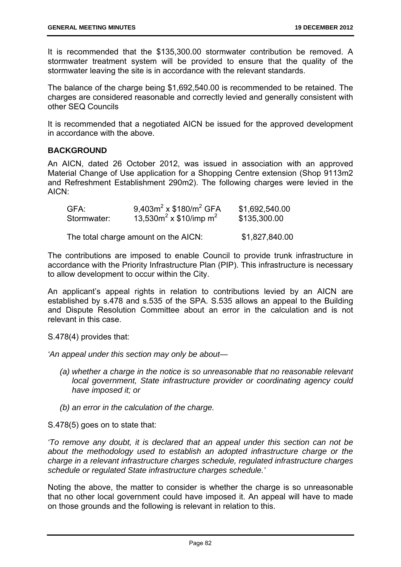It is recommended that the \$135,300.00 stormwater contribution be removed. A stormwater treatment system will be provided to ensure that the quality of the stormwater leaving the site is in accordance with the relevant standards.

The balance of the charge being \$1,692,540.00 is recommended to be retained. The charges are considered reasonable and correctly levied and generally consistent with other SEQ Councils

It is recommended that a negotiated AICN be issued for the approved development in accordance with the above.

# **BACKGROUND**

An AICN, dated 26 October 2012, was issued in association with an approved Material Change of Use application for a Shopping Centre extension (Shop 9113m2 and Refreshment Establishment 290m2). The following charges were levied in the AICN:

| GFA:        | 9,403 $m^2$ x \$180/ $m^2$ GFA | \$1,692,540.00 |
|-------------|--------------------------------|----------------|
| Stormwater: | 13,530 $m^2$ x \$10/imp $m^2$  | \$135,300.00   |

The total charge amount on the AICN: \$1,827,840.00

The contributions are imposed to enable Council to provide trunk infrastructure in accordance with the Priority Infrastructure Plan (PIP). This infrastructure is necessary to allow development to occur within the City.

An applicant's appeal rights in relation to contributions levied by an AICN are established by s.478 and s.535 of the SPA. S.535 allows an appeal to the Building and Dispute Resolution Committee about an error in the calculation and is not relevant in this case.

S.478(4) provides that:

*'An appeal under this section may only be about—* 

- *(a) whether a charge in the notice is so unreasonable that no reasonable relevant local government, State infrastructure provider or coordinating agency could have imposed it; or*
- *(b) an error in the calculation of the charge.*

S.478(5) goes on to state that:

*'To remove any doubt, it is declared that an appeal under this section can not be about the methodology used to establish an adopted infrastructure charge or the charge in a relevant infrastructure charges schedule, regulated infrastructure charges schedule or regulated State infrastructure charges schedule.'* 

Noting the above, the matter to consider is whether the charge is so unreasonable that no other local government could have imposed it. An appeal will have to made on those grounds and the following is relevant in relation to this.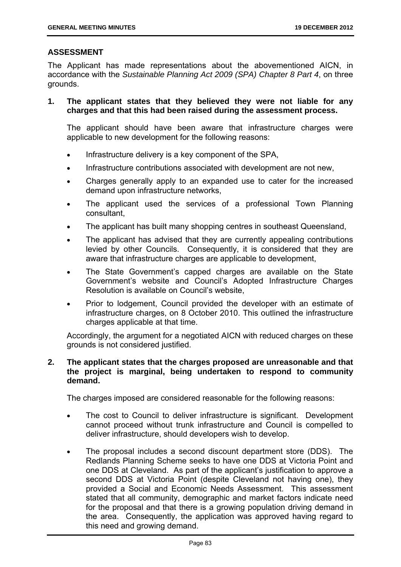# **ASSESSMENT**

The Applicant has made representations about the abovementioned AICN, in accordance with the *Sustainable Planning Act 2009 (SPA) Chapter 8 Part 4*, on three grounds.

**1. The applicant states that they believed they were not liable for any charges and that this had been raised during the assessment process.** 

The applicant should have been aware that infrastructure charges were applicable to new development for the following reasons:

- Infrastructure delivery is a key component of the SPA,
- Infrastructure contributions associated with development are not new,
- Charges generally apply to an expanded use to cater for the increased demand upon infrastructure networks,
- The applicant used the services of a professional Town Planning consultant,
- The applicant has built many shopping centres in southeast Queensland,
- The applicant has advised that they are currently appealing contributions levied by other Councils. Consequently, it is considered that they are aware that infrastructure charges are applicable to development,
- The State Government's capped charges are available on the State Government's website and Council's Adopted Infrastructure Charges Resolution is available on Council's website,
- Prior to lodgement, Council provided the developer with an estimate of infrastructure charges, on 8 October 2010. This outlined the infrastructure charges applicable at that time.

Accordingly, the argument for a negotiated AICN with reduced charges on these grounds is not considered justified.

### **2. The applicant states that the charges proposed are unreasonable and that the project is marginal, being undertaken to respond to community demand.**

The charges imposed are considered reasonable for the following reasons:

- The cost to Council to deliver infrastructure is significant. Development cannot proceed without trunk infrastructure and Council is compelled to deliver infrastructure, should developers wish to develop.
- The proposal includes a second discount department store (DDS). The Redlands Planning Scheme seeks to have one DDS at Victoria Point and one DDS at Cleveland. As part of the applicant's justification to approve a second DDS at Victoria Point (despite Cleveland not having one), they provided a Social and Economic Needs Assessment. This assessment stated that all community, demographic and market factors indicate need for the proposal and that there is a growing population driving demand in the area. Consequently, the application was approved having regard to this need and growing demand.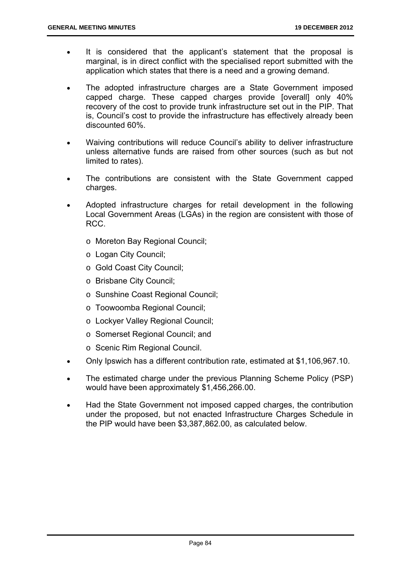- It is considered that the applicant's statement that the proposal is marginal, is in direct conflict with the specialised report submitted with the application which states that there is a need and a growing demand.
- The adopted infrastructure charges are a State Government imposed capped charge. These capped charges provide [overall] only 40% recovery of the cost to provide trunk infrastructure set out in the PIP. That is, Council's cost to provide the infrastructure has effectively already been discounted 60%.
- Waiving contributions will reduce Council's ability to deliver infrastructure unless alternative funds are raised from other sources (such as but not limited to rates).
- The contributions are consistent with the State Government capped charges.
- Adopted infrastructure charges for retail development in the following Local Government Areas (LGAs) in the region are consistent with those of RCC.
	- o Moreton Bay Regional Council;
	- o Logan City Council;
	- o Gold Coast City Council;
	- o Brisbane City Council;
	- o Sunshine Coast Regional Council;
	- o Toowoomba Regional Council;
	- o Lockyer Valley Regional Council;
	- o Somerset Regional Council; and
	- o Scenic Rim Regional Council.
- Only Ipswich has a different contribution rate, estimated at \$1,106,967.10.
- The estimated charge under the previous Planning Scheme Policy (PSP) would have been approximately \$1,456,266.00.
- Had the State Government not imposed capped charges, the contribution under the proposed, but not enacted Infrastructure Charges Schedule in the PIP would have been \$3,387,862.00, as calculated below.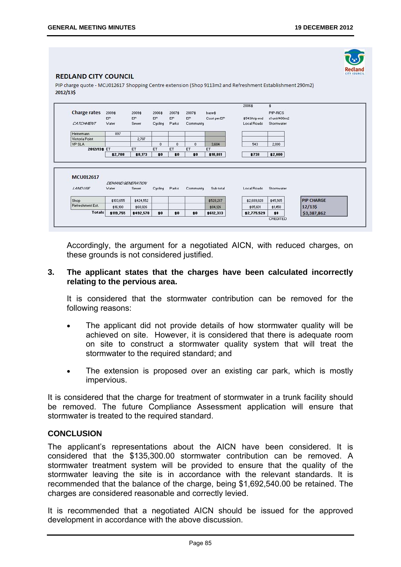

#### **REDLAND CITY COUNCIL**

PIP charge quote - MCU012617 Shopping Centre extension (Shop 9113m2 and Refreshment Establishment 290m2) 2012/135

| <b>Charge rates</b> | 2009\$<br>EP                | 2009\$<br>EP | 2006\$<br><b>EP</b> | 2007\$<br>EP | 2007\$<br>EP | base\$<br>Cost per EP | \$543/trip end | PIP-RICS<br>x1 unit/400m2 |                   |
|---------------------|-----------------------------|--------------|---------------------|--------------|--------------|-----------------------|----------------|---------------------------|-------------------|
| CATCHANENT          | Water                       | Sewer        | Cycling             | Parks        | Community    |                       | Local Roads    | Stormwater                |                   |
| Heinemann           | 897                         |              |                     |              |              |                       |                |                           |                   |
| Victoria Point      |                             | 2,707        |                     |              |              |                       |                |                           |                   |
| <b>VP SLA</b>       |                             |              | $\mathbf{0}$        | $\mathbf{0}$ | $\mathbf{0}$ | 3,604                 | 543            | 2,000                     |                   |
| 2012/13\$ ET        |                             | ET           | ET                  | ET           | ET           | ET                    |                |                           |                   |
|                     | \$2,708                     | \$8,173      | \$0                 | \$0          | \$0          | \$10,881              | \$738          | \$2,000                   |                   |
|                     |                             |              |                     |              |              |                       |                |                           |                   |
| <b>MCU012617</b>    |                             |              |                     |              |              |                       |                |                           |                   |
| <b>LANDUSE</b>      | DENNAND GENERATION<br>Water | Sewer        | Cycling             | Parks        | Community    | Sub total             | Local Roads    | Stormwater                |                   |
| Shop                | \$103,655                   | \$424,552    |                     |              |              | \$528,207             | \$2,689,928    | \$45,565                  | <b>PIP CHARGE</b> |
| Refreshment Est.    | \$16,100                    | \$68,026     |                     |              |              | \$84,126              | \$85,601       | \$1,450                   | 12/135            |
| <b>Totals</b>       | \$119,755                   | \$492,578    | \$0                 | \$0          | \$0          | \$612,333             | \$2,775,529    | \$0                       | \$3,387,862       |

Accordingly, the argument for a negotiated AICN, with reduced charges, on these grounds is not considered justified.

#### **3. The applicant states that the charges have been calculated incorrectly relating to the pervious area.**

It is considered that the stormwater contribution can be removed for the following reasons:

- The applicant did not provide details of how stormwater quality will be achieved on site. However, it is considered that there is adequate room on site to construct a stormwater quality system that will treat the stormwater to the required standard; and
- The extension is proposed over an existing car park, which is mostly impervious.

It is considered that the charge for treatment of stormwater in a trunk facility should be removed. The future Compliance Assessment application will ensure that stormwater is treated to the required standard.

#### **CONCLUSION**

The applicant's representations about the AICN have been considered. It is considered that the \$135,300.00 stormwater contribution can be removed. A stormwater treatment system will be provided to ensure that the quality of the stormwater leaving the site is in accordance with the relevant standards. It is recommended that the balance of the charge, being \$1,692,540.00 be retained. The charges are considered reasonable and correctly levied.

It is recommended that a negotiated AICN should be issued for the approved development in accordance with the above discussion.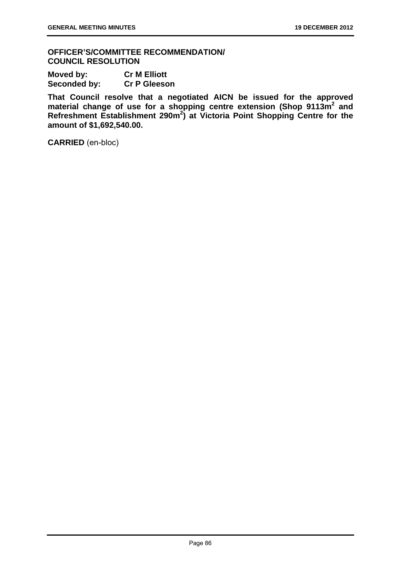**OFFICER'S/COMMITTEE RECOMMENDATION/ COUNCIL RESOLUTION** 

| Moved by:    | <b>Cr M Elliott</b> |
|--------------|---------------------|
| Seconded by: | <b>Cr P Gleeson</b> |

**That Council resolve that a negotiated AICN be issued for the approved**  material change of use for a shopping centre extension (Shop 9113m<sup>2</sup> and **Refreshment Establishment 290m<sup>2</sup> ) at Victoria Point Shopping Centre for the amount of \$1,692,540.00.** 

**CARRIED** (en-bloc)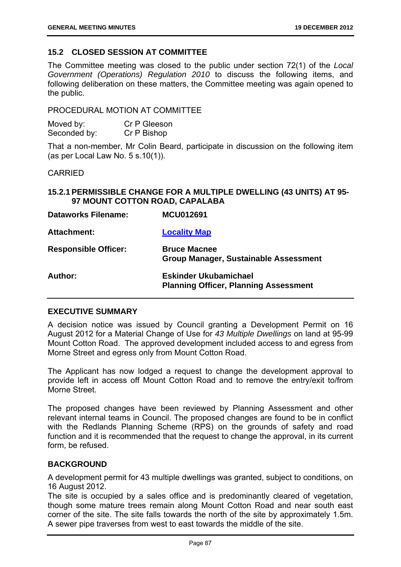# **15.2 CLOSED SESSION AT COMMITTEE**

The Committee meeting was closed to the public under section 72(1) of the *Local Government (Operations) Regulation 2010* to discuss the following items, and following deliberation on these matters, the Committee meeting was again opened to the public.

PROCEDURAL MOTION AT COMMITTEE

**Dataworks Filename: MCU012691** 

| Moved by:    | Cr P Gleeson |
|--------------|--------------|
| Seconded by: | Cr P Bishop  |

That a non-member, Mr Colin Beard, participate in discussion on the following item (as per Local Law No. 5 s.10(1)).

CARRIED

### **15.2.1 PERMISSIBLE CHANGE FOR A MULTIPLE DWELLING (43 UNITS) AT 95- 97 MOUNT COTTON ROAD, CAPALABA**

| DALAWOI KS FIIEIIAIIIE.     | <b>IVIUUU LZOYI</b>                                                          |
|-----------------------------|------------------------------------------------------------------------------|
| <b>Attachment:</b>          | <b>Locality Map</b>                                                          |
| <b>Responsible Officer:</b> | <b>Bruce Macnee</b><br>Group Manager, Sustainable Assessment                 |
| Author:                     | <b>Eskinder Ukubamichael</b><br><b>Planning Officer, Planning Assessment</b> |

#### **EXECUTIVE SUMMARY**

A decision notice was issued by Council granting a Development Permit on 16 August 2012 for a Material Change of Use for *43 Multiple Dwellings* on land at 95-99 Mount Cotton Road. The approved development included access to and egress from Morne Street and egress only from Mount Cotton Road.

The Applicant has now lodged a request to change the development approval to provide left in access off Mount Cotton Road and to remove the entry/exit to/from Morne Street.

The proposed changes have been reviewed by Planning Assessment and other relevant internal teams in Council. The proposed changes are found to be in conflict with the Redlands Planning Scheme (RPS) on the grounds of safety and road function and it is recommended that the request to change the approval, in its current form, be refused.

# **BACKGROUND**

A development permit for 43 multiple dwellings was granted, subject to conditions, on 16 August 2012.

The site is occupied by a sales office and is predominantly cleared of vegetation, though some mature trees remain along Mount Cotton Road and near south east corner of the site. The site falls towards the north of the site by approximately 1.5m. A sewer pipe traverses from west to east towards the middle of the site.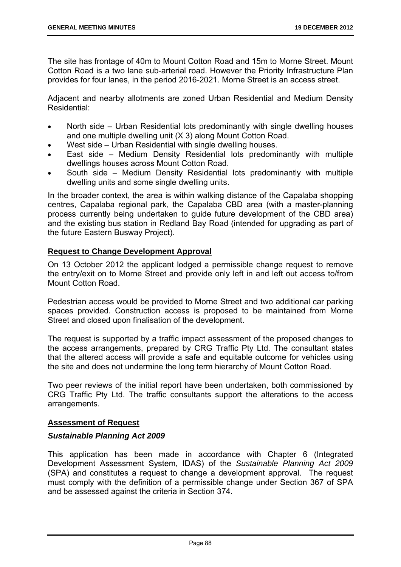The site has frontage of 40m to Mount Cotton Road and 15m to Morne Street. Mount Cotton Road is a two lane sub-arterial road. However the Priority Infrastructure Plan provides for four lanes, in the period 2016-2021. Morne Street is an access street.

Adjacent and nearby allotments are zoned Urban Residential and Medium Density Residential:

- North side Urban Residential lots predominantly with single dwelling houses and one multiple dwelling unit (X 3) along Mount Cotton Road.
- West side Urban Residential with single dwelling houses.
- East side Medium Density Residential lots predominantly with multiple dwellings houses across Mount Cotton Road.
- South side Medium Density Residential lots predominantly with multiple dwelling units and some single dwelling units.

In the broader context, the area is within walking distance of the Capalaba shopping centres, Capalaba regional park, the Capalaba CBD area (with a master-planning process currently being undertaken to guide future development of the CBD area) and the existing bus station in Redland Bay Road (intended for upgrading as part of the future Eastern Busway Project).

# **Request to Change Development Approval**

On 13 October 2012 the applicant lodged a permissible change request to remove the entry/exit on to Morne Street and provide only left in and left out access to/from Mount Cotton Road.

Pedestrian access would be provided to Morne Street and two additional car parking spaces provided. Construction access is proposed to be maintained from Morne Street and closed upon finalisation of the development.

The request is supported by a traffic impact assessment of the proposed changes to the access arrangements, prepared by CRG Traffic Pty Ltd. The consultant states that the altered access will provide a safe and equitable outcome for vehicles using the site and does not undermine the long term hierarchy of Mount Cotton Road.

Two peer reviews of the initial report have been undertaken, both commissioned by CRG Traffic Pty Ltd. The traffic consultants support the alterations to the access arrangements.

# **Assessment of Request**

#### *Sustainable Planning Act 2009*

This application has been made in accordance with Chapter 6 (Integrated Development Assessment System, IDAS) of the *Sustainable Planning Act 2009*  (SPA) and constitutes a request to change a development approval. The request must comply with the definition of a permissible change under Section 367 of SPA and be assessed against the criteria in Section 374.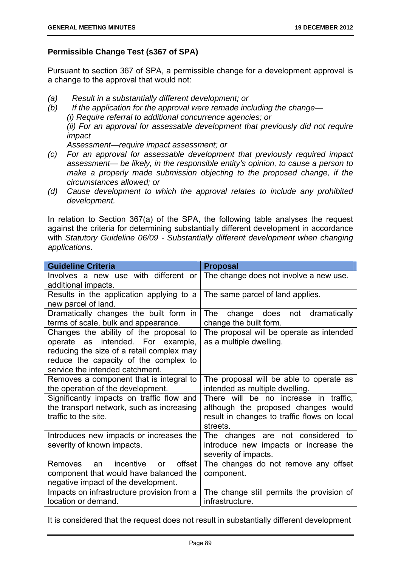# **Permissible Change Test (s367 of SPA)**

Pursuant to section 367 of SPA, a permissible change for a development approval is a change to the approval that would not:

- *(a) Result in a substantially different development; or*
- *(b) If the application for the approval were remade including the change— (i) Require referral to additional concurrence agencies; or (ii) For an approval for assessable development that previously did not require impact*

*Assessment—require impact assessment; or* 

- *(c) For an approval for assessable development that previously required impact assessment— be likely, in the responsible entity's opinion, to cause a person to make a properly made submission objecting to the proposed change, if the circumstances allowed; or*
- *(d) Cause development to which the approval relates to include any prohibited development.*

In relation to Section 367(a) of the SPA, the following table analyses the request against the criteria for determining substantially different development in accordance with *Statutory Guideline 06/09 - Substantially different development when changing applications*.

| <b>Guideline Criteria</b>                                                                                                                                                                            | <b>Proposal</b>                                                                                                                         |
|------------------------------------------------------------------------------------------------------------------------------------------------------------------------------------------------------|-----------------------------------------------------------------------------------------------------------------------------------------|
| Involves a new use with different or<br>additional impacts.                                                                                                                                          | The change does not involve a new use.                                                                                                  |
| Results in the application applying to a<br>new parcel of land.                                                                                                                                      | The same parcel of land applies.                                                                                                        |
| Dramatically changes the built form in<br>terms of scale, bulk and appearance.                                                                                                                       | dramatically<br><b>The</b><br>change does<br>not<br>change the built form.                                                              |
| Changes the ability of the proposal to<br>operate as intended. For example,<br>reducing the size of a retail complex may<br>reduce the capacity of the complex to<br>service the intended catchment. | The proposal will be operate as intended<br>as a multiple dwelling.                                                                     |
| Removes a component that is integral to<br>the operation of the development.                                                                                                                         | The proposal will be able to operate as<br>intended as multiple dwelling.                                                               |
| Significantly impacts on traffic flow and<br>the transport network, such as increasing<br>traffic to the site.                                                                                       | There will be no increase in traffic,<br>although the proposed changes would<br>result in changes to traffic flows on local<br>streets. |
| Introduces new impacts or increases the<br>severity of known impacts.                                                                                                                                | The changes are not considered to<br>introduce new impacts or increase the<br>severity of impacts.                                      |
| incentive<br>offset<br>Removes<br>an<br><b>or</b>                                                                                                                                                    | The changes do not remove any offset                                                                                                    |
| component that would have balanced the                                                                                                                                                               | component.                                                                                                                              |
| negative impact of the development.                                                                                                                                                                  |                                                                                                                                         |
| Impacts on infrastructure provision from a                                                                                                                                                           | The change still permits the provision of                                                                                               |
| location or demand.                                                                                                                                                                                  | infrastructure.                                                                                                                         |

It is considered that the request does not result in substantially different development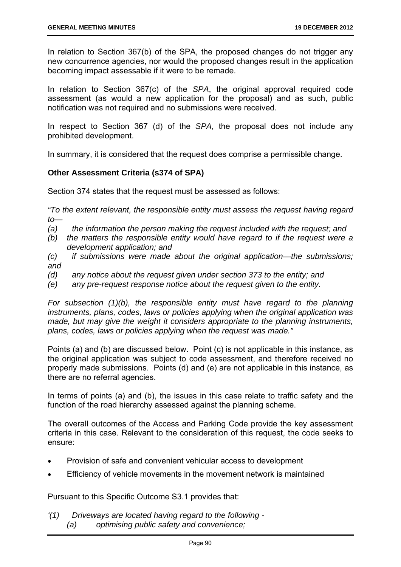In relation to Section 367(b) of the SPA, the proposed changes do not trigger any new concurrence agencies, nor would the proposed changes result in the application becoming impact assessable if it were to be remade.

In relation to Section 367(c) of the *SPA*, the original approval required code assessment (as would a new application for the proposal) and as such, public notification was not required and no submissions were received.

In respect to Section 367 (d) of the *SPA*, the proposal does not include any prohibited development.

In summary, it is considered that the request does comprise a permissible change.

# **Other Assessment Criteria (s374 of SPA)**

Section 374 states that the request must be assessed as follows:

*"To the extent relevant, the responsible entity must assess the request having regard to—* 

- *(a) the information the person making the request included with the request; and*
- *(b) the matters the responsible entity would have regard to if the request were a development application; and*
- *(c) if submissions were made about the original application—the submissions; and*
- *(d) any notice about the request given under section 373 to the entity; and*
- *(e) any pre-request response notice about the request given to the entity.*

*For subsection (1)(b), the responsible entity must have regard to the planning instruments, plans, codes, laws or policies applying when the original application was made, but may give the weight it considers appropriate to the planning instruments, plans, codes, laws or policies applying when the request was made."* 

Points (a) and (b) are discussed below. Point (c) is not applicable in this instance, as the original application was subject to code assessment, and therefore received no properly made submissions. Points (d) and (e) are not applicable in this instance, as there are no referral agencies.

In terms of points (a) and (b), the issues in this case relate to traffic safety and the function of the road hierarchy assessed against the planning scheme.

The overall outcomes of the Access and Parking Code provide the key assessment criteria in this case. Relevant to the consideration of this request, the code seeks to ensure:

- Provision of safe and convenient vehicular access to development
- Efficiency of vehicle movements in the movement network is maintained

Pursuant to this Specific Outcome S3.1 provides that:

*'(1) Driveways are located having regard to the following - (a) optimising public safety and convenience;*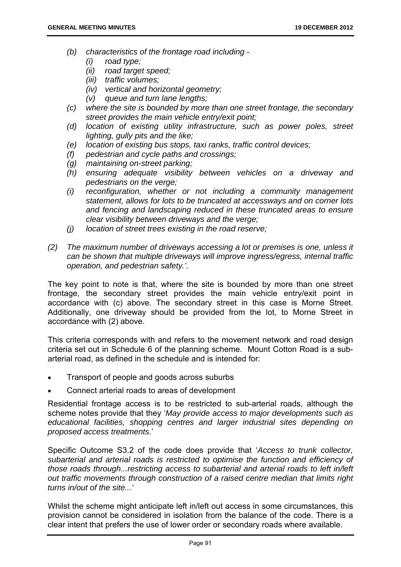- *(b) characteristics of the frontage road including* 
	- *(i) road type;*
	- *(ii) road target speed;*
	- *(iii) traffic volumes;*
	- *(iv) vertical and horizontal geometry;*
	- *(v) queue and turn lane lengths;*
- *(c) where the site is bounded by more than one street frontage, the secondary street provides the main vehicle entry/exit point;*
- *(d) location of existing utility infrastructure, such as power poles, street lighting, gully pits and the like;*
- *(e) location of existing bus stops, taxi ranks, traffic control devices;*
- *(f) pedestrian and cycle paths and crossings;*
- *(g) maintaining on-street parking;*
- *(h) ensuring adequate visibility between vehicles on a driveway and pedestrians on the verge;*
- *(i) reconfiguration, whether or not including a community management statement, allows for lots to be truncated at accessways and on corner lots and fencing and landscaping reduced in these truncated areas to ensure clear visibility between driveways and the verge;*
- *(j) location of street trees existing in the road reserve;*
- *(2) The maximum number of driveways accessing a lot or premises is one, unless it can be shown that multiple driveways will improve ingress/egress, internal traffic operation, and pedestrian safety.'.*

The key point to note is that, where the site is bounded by more than one street frontage, the secondary street provides the main vehicle entry/exit point in accordance with (c) above. The secondary street in this case is Morne Street. Additionally, one driveway should be provided from the lot, to Morne Street in accordance with (2) above.

This criteria corresponds with and refers to the movement network and road design criteria set out in Schedule 6 of the planning scheme. Mount Cotton Road is a subarterial road, as defined in the schedule and is intended for:

- Transport of people and goods across suburbs
- Connect arterial roads to areas of development

Residential frontage access is to be restricted to sub-arterial roads, although the scheme notes provide that they '*May provide access to major developments such as educational facilities, shopping centres and larger industrial sites depending on proposed access treatments.*'

Specific Outcome S3.2 of the code does provide that '*Access to trunk collector, subarterial and arterial roads is restricted to optimise the function and efficiency of those roads through...restricting access to subarterial and arterial roads to left in/left out traffic movements through construction of a raised centre median that limits right turns in/out of the site...'* 

Whilst the scheme might anticipate left in/left out access in some circumstances, this provision cannot be considered in isolation from the balance of the code. There is a clear intent that prefers the use of lower order or secondary roads where available.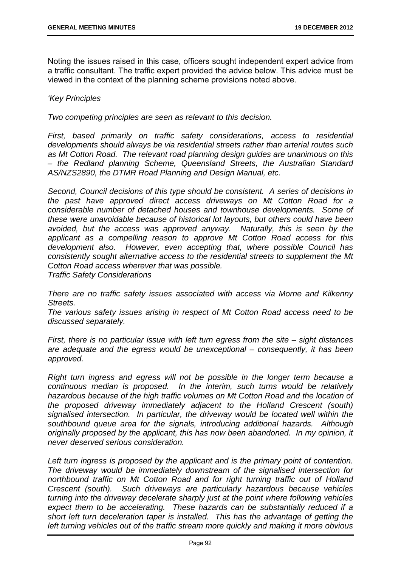Noting the issues raised in this case, officers sought independent expert advice from a traffic consultant. The traffic expert provided the advice below. This advice must be viewed in the context of the planning scheme provisions noted above.

#### *'Key Principles*

*Two competing principles are seen as relevant to this decision.* 

*First, based primarily on traffic safety considerations, access to residential developments should always be via residential streets rather than arterial routes such as Mt Cotton Road. The relevant road planning design guides are unanimous on this – the Redland planning Scheme, Queensland Streets, the Australian Standard AS/NZS2890, the DTMR Road Planning and Design Manual, etc.* 

*Second, Council decisions of this type should be consistent. A series of decisions in the past have approved direct access driveways on Mt Cotton Road for a considerable number of detached houses and townhouse developments. Some of these were unavoidable because of historical lot layouts, but others could have been avoided, but the access was approved anyway. Naturally, this is seen by the applicant as a compelling reason to approve Mt Cotton Road access for this development also. However, even accepting that, where possible Council has consistently sought alternative access to the residential streets to supplement the Mt Cotton Road access wherever that was possible.* 

*Traffic Safety Considerations* 

*There are no traffic safety issues associated with access via Morne and Kilkenny Streets.* 

*The various safety issues arising in respect of Mt Cotton Road access need to be discussed separately.* 

*First, there is no particular issue with left turn egress from the site – sight distances are adequate and the egress would be unexceptional – consequently, it has been approved.* 

*Right turn ingress and egress will not be possible in the longer term because a continuous median is proposed. In the interim, such turns would be relatively hazardous because of the high traffic volumes on Mt Cotton Road and the location of the proposed driveway immediately adjacent to the Holland Crescent (south) signalised intersection. In particular, the driveway would be located well within the southbound queue area for the signals, introducing additional hazards. Although originally proposed by the applicant, this has now been abandoned. In my opinion, it never deserved serious consideration.* 

Left turn ingress is proposed by the applicant and is the primary point of contention. *The driveway would be immediately downstream of the signalised intersection for northbound traffic on Mt Cotton Road and for right turning traffic out of Holland Crescent (south). Such driveways are particularly hazardous because vehicles turning into the driveway decelerate sharply just at the point where following vehicles expect them to be accelerating. These hazards can be substantially reduced if a short left turn deceleration taper is installed. This has the advantage of getting the left turning vehicles out of the traffic stream more quickly and making it more obvious*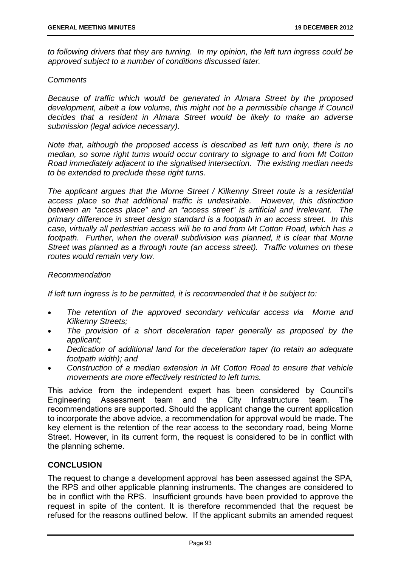*to following drivers that they are turning. In my opinion, the left turn ingress could be approved subject to a number of conditions discussed later.* 

#### *Comments*

*Because of traffic which would be generated in Almara Street by the proposed development, albeit a low volume, this might not be a permissible change if Council decides that a resident in Almara Street would be likely to make an adverse submission (legal advice necessary).* 

*Note that, although the proposed access is described as left turn only, there is no median, so some right turns would occur contrary to signage to and from Mt Cotton Road immediately adjacent to the signalised intersection. The existing median needs to be extended to preclude these right turns.* 

*The applicant argues that the Morne Street / Kilkenny Street route is a residential access place so that additional traffic is undesirable. However, this distinction between an "access place" and an "access street" is artificial and irrelevant. The primary difference in street design standard is a footpath in an access street. In this case, virtually all pedestrian access will be to and from Mt Cotton Road, which has a*  footpath. Further, when the overall subdivision was planned, it is clear that Morne *Street was planned as a through route (an access street). Traffic volumes on these routes would remain very low.* 

#### *Recommendation*

*If left turn ingress is to be permitted, it is recommended that it be subject to:* 

- *The retention of the approved secondary vehicular access via Morne and Kilkenny Streets;*
- *The provision of a short deceleration taper generally as proposed by the applicant;*
- *Dedication of additional land for the deceleration taper (to retain an adequate footpath width); and*
- *Construction of a median extension in Mt Cotton Road to ensure that vehicle movements are more effectively restricted to left turns.*

This advice from the independent expert has been considered by Council's Engineering Assessment team and the City Infrastructure team. The recommendations are supported. Should the applicant change the current application to incorporate the above advice, a recommendation for approval would be made. The key element is the retention of the rear access to the secondary road, being Morne Street. However, in its current form, the request is considered to be in conflict with the planning scheme.

# **CONCLUSION**

The request to change a development approval has been assessed against the SPA, the RPS and other applicable planning instruments. The changes are considered to be in conflict with the RPS. Insufficient grounds have been provided to approve the request in spite of the content. It is therefore recommended that the request be refused for the reasons outlined below. If the applicant submits an amended request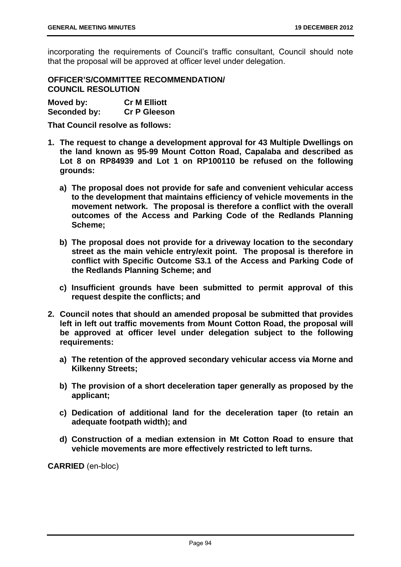incorporating the requirements of Council's traffic consultant, Council should note that the proposal will be approved at officer level under delegation.

**OFFICER'S/COMMITTEE RECOMMENDATION/ COUNCIL RESOLUTION** 

| Moved by:    | <b>Cr M Elliott</b> |
|--------------|---------------------|
| Seconded by: | <b>Cr P Gleeson</b> |

**That Council resolve as follows:** 

- **1. The request to change a development approval for 43 Multiple Dwellings on the land known as 95-99 Mount Cotton Road, Capalaba and described as Lot 8 on RP84939 and Lot 1 on RP100110 be refused on the following grounds:** 
	- **a) The proposal does not provide for safe and convenient vehicular access to the development that maintains efficiency of vehicle movements in the movement network. The proposal is therefore a conflict with the overall outcomes of the Access and Parking Code of the Redlands Planning Scheme;**
	- **b) The proposal does not provide for a driveway location to the secondary street as the main vehicle entry/exit point. The proposal is therefore in conflict with Specific Outcome S3.1 of the Access and Parking Code of the Redlands Planning Scheme; and**
	- **c) Insufficient grounds have been submitted to permit approval of this request despite the conflicts; and**
- **2. Council notes that should an amended proposal be submitted that provides left in left out traffic movements from Mount Cotton Road, the proposal will be approved at officer level under delegation subject to the following requirements:** 
	- **a) The retention of the approved secondary vehicular access via Morne and Kilkenny Streets;**
	- **b) The provision of a short deceleration taper generally as proposed by the applicant;**
	- **c) Dedication of additional land for the deceleration taper (to retain an adequate footpath width); and**
	- **d) Construction of a median extension in Mt Cotton Road to ensure that vehicle movements are more effectively restricted to left turns.**

**CARRIED** (en-bloc)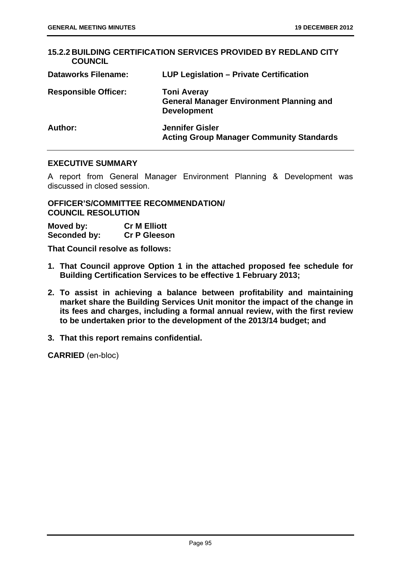| <b>COUNCIL</b>              | <b>15.2.2 BUILDING CERTIFICATION SERVICES PROVIDED BY REDLAND CITY</b>                      |
|-----------------------------|---------------------------------------------------------------------------------------------|
| <b>Dataworks Filename:</b>  | LUP Legislation - Private Certification                                                     |
| <b>Responsible Officer:</b> | <b>Toni Averay</b><br><b>General Manager Environment Planning and</b><br><b>Development</b> |
| Author:                     | <b>Jennifer Gisler</b><br><b>Acting Group Manager Community Standards</b>                   |

#### **EXECUTIVE SUMMARY**

A report from General Manager Environment Planning & Development was discussed in closed session.

# **OFFICER'S/COMMITTEE RECOMMENDATION/ COUNCIL RESOLUTION**

| Moved by:    | <b>Cr M Elliott</b> |
|--------------|---------------------|
| Seconded by: | <b>Cr P Gleeson</b> |

**That Council resolve as follows:** 

- **1. That Council approve Option 1 in the attached proposed fee schedule for Building Certification Services to be effective 1 February 2013;**
- **2. To assist in achieving a balance between profitability and maintaining market share the Building Services Unit monitor the impact of the change in its fees and charges, including a formal annual review, with the first review to be undertaken prior to the development of the 2013/14 budget; and**
- **3. That this report remains confidential.**

**CARRIED** (en-bloc)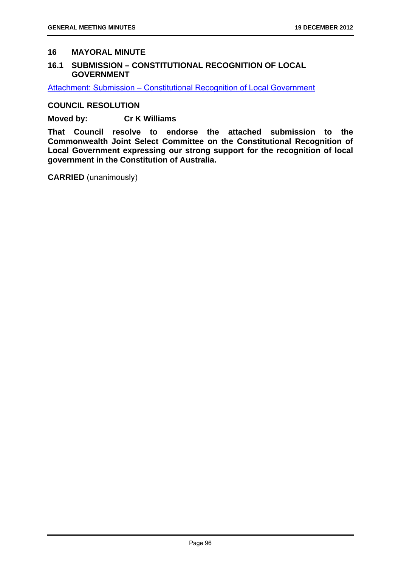### **16 MAYORAL MINUTE**

### **16.1 SUBMISSION – CONSTITUTIONAL RECOGNITION OF LOCAL GOVERNMENT**

Attachment: Submission – Constitutional Recognition of Local Government

**COUNCIL RESOLUTION** 

**Moved by: Cr K Williams** 

**That Council resolve to endorse the attached submission to the Commonwealth Joint Select Committee on the Constitutional Recognition of Local Government expressing our strong support for the recognition of local government in the Constitution of Australia.** 

**CARRIED** (unanimously)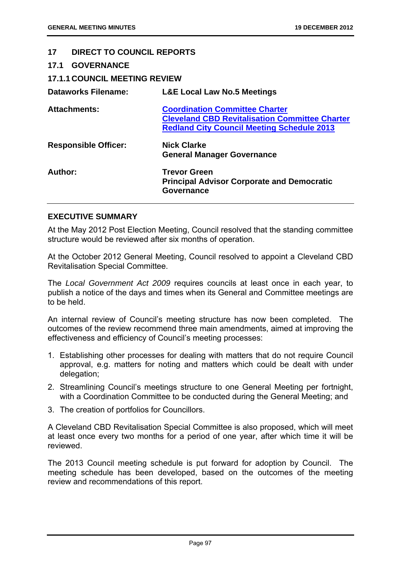#### **17 DIRECT TO COUNCIL REPORTS**

| <b>17.1 GOVERNANCE</b>               |                                                                                                                                                     |
|--------------------------------------|-----------------------------------------------------------------------------------------------------------------------------------------------------|
| <b>17.1.1 COUNCIL MEETING REVIEW</b> |                                                                                                                                                     |
| <b>Dataworks Filename:</b>           | <b>L&amp;E Local Law No.5 Meetings</b>                                                                                                              |
| <b>Attachments:</b>                  | <b>Coordination Committee Charter</b><br><b>Cleveland CBD Revitalisation Committee Charter</b><br><b>Redland City Council Meeting Schedule 2013</b> |
| <b>Responsible Officer:</b>          | <b>Nick Clarke</b><br><b>General Manager Governance</b>                                                                                             |
| Author:                              | <b>Trevor Green</b><br><b>Principal Advisor Corporate and Democratic</b><br><b>Governance</b>                                                       |

### **EXECUTIVE SUMMARY**

At the May 2012 Post Election Meeting, Council resolved that the standing committee structure would be reviewed after six months of operation.

At the October 2012 General Meeting, Council resolved to appoint a Cleveland CBD Revitalisation Special Committee.

The *Local Government Act 2009* requires councils at least once in each year, to publish a notice of the days and times when its General and Committee meetings are to be held.

An internal review of Council's meeting structure has now been completed. The outcomes of the review recommend three main amendments, aimed at improving the effectiveness and efficiency of Council's meeting processes:

- 1. Establishing other processes for dealing with matters that do not require Council approval, e.g. matters for noting and matters which could be dealt with under delegation;
- 2. Streamlining Council's meetings structure to one General Meeting per fortnight, with a Coordination Committee to be conducted during the General Meeting; and
- 3. The creation of portfolios for Councillors.

A Cleveland CBD Revitalisation Special Committee is also proposed, which will meet at least once every two months for a period of one year, after which time it will be reviewed.

The 2013 Council meeting schedule is put forward for adoption by Council. The meeting schedule has been developed, based on the outcomes of the meeting review and recommendations of this report.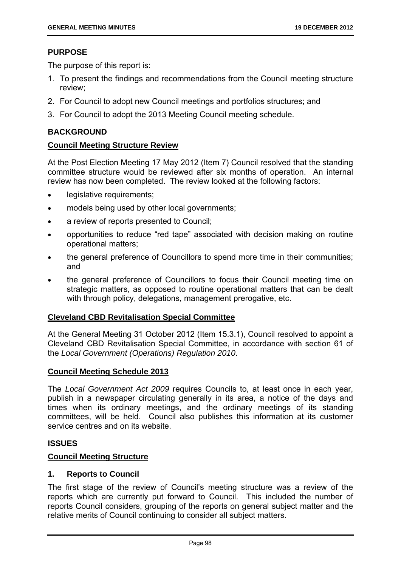# **PURPOSE**

The purpose of this report is:

- 1. To present the findings and recommendations from the Council meeting structure review;
- 2. For Council to adopt new Council meetings and portfolios structures; and
- 3. For Council to adopt the 2013 Meeting Council meeting schedule.

# **BACKGROUND**

# **Council Meeting Structure Review**

At the Post Election Meeting 17 May 2012 (Item 7) Council resolved that the standing committee structure would be reviewed after six months of operation. An internal review has now been completed. The review looked at the following factors:

- **.** legislative requirements;
- models being used by other local governments;
- a review of reports presented to Council;
- opportunities to reduce "red tape" associated with decision making on routine operational matters;
- the general preference of Councillors to spend more time in their communities; and
- the general preference of Councillors to focus their Council meeting time on strategic matters, as opposed to routine operational matters that can be dealt with through policy, delegations, management prerogative, etc.

# **Cleveland CBD Revitalisation Special Committee**

At the General Meeting 31 October 2012 (Item 15.3.1), Council resolved to appoint a Cleveland CBD Revitalisation Special Committee, in accordance with section 61 of the *Local Government (Operations) Regulation 2010*.

# **Council Meeting Schedule 2013**

The *Local Government Act 2009* requires Councils to, at least once in each year, publish in a newspaper circulating generally in its area, a notice of the days and times when its ordinary meetings, and the ordinary meetings of its standing committees, will be held. Council also publishes this information at its customer service centres and on its website.

# **ISSUES**

# **Council Meeting Structure**

#### **1. Reports to Council**

The first stage of the review of Council's meeting structure was a review of the reports which are currently put forward to Council. This included the number of reports Council considers, grouping of the reports on general subject matter and the relative merits of Council continuing to consider all subject matters.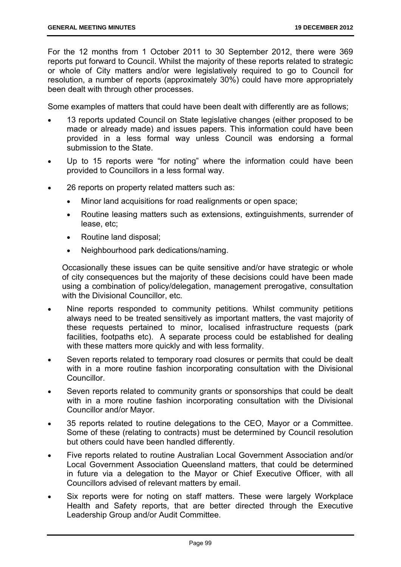For the 12 months from 1 October 2011 to 30 September 2012, there were 369 reports put forward to Council. Whilst the majority of these reports related to strategic or whole of City matters and/or were legislatively required to go to Council for resolution, a number of reports (approximately 30%) could have more appropriately been dealt with through other processes.

Some examples of matters that could have been dealt with differently are as follows;

- 13 reports updated Council on State legislative changes (either proposed to be made or already made) and issues papers. This information could have been provided in a less formal way unless Council was endorsing a formal submission to the State.
- Up to 15 reports were "for noting" where the information could have been provided to Councillors in a less formal way.
- 26 reports on property related matters such as:
	- Minor land acquisitions for road realignments or open space;
	- Routine leasing matters such as extensions, extinguishments, surrender of lease, etc;
	- Routine land disposal;
	- Neighbourhood park dedications/naming.

Occasionally these issues can be quite sensitive and/or have strategic or whole of city consequences but the majority of these decisions could have been made using a combination of policy/delegation, management prerogative, consultation with the Divisional Councillor, etc.

- Nine reports responded to community petitions. Whilst community petitions always need to be treated sensitively as important matters, the vast majority of these requests pertained to minor, localised infrastructure requests (park facilities, footpaths etc). A separate process could be established for dealing with these matters more quickly and with less formality.
- Seven reports related to temporary road closures or permits that could be dealt with in a more routine fashion incorporating consultation with the Divisional Councillor.
- Seven reports related to community grants or sponsorships that could be dealt with in a more routine fashion incorporating consultation with the Divisional Councillor and/or Mayor.
- 35 reports related to routine delegations to the CEO, Mayor or a Committee. Some of these (relating to contracts) must be determined by Council resolution but others could have been handled differently.
- Five reports related to routine Australian Local Government Association and/or Local Government Association Queensland matters, that could be determined in future via a delegation to the Mayor or Chief Executive Officer, with all Councillors advised of relevant matters by email.
- Six reports were for noting on staff matters. These were largely Workplace Health and Safety reports, that are better directed through the Executive Leadership Group and/or Audit Committee.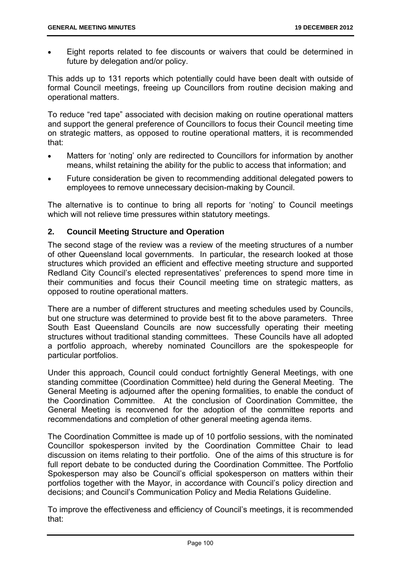Eight reports related to fee discounts or waivers that could be determined in future by delegation and/or policy.

This adds up to 131 reports which potentially could have been dealt with outside of formal Council meetings, freeing up Councillors from routine decision making and operational matters.

To reduce "red tape" associated with decision making on routine operational matters and support the general preference of Councillors to focus their Council meeting time on strategic matters, as opposed to routine operational matters, it is recommended that:

- Matters for 'noting' only are redirected to Councillors for information by another means, whilst retaining the ability for the public to access that information; and
- Future consideration be given to recommending additional delegated powers to employees to remove unnecessary decision-making by Council.

The alternative is to continue to bring all reports for 'noting' to Council meetings which will not relieve time pressures within statutory meetings.

### **2. Council Meeting Structure and Operation**

The second stage of the review was a review of the meeting structures of a number of other Queensland local governments. In particular, the research looked at those structures which provided an efficient and effective meeting structure and supported Redland City Council's elected representatives' preferences to spend more time in their communities and focus their Council meeting time on strategic matters, as opposed to routine operational matters.

There are a number of different structures and meeting schedules used by Councils, but one structure was determined to provide best fit to the above parameters. Three South East Queensland Councils are now successfully operating their meeting structures without traditional standing committees. These Councils have all adopted a portfolio approach, whereby nominated Councillors are the spokespeople for particular portfolios.

Under this approach, Council could conduct fortnightly General Meetings, with one standing committee (Coordination Committee) held during the General Meeting. The General Meeting is adjourned after the opening formalities, to enable the conduct of the Coordination Committee. At the conclusion of Coordination Committee, the General Meeting is reconvened for the adoption of the committee reports and recommendations and completion of other general meeting agenda items.

The Coordination Committee is made up of 10 portfolio sessions, with the nominated Councillor spokesperson invited by the Coordination Committee Chair to lead discussion on items relating to their portfolio. One of the aims of this structure is for full report debate to be conducted during the Coordination Committee. The Portfolio Spokesperson may also be Council's official spokesperson on matters within their portfolios together with the Mayor, in accordance with Council's policy direction and decisions; and Council's Communication Policy and Media Relations Guideline.

To improve the effectiveness and efficiency of Council's meetings, it is recommended that: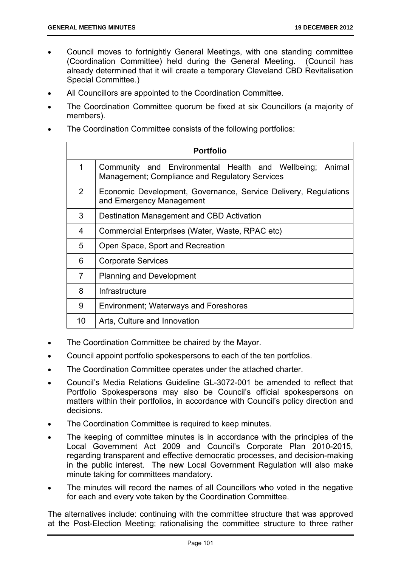- Council moves to fortnightly General Meetings, with one standing committee (Coordination Committee) held during the General Meeting. (Council has already determined that it will create a temporary Cleveland CBD Revitalisation Special Committee.)
- All Councillors are appointed to the Coordination Committee.
- The Coordination Committee quorum be fixed at six Councillors (a majority of members).
- The Coordination Committee consists of the following portfolios:

| <b>Portfolio</b> |                                                                                                            |  |  |  |  |  |  |
|------------------|------------------------------------------------------------------------------------------------------------|--|--|--|--|--|--|
| 1                | Community and Environmental Health and Wellbeing; Animal<br>Management; Compliance and Regulatory Services |  |  |  |  |  |  |
| $\overline{2}$   | Economic Development, Governance, Service Delivery, Regulations<br>and Emergency Management                |  |  |  |  |  |  |
| 3                | Destination Management and CBD Activation                                                                  |  |  |  |  |  |  |
| 4                | Commercial Enterprises (Water, Waste, RPAC etc)                                                            |  |  |  |  |  |  |
| 5                | Open Space, Sport and Recreation                                                                           |  |  |  |  |  |  |
| 6                | <b>Corporate Services</b>                                                                                  |  |  |  |  |  |  |
| $\overline{7}$   | <b>Planning and Development</b>                                                                            |  |  |  |  |  |  |
| 8                | Infrastructure                                                                                             |  |  |  |  |  |  |
| 9                | <b>Environment; Waterways and Foreshores</b>                                                               |  |  |  |  |  |  |
| 10               | Arts, Culture and Innovation                                                                               |  |  |  |  |  |  |

- The Coordination Committee be chaired by the Mayor.
- Council appoint portfolio spokespersons to each of the ten portfolios.
- The Coordination Committee operates under the attached charter.
- Council's Media Relations Guideline GL-3072-001 be amended to reflect that Portfolio Spokespersons may also be Council's official spokespersons on matters within their portfolios, in accordance with Council's policy direction and decisions.
- The Coordination Committee is required to keep minutes.
- The keeping of committee minutes is in accordance with the principles of the Local Government Act 2009 and Council's Corporate Plan 2010-2015, regarding transparent and effective democratic processes, and decision-making in the public interest. The new Local Government Regulation will also make minute taking for committees mandatory.
- The minutes will record the names of all Councillors who voted in the negative for each and every vote taken by the Coordination Committee.

The alternatives include: continuing with the committee structure that was approved at the Post-Election Meeting; rationalising the committee structure to three rather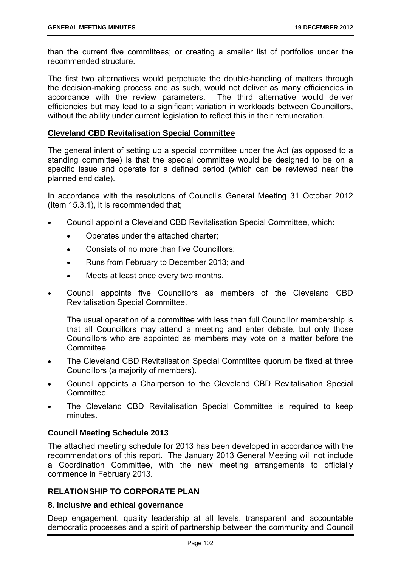than the current five committees; or creating a smaller list of portfolios under the recommended structure.

The first two alternatives would perpetuate the double-handling of matters through the decision-making process and as such, would not deliver as many efficiencies in accordance with the review parameters. The third alternative would deliver efficiencies but may lead to a significant variation in workloads between Councillors, without the ability under current legislation to reflect this in their remuneration.

### **Cleveland CBD Revitalisation Special Committee**

The general intent of setting up a special committee under the Act (as opposed to a standing committee) is that the special committee would be designed to be on a specific issue and operate for a defined period (which can be reviewed near the planned end date).

In accordance with the resolutions of Council's General Meeting 31 October 2012 (Item 15.3.1), it is recommended that;

- Council appoint a Cleveland CBD Revitalisation Special Committee, which:
	- Operates under the attached charter;
	- Consists of no more than five Councillors;
	- Runs from February to December 2013; and
	- Meets at least once every two months.
- Council appoints five Councillors as members of the Cleveland CBD Revitalisation Special Committee.

The usual operation of a committee with less than full Councillor membership is that all Councillors may attend a meeting and enter debate, but only those Councillors who are appointed as members may vote on a matter before the **Committee.** 

- The Cleveland CBD Revitalisation Special Committee quorum be fixed at three Councillors (a majority of members).
- Council appoints a Chairperson to the Cleveland CBD Revitalisation Special **Committee.**
- The Cleveland CBD Revitalisation Special Committee is required to keep minutes.

# **Council Meeting Schedule 2013**

The attached meeting schedule for 2013 has been developed in accordance with the recommendations of this report. The January 2013 General Meeting will not include a Coordination Committee, with the new meeting arrangements to officially commence in February 2013.

# **RELATIONSHIP TO CORPORATE PLAN**

#### **8. Inclusive and ethical governance**

Deep engagement, quality leadership at all levels, transparent and accountable democratic processes and a spirit of partnership between the community and Council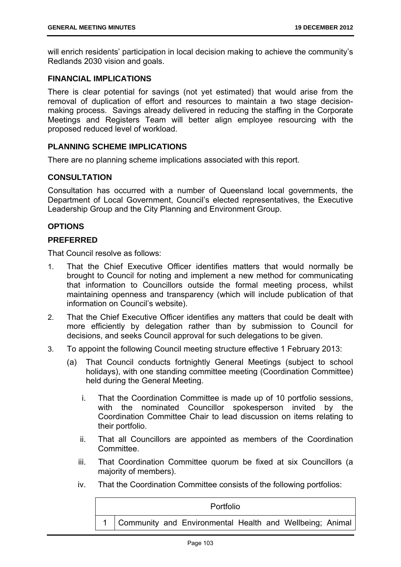will enrich residents' participation in local decision making to achieve the community's Redlands 2030 vision and goals.

### **FINANCIAL IMPLICATIONS**

There is clear potential for savings (not yet estimated) that would arise from the removal of duplication of effort and resources to maintain a two stage decisionmaking process. Savings already delivered in reducing the staffing in the Corporate Meetings and Registers Team will better align employee resourcing with the proposed reduced level of workload.

#### **PLANNING SCHEME IMPLICATIONS**

There are no planning scheme implications associated with this report.

#### **CONSULTATION**

Consultation has occurred with a number of Queensland local governments, the Department of Local Government, Council's elected representatives, the Executive Leadership Group and the City Planning and Environment Group.

### **OPTIONS**

#### **PREFERRED**

That Council resolve as follows:

- 1. That the Chief Executive Officer identifies matters that would normally be brought to Council for noting and implement a new method for communicating that information to Councillors outside the formal meeting process, whilst maintaining openness and transparency (which will include publication of that information on Council's website).
- 2. That the Chief Executive Officer identifies any matters that could be dealt with more efficiently by delegation rather than by submission to Council for decisions, and seeks Council approval for such delegations to be given.
- 3. To appoint the following Council meeting structure effective 1 February 2013:
	- (a) That Council conducts fortnightly General Meetings (subject to school holidays), with one standing committee meeting (Coordination Committee) held during the General Meeting.
		- i. That the Coordination Committee is made up of 10 portfolio sessions, with the nominated Councillor spokesperson invited by the Coordination Committee Chair to lead discussion on items relating to their portfolio.
		- ii. That all Councillors are appointed as members of the Coordination **Committee.**
		- iii. That Coordination Committee quorum be fixed at six Councillors (a majority of members).
		- iv. That the Coordination Committee consists of the following portfolios:

| <b>Portfolio</b> |  |  |                                                              |  |  |  |  |
|------------------|--|--|--------------------------------------------------------------|--|--|--|--|
|                  |  |  | 1   Community and Environmental Health and Wellbeing; Animal |  |  |  |  |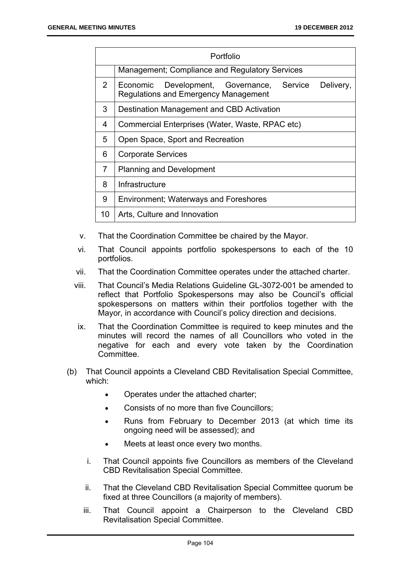| Portfolio      |                                                                                                             |  |
|----------------|-------------------------------------------------------------------------------------------------------------|--|
|                | <b>Management; Compliance and Regulatory Services</b>                                                       |  |
| $\overline{2}$ | Service<br>Delivery,<br>Development, Governance,<br>Economic<br><b>Regulations and Emergency Management</b> |  |
| 3              | Destination Management and CBD Activation                                                                   |  |
| 4              | Commercial Enterprises (Water, Waste, RPAC etc)                                                             |  |
| 5              | Open Space, Sport and Recreation                                                                            |  |
| 6              | <b>Corporate Services</b>                                                                                   |  |
| 7              | <b>Planning and Development</b>                                                                             |  |
| 8              | Infrastructure                                                                                              |  |
| 9              | <b>Environment; Waterways and Foreshores</b>                                                                |  |
| 10             | Arts, Culture and Innovation                                                                                |  |

- v. That the Coordination Committee be chaired by the Mayor.
- vi. That Council appoints portfolio spokespersons to each of the 10 portfolios.
- vii. That the Coordination Committee operates under the attached charter.
- viii. That Council's Media Relations Guideline GL-3072-001 be amended to reflect that Portfolio Spokespersons may also be Council's official spokespersons on matters within their portfolios together with the Mayor, in accordance with Council's policy direction and decisions.
- ix. That the Coordination Committee is required to keep minutes and the minutes will record the names of all Councillors who voted in the negative for each and every vote taken by the Coordination Committee.
- (b) That Council appoints a Cleveland CBD Revitalisation Special Committee, which:
	- Operates under the attached charter;
	- Consists of no more than five Councillors;
	- Runs from February to December 2013 (at which time its ongoing need will be assessed); and
	- Meets at least once every two months.
	- i. That Council appoints five Councillors as members of the Cleveland CBD Revitalisation Special Committee.
	- ii. That the Cleveland CBD Revitalisation Special Committee quorum be fixed at three Councillors (a majority of members).
	- iii. That Council appoint a Chairperson to the Cleveland CBD Revitalisation Special Committee.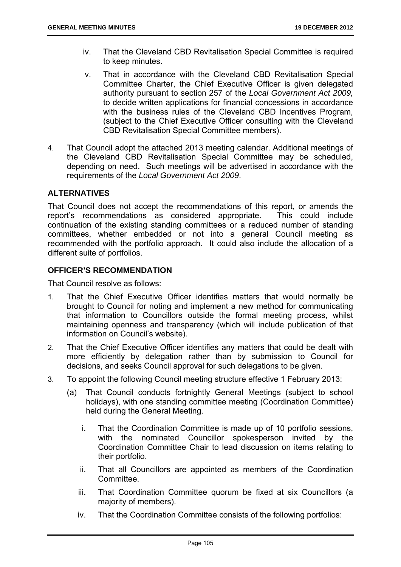- iv. That the Cleveland CBD Revitalisation Special Committee is required to keep minutes.
- v. That in accordance with the Cleveland CBD Revitalisation Special Committee Charter, the Chief Executive Officer is given delegated authority pursuant to section 257 of the *Local Government Act 2009,* to decide written applications for financial concessions in accordance with the business rules of the Cleveland CBD Incentives Program, (subject to the Chief Executive Officer consulting with the Cleveland CBD Revitalisation Special Committee members).
- 4. That Council adopt the attached 2013 meeting calendar. Additional meetings of the Cleveland CBD Revitalisation Special Committee may be scheduled, depending on need. Such meetings will be advertised in accordance with the requirements of the *Local Government Act 2009*.

## **ALTERNATIVES**

That Council does not accept the recommendations of this report, or amends the report's recommendations as considered appropriate. This could include continuation of the existing standing committees or a reduced number of standing committees, whether embedded or not into a general Council meeting as recommended with the portfolio approach. It could also include the allocation of a different suite of portfolios.

## **OFFICER'S RECOMMENDATION**

That Council resolve as follows:

- 1. That the Chief Executive Officer identifies matters that would normally be brought to Council for noting and implement a new method for communicating that information to Councillors outside the formal meeting process, whilst maintaining openness and transparency (which will include publication of that information on Council's website).
- 2. That the Chief Executive Officer identifies any matters that could be dealt with more efficiently by delegation rather than by submission to Council for decisions, and seeks Council approval for such delegations to be given.
- 3. To appoint the following Council meeting structure effective 1 February 2013:
	- (a) That Council conducts fortnightly General Meetings (subject to school holidays), with one standing committee meeting (Coordination Committee) held during the General Meeting.
		- i. That the Coordination Committee is made up of 10 portfolio sessions, with the nominated Councillor spokesperson invited by the Coordination Committee Chair to lead discussion on items relating to their portfolio.
		- ii. That all Councillors are appointed as members of the Coordination **Committee.**
		- iii. That Coordination Committee quorum be fixed at six Councillors (a majority of members).
		- iv. That the Coordination Committee consists of the following portfolios: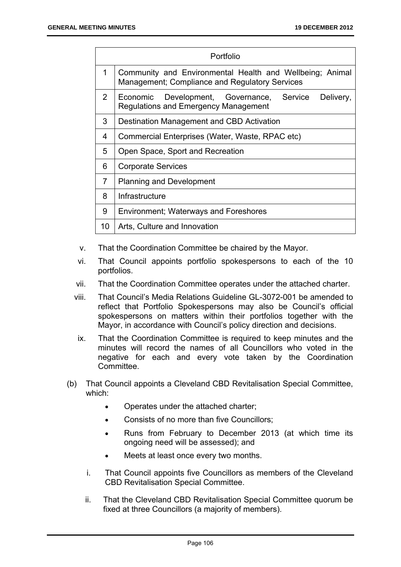| Portfolio      |                                                                                                            |  |
|----------------|------------------------------------------------------------------------------------------------------------|--|
| 1              | Community and Environmental Health and Wellbeing; Animal<br>Management; Compliance and Regulatory Services |  |
| $\overline{2}$ | Service<br>Delivery,<br>Development, Governance,<br>Economic<br>Regulations and Emergency Management       |  |
| 3              | Destination Management and CBD Activation                                                                  |  |
| 4              | Commercial Enterprises (Water, Waste, RPAC etc)                                                            |  |
| 5              | Open Space, Sport and Recreation                                                                           |  |
| 6              | <b>Corporate Services</b>                                                                                  |  |
| $\overline{7}$ | <b>Planning and Development</b>                                                                            |  |
| 8              | Infrastructure                                                                                             |  |
| 9              | <b>Environment; Waterways and Foreshores</b>                                                               |  |
| 10             | Arts, Culture and Innovation                                                                               |  |

- v. That the Coordination Committee be chaired by the Mayor.
- vi. That Council appoints portfolio spokespersons to each of the 10 portfolios.
- vii. That the Coordination Committee operates under the attached charter.
- viii. That Council's Media Relations Guideline GL-3072-001 be amended to reflect that Portfolio Spokespersons may also be Council's official spokespersons on matters within their portfolios together with the Mayor, in accordance with Council's policy direction and decisions.
- ix. That the Coordination Committee is required to keep minutes and the minutes will record the names of all Councillors who voted in the negative for each and every vote taken by the Coordination Committee.
- (b) That Council appoints a Cleveland CBD Revitalisation Special Committee, which:
	- Operates under the attached charter:
	- Consists of no more than five Councillors;
	- Runs from February to December 2013 (at which time its ongoing need will be assessed); and
	- Meets at least once every two months.
	- i. That Council appoints five Councillors as members of the Cleveland CBD Revitalisation Special Committee.
	- ii. That the Cleveland CBD Revitalisation Special Committee quorum be fixed at three Councillors (a majority of members).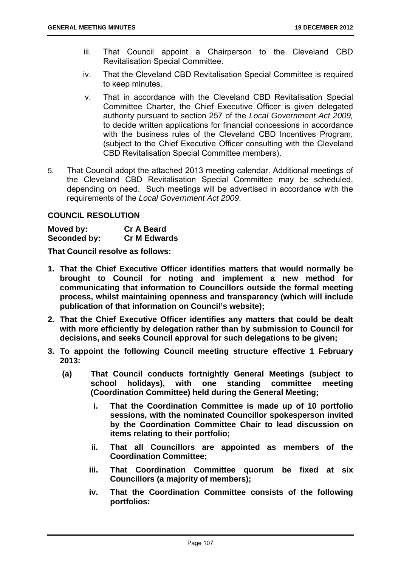- iii. That Council appoint a Chairperson to the Cleveland CBD Revitalisation Special Committee.
- iv. That the Cleveland CBD Revitalisation Special Committee is required to keep minutes.
- v. That in accordance with the Cleveland CBD Revitalisation Special Committee Charter, the Chief Executive Officer is given delegated authority pursuant to section 257 of the *Local Government Act 2009,* to decide written applications for financial concessions in accordance with the business rules of the Cleveland CBD Incentives Program, (subject to the Chief Executive Officer consulting with the Cleveland CBD Revitalisation Special Committee members).
- 5. That Council adopt the attached 2013 meeting calendar. Additional meetings of the Cleveland CBD Revitalisation Special Committee may be scheduled, depending on need. Such meetings will be advertised in accordance with the requirements of the *Local Government Act 2009*.

#### **COUNCIL RESOLUTION**

**Moved by: Cr A Beard Seconded by: Cr M Edwards** 

**That Council resolve as follows:** 

- **1. That the Chief Executive Officer identifies matters that would normally be brought to Council for noting and implement a new method for communicating that information to Councillors outside the formal meeting process, whilst maintaining openness and transparency (which will include publication of that information on Council's website);**
- **2. That the Chief Executive Officer identifies any matters that could be dealt with more efficiently by delegation rather than by submission to Council for decisions, and seeks Council approval for such delegations to be given;**
- **3. To appoint the following Council meeting structure effective 1 February 2013:** 
	- **(a) That Council conducts fortnightly General Meetings (subject to school holidays), with one standing committee meeting (Coordination Committee) held during the General Meeting;** 
		- **i. That the Coordination Committee is made up of 10 portfolio sessions, with the nominated Councillor spokesperson invited by the Coordination Committee Chair to lead discussion on items relating to their portfolio;**
		- **ii. That all Councillors are appointed as members of the Coordination Committee;**
		- **iii. That Coordination Committee quorum be fixed at six Councillors (a majority of members);**
		- **iv. That the Coordination Committee consists of the following portfolios:**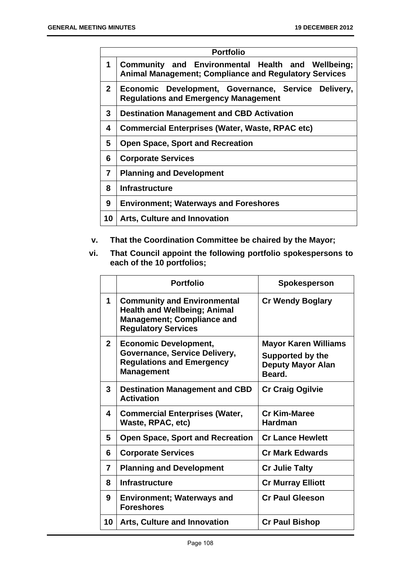| <b>Portfolio</b> |                                                                                                                   |
|------------------|-------------------------------------------------------------------------------------------------------------------|
| 1                | Community and Environmental Health and Wellbeing;<br><b>Animal Management; Compliance and Regulatory Services</b> |
| $\mathbf{2}$     | Economic Development, Governance, Service<br>Delivery,<br><b>Regulations and Emergency Management</b>             |
| 3                | <b>Destination Management and CBD Activation</b>                                                                  |
| 4                | <b>Commercial Enterprises (Water, Waste, RPAC etc)</b>                                                            |
| 5                | <b>Open Space, Sport and Recreation</b>                                                                           |
| 6                | <b>Corporate Services</b>                                                                                         |
| 7                | <b>Planning and Development</b>                                                                                   |
| 8                | <b>Infrastructure</b>                                                                                             |
| 9                | <b>Environment; Waterways and Foreshores</b>                                                                      |
| 10               | <b>Arts, Culture and Innovation</b>                                                                               |

- **v. That the Coordination Committee be chaired by the Mayor;**
- **vi. That Council appoint the following portfolio spokespersons to each of the 10 portfolios;**

|                | <b>Portfolio</b>                                                                                                                             | Spokesperson                                                                                 |
|----------------|----------------------------------------------------------------------------------------------------------------------------------------------|----------------------------------------------------------------------------------------------|
| 1              | <b>Community and Environmental</b><br><b>Health and Wellbeing; Animal</b><br><b>Management; Compliance and</b><br><b>Regulatory Services</b> | <b>Cr Wendy Boglary</b>                                                                      |
| $\overline{2}$ | <b>Economic Development,</b><br>Governance, Service Delivery,<br><b>Regulations and Emergency</b><br><b>Management</b>                       | <b>Mayor Karen Williams</b><br><b>Supported by the</b><br><b>Deputy Mayor Alan</b><br>Beard. |
| 3              | <b>Destination Management and CBD</b><br><b>Activation</b>                                                                                   | <b>Cr Craig Ogilvie</b>                                                                      |
| 4              | <b>Commercial Enterprises (Water,</b><br>Waste, RPAC, etc)                                                                                   | <b>Cr Kim-Maree</b><br><b>Hardman</b>                                                        |
| 5              | <b>Open Space, Sport and Recreation</b>                                                                                                      | <b>Cr Lance Hewlett</b>                                                                      |
| 6              | <b>Corporate Services</b>                                                                                                                    | <b>Cr Mark Edwards</b>                                                                       |
| 7              | <b>Planning and Development</b>                                                                                                              | <b>Cr Julie Talty</b>                                                                        |
| 8              | <b>Infrastructure</b>                                                                                                                        | <b>Cr Murray Elliott</b>                                                                     |
| 9              | <b>Environment; Waterways and</b><br><b>Foreshores</b>                                                                                       | <b>Cr Paul Gleeson</b>                                                                       |
| 10             | <b>Arts, Culture and Innovation</b>                                                                                                          | <b>Cr Paul Bishop</b>                                                                        |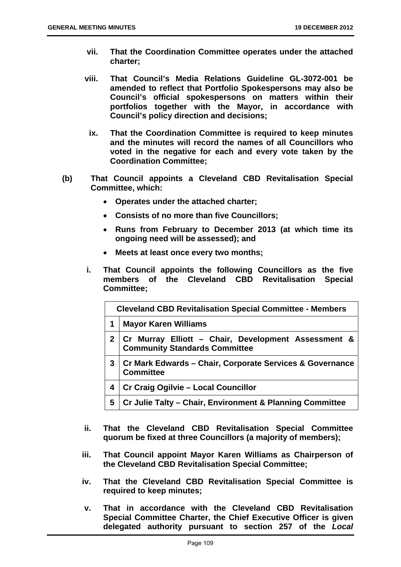- **vii. That the Coordination Committee operates under the attached charter;**
- **viii. That Council's Media Relations Guideline GL-3072-001 be amended to reflect that Portfolio Spokespersons may also be Council's official spokespersons on matters within their portfolios together with the Mayor, in accordance with Council's policy direction and decisions;** 
	- **ix. That the Coordination Committee is required to keep minutes and the minutes will record the names of all Councillors who voted in the negative for each and every vote taken by the Coordination Committee;**
- **(b) That Council appoints a Cleveland CBD Revitalisation Special Committee, which:** 
	- **Operates under the attached charter;**
	- **Consists of no more than five Councillors;**
	- **Runs from February to December 2013 (at which time its ongoing need will be assessed); and**
	- **Meets at least once every two months;**
	- **i. That Council appoints the following Councillors as the five members of the Cleveland CBD Revitalisation Special Committee;**

| <b>Cleveland CBD Revitalisation Special Committee - Members</b> |                                                                                             |  |
|-----------------------------------------------------------------|---------------------------------------------------------------------------------------------|--|
| 1                                                               | <b>Mayor Karen Williams</b>                                                                 |  |
|                                                                 | Cr Murray Elliott - Chair, Development Assessment &<br><b>Community Standards Committee</b> |  |
| 3                                                               | Cr Mark Edwards – Chair, Corporate Services & Governance<br><b>Committee</b>                |  |
| 4                                                               | Cr Craig Ogilvie - Local Councillor                                                         |  |
| 5                                                               | Cr Julie Talty - Chair, Environment & Planning Committee                                    |  |

- **ii. That the Cleveland CBD Revitalisation Special Committee quorum be fixed at three Councillors (a majority of members);**
- **iii. That Council appoint Mayor Karen Williams as Chairperson of the Cleveland CBD Revitalisation Special Committee;**
- **iv. That the Cleveland CBD Revitalisation Special Committee is required to keep minutes;**
- **v. That in accordance with the Cleveland CBD Revitalisation Special Committee Charter, the Chief Executive Officer is given delegated authority pursuant to section 257 of the** *Local*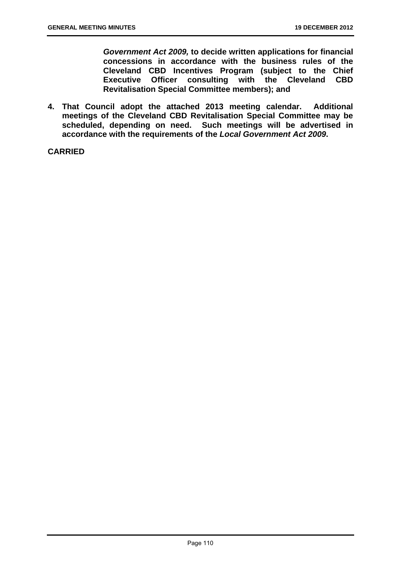*Government Act 2009,* **to decide written applications for financial concessions in accordance with the business rules of the Cleveland CBD Incentives Program (subject to the Chief Executive Officer consulting with the Cleveland CBD Revitalisation Special Committee members); and** 

**4. That Council adopt the attached 2013 meeting calendar. Additional meetings of the Cleveland CBD Revitalisation Special Committee may be scheduled, depending on need. Such meetings will be advertised in accordance with the requirements of the** *Local Government Act 2009***.**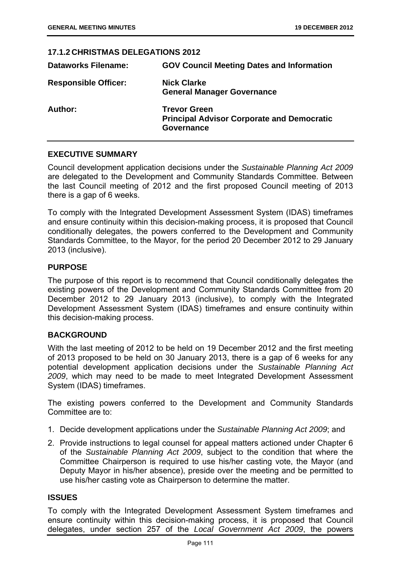# **17.1.2 CHRISTMAS DELEGATIONS 2012 Dataworks Filename: GOV Council Meeting Dates and Information Responsible Officer: Nick Clarke General Manager Governance Author: Trevor Green Principal Advisor Corporate and Democratic Governance**

## **EXECUTIVE SUMMARY**

Council development application decisions under the *Sustainable Planning Act 2009*  are delegated to the Development and Community Standards Committee. Between the last Council meeting of 2012 and the first proposed Council meeting of 2013 there is a gap of 6 weeks.

To comply with the Integrated Development Assessment System (IDAS) timeframes and ensure continuity within this decision-making process, it is proposed that Council conditionally delegates, the powers conferred to the Development and Community Standards Committee, to the Mayor, for the period 20 December 2012 to 29 January 2013 (inclusive).

## **PURPOSE**

The purpose of this report is to recommend that Council conditionally delegates the existing powers of the Development and Community Standards Committee from 20 December 2012 to 29 January 2013 (inclusive), to comply with the Integrated Development Assessment System (IDAS) timeframes and ensure continuity within this decision-making process.

#### **BACKGROUND**

With the last meeting of 2012 to be held on 19 December 2012 and the first meeting of 2013 proposed to be held on 30 January 2013, there is a gap of 6 weeks for any potential development application decisions under the *Sustainable Planning Act 2009*, which may need to be made to meet Integrated Development Assessment System (IDAS) timeframes.

The existing powers conferred to the Development and Community Standards Committee are to:

- 1. Decide development applications under the *Sustainable Planning Act 2009*; and
- 2. Provide instructions to legal counsel for appeal matters actioned under Chapter 6 of the *Sustainable Planning Act 2009*, subject to the condition that where the Committee Chairperson is required to use his/her casting vote, the Mayor (and Deputy Mayor in his/her absence), preside over the meeting and be permitted to use his/her casting vote as Chairperson to determine the matter.

## **ISSUES**

To comply with the Integrated Development Assessment System timeframes and ensure continuity within this decision-making process, it is proposed that Council delegates, under section 257 of the *Local Government Act 2009*, the powers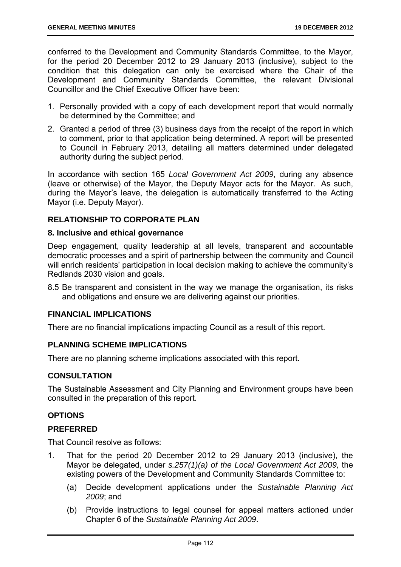conferred to the Development and Community Standards Committee, to the Mayor, for the period 20 December 2012 to 29 January 2013 (inclusive), subject to the condition that this delegation can only be exercised where the Chair of the Development and Community Standards Committee, the relevant Divisional Councillor and the Chief Executive Officer have been:

- 1. Personally provided with a copy of each development report that would normally be determined by the Committee; and
- 2. Granted a period of three (3) business days from the receipt of the report in which to comment, prior to that application being determined. A report will be presented to Council in February 2013, detailing all matters determined under delegated authority during the subject period.

In accordance with section 165 *Local Government Act 2009*, during any absence (leave or otherwise) of the Mayor, the Deputy Mayor acts for the Mayor. As such, during the Mayor's leave, the delegation is automatically transferred to the Acting Mayor (i.e. Deputy Mayor).

## **RELATIONSHIP TO CORPORATE PLAN**

#### **8. Inclusive and ethical governance**

Deep engagement, quality leadership at all levels, transparent and accountable democratic processes and a spirit of partnership between the community and Council will enrich residents' participation in local decision making to achieve the community's Redlands 2030 vision and goals.

8.5 Be transparent and consistent in the way we manage the organisation, its risks and obligations and ensure we are delivering against our priorities.

## **FINANCIAL IMPLICATIONS**

There are no financial implications impacting Council as a result of this report.

#### **PLANNING SCHEME IMPLICATIONS**

There are no planning scheme implications associated with this report.

## **CONSULTATION**

The Sustainable Assessment and City Planning and Environment groups have been consulted in the preparation of this report.

## **OPTIONS**

## **PREFERRED**

That Council resolve as follows:

- 1. That for the period 20 December 2012 to 29 January 2013 (inclusive), the Mayor be delegated, under *s.257(1)(a) of the Local Government Act 2009,* the existing powers of the Development and Community Standards Committee to:
	- (a) Decide development applications under the *Sustainable Planning Act 2009*; and
	- (b) Provide instructions to legal counsel for appeal matters actioned under Chapter 6 of the *Sustainable Planning Act 2009*.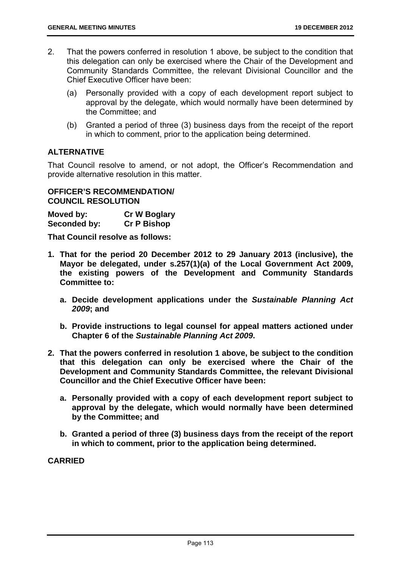- 2. That the powers conferred in resolution 1 above, be subject to the condition that this delegation can only be exercised where the Chair of the Development and Community Standards Committee, the relevant Divisional Councillor and the Chief Executive Officer have been:
	- (a) Personally provided with a copy of each development report subject to approval by the delegate, which would normally have been determined by the Committee; and
	- (b) Granted a period of three (3) business days from the receipt of the report in which to comment, prior to the application being determined.

## **ALTERNATIVE**

That Council resolve to amend, or not adopt, the Officer's Recommendation and provide alternative resolution in this matter.

## **OFFICER'S RECOMMENDATION/ COUNCIL RESOLUTION**

**Moved by: Cr W Boglary Seconded by: Cr P Bishop** 

**That Council resolve as follows:** 

- **1. That for the period 20 December 2012 to 29 January 2013 (inclusive), the Mayor be delegated, under s.257(1)(a) of the Local Government Act 2009, the existing powers of the Development and Community Standards Committee to:** 
	- **a. Decide development applications under the** *Sustainable Planning Act 2009***; and**
	- **b. Provide instructions to legal counsel for appeal matters actioned under Chapter 6 of the** *Sustainable Planning Act 2009***.**
- **2. That the powers conferred in resolution 1 above, be subject to the condition that this delegation can only be exercised where the Chair of the Development and Community Standards Committee, the relevant Divisional Councillor and the Chief Executive Officer have been:** 
	- **a. Personally provided with a copy of each development report subject to approval by the delegate, which would normally have been determined by the Committee; and**
	- **b. Granted a period of three (3) business days from the receipt of the report in which to comment, prior to the application being determined.**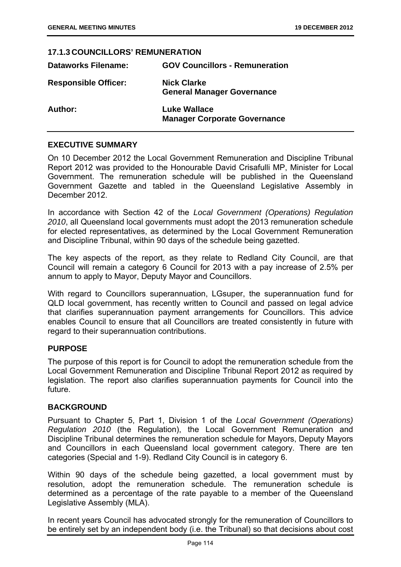## **17.1.3 COUNCILLORS' REMUNERATION**

| <b>Dataworks Filename:</b>  | <b>GOV Councillors - Remuneration</b>                      |
|-----------------------------|------------------------------------------------------------|
| <b>Responsible Officer:</b> | <b>Nick Clarke</b><br><b>General Manager Governance</b>    |
| Author:                     | <b>Luke Wallace</b><br><b>Manager Corporate Governance</b> |

## **EXECUTIVE SUMMARY**

On 10 December 2012 the Local Government Remuneration and Discipline Tribunal Report 2012 was provided to the Honourable David Crisafulli MP, Minister for Local Government. The remuneration schedule will be published in the Queensland Government Gazette and tabled in the Queensland Legislative Assembly in December 2012.

In accordance with Section 42 of the *Local Government (Operations) Regulation 2010*, all Queensland local governments must adopt the 2013 remuneration schedule for elected representatives, as determined by the Local Government Remuneration and Discipline Tribunal, within 90 days of the schedule being gazetted.

The key aspects of the report, as they relate to Redland City Council, are that Council will remain a category 6 Council for 2013 with a pay increase of 2.5% per annum to apply to Mayor, Deputy Mayor and Councillors.

With regard to Councillors superannuation, LGsuper, the superannuation fund for QLD local government, has recently written to Council and passed on legal advice that clarifies superannuation payment arrangements for Councillors. This advice enables Council to ensure that all Councillors are treated consistently in future with regard to their superannuation contributions.

#### **PURPOSE**

The purpose of this report is for Council to adopt the remuneration schedule from the Local Government Remuneration and Discipline Tribunal Report 2012 as required by legislation. The report also clarifies superannuation payments for Council into the future.

#### **BACKGROUND**

Pursuant to Chapter 5, Part 1, Division 1 of the *Local Government (Operations) Regulation 2010* (the Regulation), the Local Government Remuneration and Discipline Tribunal determines the remuneration schedule for Mayors, Deputy Mayors and Councillors in each Queensland local government category. There are ten categories (Special and 1-9). Redland City Council is in category 6.

Within 90 days of the schedule being gazetted, a local government must by resolution, adopt the remuneration schedule. The remuneration schedule is determined as a percentage of the rate payable to a member of the Queensland Legislative Assembly (MLA).

In recent years Council has advocated strongly for the remuneration of Councillors to be entirely set by an independent body (i.e. the Tribunal) so that decisions about cost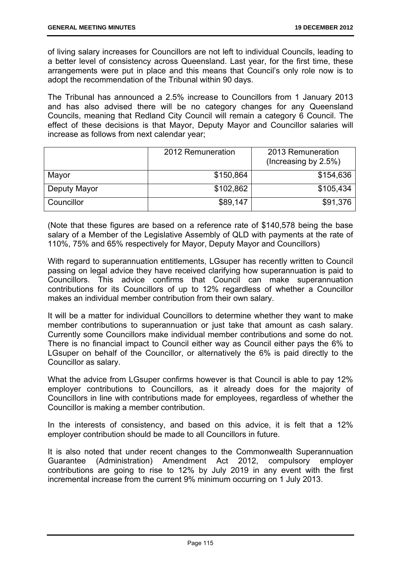of living salary increases for Councillors are not left to individual Councils, leading to a better level of consistency across Queensland. Last year, for the first time, these arrangements were put in place and this means that Council's only role now is to adopt the recommendation of the Tribunal within 90 days.

The Tribunal has announced a 2.5% increase to Councillors from 1 January 2013 and has also advised there will be no category changes for any Queensland Councils, meaning that Redland City Council will remain a category 6 Council. The effect of these decisions is that Mayor, Deputy Mayor and Councillor salaries will increase as follows from next calendar year;

|              | 2012 Remuneration | 2013 Remuneration<br>(Increasing by 2.5%) |
|--------------|-------------------|-------------------------------------------|
| Mayor        | \$150,864         | \$154,636                                 |
| Deputy Mayor | \$102,862         | \$105,434                                 |
| Councillor   | \$89,147          | \$91,376                                  |

(Note that these figures are based on a reference rate of \$140,578 being the base salary of a Member of the Legislative Assembly of QLD with payments at the rate of 110%, 75% and 65% respectively for Mayor, Deputy Mayor and Councillors)

With regard to superannuation entitlements, LGsuper has recently written to Council passing on legal advice they have received clarifying how superannuation is paid to Councillors. This advice confirms that Council can make superannuation contributions for its Councillors of up to 12% regardless of whether a Councillor makes an individual member contribution from their own salary.

It will be a matter for individual Councillors to determine whether they want to make member contributions to superannuation or just take that amount as cash salary. Currently some Councillors make individual member contributions and some do not. There is no financial impact to Council either way as Council either pays the 6% to LGsuper on behalf of the Councillor, or alternatively the 6% is paid directly to the Councillor as salary.

What the advice from LGsuper confirms however is that Council is able to pay 12% employer contributions to Councillors, as it already does for the majority of Councillors in line with contributions made for employees, regardless of whether the Councillor is making a member contribution.

In the interests of consistency, and based on this advice, it is felt that a 12% employer contribution should be made to all Councillors in future.

It is also noted that under recent changes to the Commonwealth Superannuation Guarantee (Administration) Amendment Act 2012, compulsory employer contributions are going to rise to 12% by July 2019 in any event with the first incremental increase from the current 9% minimum occurring on 1 July 2013.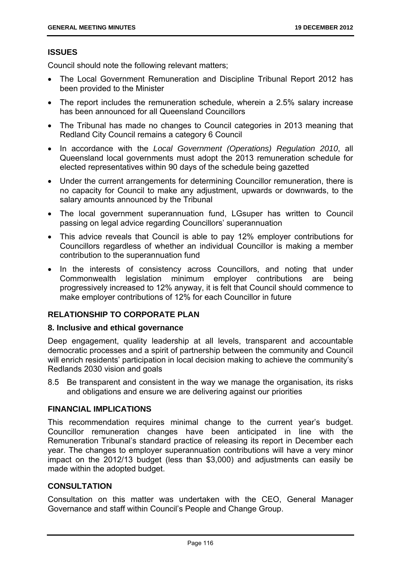## **ISSUES**

Council should note the following relevant matters;

- The Local Government Remuneration and Discipline Tribunal Report 2012 has been provided to the Minister
- The report includes the remuneration schedule, wherein a 2.5% salary increase has been announced for all Queensland Councillors
- The Tribunal has made no changes to Council categories in 2013 meaning that Redland City Council remains a category 6 Council
- In accordance with the *Local Government (Operations) Regulation 2010*, all Queensland local governments must adopt the 2013 remuneration schedule for elected representatives within 90 days of the schedule being gazetted
- Under the current arrangements for determining Councillor remuneration, there is no capacity for Council to make any adjustment, upwards or downwards, to the salary amounts announced by the Tribunal
- The local government superannuation fund, LGsuper has written to Council passing on legal advice regarding Councillors' superannuation
- This advice reveals that Council is able to pay 12% employer contributions for Councillors regardless of whether an individual Councillor is making a member contribution to the superannuation fund
- In the interests of consistency across Councillors, and noting that under Commonwealth legislation minimum employer contributions are being progressively increased to 12% anyway, it is felt that Council should commence to make employer contributions of 12% for each Councillor in future

## **RELATIONSHIP TO CORPORATE PLAN**

## **8. Inclusive and ethical governance**

Deep engagement, quality leadership at all levels, transparent and accountable democratic processes and a spirit of partnership between the community and Council will enrich residents' participation in local decision making to achieve the community's Redlands 2030 vision and goals

8.5 Be transparent and consistent in the way we manage the organisation, its risks and obligations and ensure we are delivering against our priorities

## **FINANCIAL IMPLICATIONS**

This recommendation requires minimal change to the current year's budget. Councillor remuneration changes have been anticipated in line with the Remuneration Tribunal's standard practice of releasing its report in December each year. The changes to employer superannuation contributions will have a very minor impact on the 2012/13 budget (less than \$3,000) and adjustments can easily be made within the adopted budget.

## **CONSULTATION**

Consultation on this matter was undertaken with the CEO, General Manager Governance and staff within Council's People and Change Group.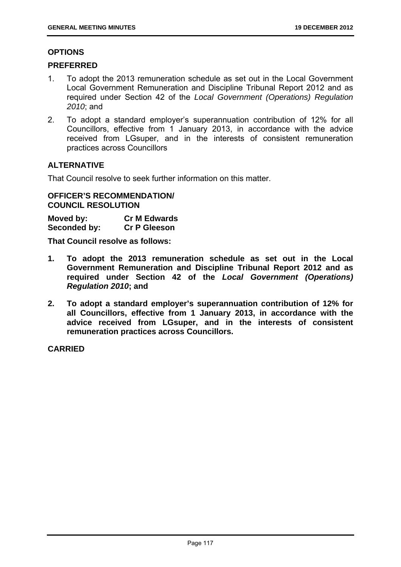#### **OPTIONS**

#### **PREFERRED**

- 1. To adopt the 2013 remuneration schedule as set out in the Local Government Local Government Remuneration and Discipline Tribunal Report 2012 and as required under Section 42 of the *Local Government (Operations) Regulation 2010*; and
- 2. To adopt a standard employer's superannuation contribution of 12% for all Councillors, effective from 1 January 2013, in accordance with the advice received from LGsuper, and in the interests of consistent remuneration practices across Councillors

## **ALTERNATIVE**

That Council resolve to seek further information on this matter.

## **OFFICER'S RECOMMENDATION/ COUNCIL RESOLUTION**

**Moved by: Cr M Edwards Seconded by: Cr P Gleeson** 

**That Council resolve as follows:** 

- **1. To adopt the 2013 remuneration schedule as set out in the Local Government Remuneration and Discipline Tribunal Report 2012 and as required under Section 42 of the** *Local Government (Operations) Regulation 2010***; and**
- **2. To adopt a standard employer's superannuation contribution of 12% for all Councillors, effective from 1 January 2013, in accordance with the advice received from LGsuper, and in the interests of consistent remuneration practices across Councillors.**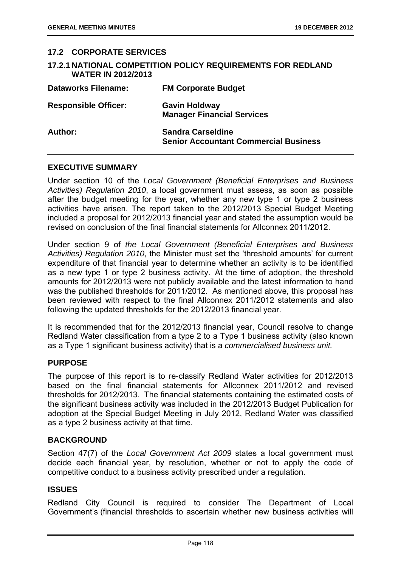| <b>17.2 CORPORATE SERVICES</b> |                                                                          |
|--------------------------------|--------------------------------------------------------------------------|
| <b>WATER IN 2012/2013</b>      | <b>17.2.1 NATIONAL COMPETITION POLICY REQUIREMENTS FOR REDLAND</b>       |
| <b>Dataworks Filename:</b>     | <b>FM Corporate Budget</b>                                               |
| <b>Responsible Officer:</b>    | <b>Gavin Holdway</b><br><b>Manager Financial Services</b>                |
| Author:                        | <b>Sandra Carseldine</b><br><b>Senior Accountant Commercial Business</b> |

## **EXECUTIVE SUMMARY**

Under section 10 of the *Local Government (Beneficial Enterprises and Business Activities) Regulation 2010*, a local government must assess, as soon as possible after the budget meeting for the year, whether any new type 1 or type 2 business activities have arisen. The report taken to the 2012/2013 Special Budget Meeting included a proposal for 2012/2013 financial year and stated the assumption would be revised on conclusion of the final financial statements for Allconnex 2011/2012.

Under section 9 of *the Local Government (Beneficial Enterprises and Business Activities) Regulation 2010*, the Minister must set the 'threshold amounts' for current expenditure of that financial year to determine whether an activity is to be identified as a new type 1 or type 2 business activity. At the time of adoption, the threshold amounts for 2012/2013 were not publicly available and the latest information to hand was the published thresholds for 2011/2012. As mentioned above, this proposal has been reviewed with respect to the final Allconnex 2011/2012 statements and also following the updated thresholds for the 2012/2013 financial year.

It is recommended that for the 2012/2013 financial year, Council resolve to change Redland Water classification from a type 2 to a Type 1 business activity (also known as a Type 1 significant business activity) that is a *commercialised business unit.*

#### **PURPOSE**

The purpose of this report is to re-classify Redland Water activities for 2012/2013 based on the final financial statements for Allconnex 2011/2012 and revised thresholds for 2012/2013. The financial statements containing the estimated costs of the significant business activity was included in the 2012/2013 Budget Publication for adoption at the Special Budget Meeting in July 2012, Redland Water was classified as a type 2 business activity at that time.

#### **BACKGROUND**

Section 47(7) of the *Local Government Act 2009* states a local government must decide each financial year, by resolution, whether or not to apply the code of competitive conduct to a business activity prescribed under a regulation.

## **ISSUES**

Redland City Council is required to consider The Department of Local Government's (financial thresholds to ascertain whether new business activities will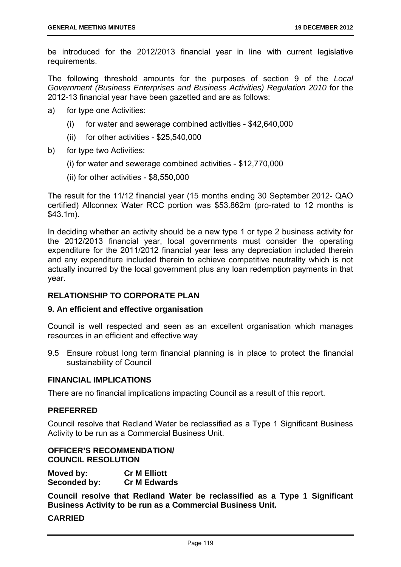be introduced for the 2012/2013 financial year in line with current legislative requirements.

The following threshold amounts for the purposes of section 9 of the *Local Government (Business Enterprises and Business Activities) Regulation 2010* for the 2012-13 financial year have been gazetted and are as follows:

- a) for type one Activities:
	- (i) for water and sewerage combined activities \$42,640,000
	- (ii) for other activities \$25,540,000
- b) for type two Activities:
	- (i) for water and sewerage combined activities \$12,770,000
	- (ii) for other activities \$8,550,000

The result for the 11/12 financial year (15 months ending 30 September 2012- QAO certified) Allconnex Water RCC portion was \$53.862m (pro-rated to 12 months is \$43.1m).

In deciding whether an activity should be a new type 1 or type 2 business activity for the 2012/2013 financial year, local governments must consider the operating expenditure for the 2011/2012 financial year less any depreciation included therein and any expenditure included therein to achieve competitive neutrality which is not actually incurred by the local government plus any loan redemption payments in that year.

## **RELATIONSHIP TO CORPORATE PLAN**

#### **9. An efficient and effective organisation**

Council is well respected and seen as an excellent organisation which manages resources in an efficient and effective way

9.5 Ensure robust long term financial planning is in place to protect the financial sustainability of Council

#### **FINANCIAL IMPLICATIONS**

There are no financial implications impacting Council as a result of this report.

#### **PREFERRED**

Council resolve that Redland Water be reclassified as a Type 1 Significant Business Activity to be run as a Commercial Business Unit.

## **OFFICER'S RECOMMENDATION/ COUNCIL RESOLUTION**

| Moved by:    | <b>Cr M Elliott</b> |
|--------------|---------------------|
| Seconded by: | <b>Cr M Edwards</b> |

**Council resolve that Redland Water be reclassified as a Type 1 Significant Business Activity to be run as a Commercial Business Unit.**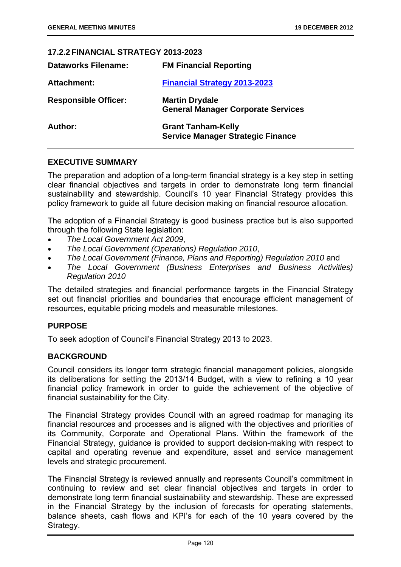## **17.2.2 FINANCIAL STRATEGY 2013-2023**

| <b>Dataworks Filename:</b>  | <b>FM Financial Reporting</b>                                         |
|-----------------------------|-----------------------------------------------------------------------|
| <b>Attachment:</b>          | <b>Financial Strategy 2013-2023</b>                                   |
| <b>Responsible Officer:</b> | <b>Martin Drydale</b><br><b>General Manager Corporate Services</b>    |
| Author:                     | <b>Grant Tanham-Kelly</b><br><b>Service Manager Strategic Finance</b> |

## **EXECUTIVE SUMMARY**

The preparation and adoption of a long-term financial strategy is a key step in setting clear financial objectives and targets in order to demonstrate long term financial sustainability and stewardship. Council's 10 year Financial Strategy provides this policy framework to guide all future decision making on financial resource allocation.

The adoption of a Financial Strategy is good business practice but is also supported through the following State legislation:

- *The Local Government Act 2009*,
- *The Local Government (Operations) Regulation 2010*,
- *The Local Government (Finance, Plans and Reporting) Regulation 2010* and
- *The Local Government (Business Enterprises and Business Activities) Regulation 2010*

The detailed strategies and financial performance targets in the Financial Strategy set out financial priorities and boundaries that encourage efficient management of resources, equitable pricing models and measurable milestones.

#### **PURPOSE**

To seek adoption of Council's Financial Strategy 2013 to 2023.

#### **BACKGROUND**

Council considers its longer term strategic financial management policies, alongside its deliberations for setting the 2013/14 Budget, with a view to refining a 10 year financial policy framework in order to guide the achievement of the objective of financial sustainability for the City.

The Financial Strategy provides Council with an agreed roadmap for managing its financial resources and processes and is aligned with the objectives and priorities of its Community, Corporate and Operational Plans. Within the framework of the Financial Strategy, guidance is provided to support decision-making with respect to capital and operating revenue and expenditure, asset and service management levels and strategic procurement.

The Financial Strategy is reviewed annually and represents Council's commitment in continuing to review and set clear financial objectives and targets in order to demonstrate long term financial sustainability and stewardship. These are expressed in the Financial Strategy by the inclusion of forecasts for operating statements, balance sheets, cash flows and KPI's for each of the 10 years covered by the Strategy.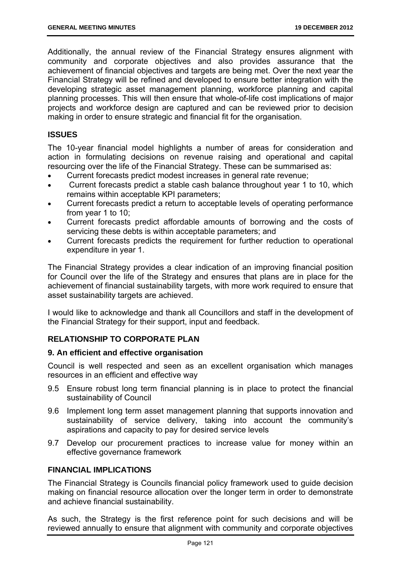Additionally, the annual review of the Financial Strategy ensures alignment with community and corporate objectives and also provides assurance that the achievement of financial objectives and targets are being met. Over the next year the Financial Strategy will be refined and developed to ensure better integration with the developing strategic asset management planning, workforce planning and capital planning processes. This will then ensure that whole-of-life cost implications of major projects and workforce design are captured and can be reviewed prior to decision making in order to ensure strategic and financial fit for the organisation.

## **ISSUES**

The 10-year financial model highlights a number of areas for consideration and action in formulating decisions on revenue raising and operational and capital resourcing over the life of the Financial Strategy. These can be summarised as:

- Current forecasts predict modest increases in general rate revenue;
- Current forecasts predict a stable cash balance throughout year 1 to 10, which remains within acceptable KPI parameters;
- Current forecasts predict a return to acceptable levels of operating performance from year 1 to 10;
- Current forecasts predict affordable amounts of borrowing and the costs of servicing these debts is within acceptable parameters; and
- Current forecasts predicts the requirement for further reduction to operational expenditure in year 1.

The Financial Strategy provides a clear indication of an improving financial position for Council over the life of the Strategy and ensures that plans are in place for the achievement of financial sustainability targets, with more work required to ensure that asset sustainability targets are achieved.

I would like to acknowledge and thank all Councillors and staff in the development of the Financial Strategy for their support, input and feedback.

## **RELATIONSHIP TO CORPORATE PLAN**

#### **9. An efficient and effective organisation**

Council is well respected and seen as an excellent organisation which manages resources in an efficient and effective way

- 9.5 Ensure robust long term financial planning is in place to protect the financial sustainability of Council
- 9.6 Implement long term asset management planning that supports innovation and sustainability of service delivery, taking into account the community's aspirations and capacity to pay for desired service levels
- 9.7 Develop our procurement practices to increase value for money within an effective governance framework

## **FINANCIAL IMPLICATIONS**

The Financial Strategy is Councils financial policy framework used to guide decision making on financial resource allocation over the longer term in order to demonstrate and achieve financial sustainability.

As such, the Strategy is the first reference point for such decisions and will be reviewed annually to ensure that alignment with community and corporate objectives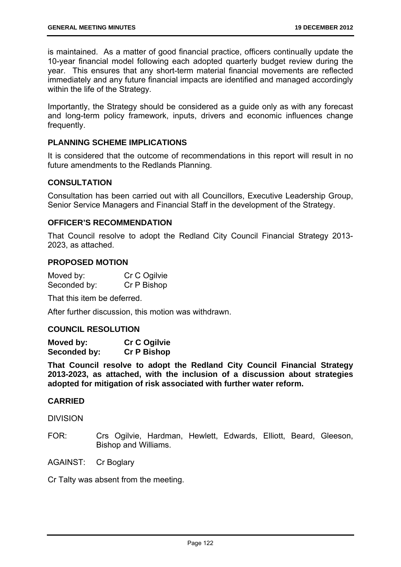is maintained. As a matter of good financial practice, officers continually update the 10-year financial model following each adopted quarterly budget review during the year. This ensures that any short-term material financial movements are reflected immediately and any future financial impacts are identified and managed accordingly within the life of the Strategy.

Importantly, the Strategy should be considered as a guide only as with any forecast and long-term policy framework, inputs, drivers and economic influences change frequently.

## **PLANNING SCHEME IMPLICATIONS**

It is considered that the outcome of recommendations in this report will result in no future amendments to the Redlands Planning.

#### **CONSULTATION**

Consultation has been carried out with all Councillors, Executive Leadership Group, Senior Service Managers and Financial Staff in the development of the Strategy.

#### **OFFICER'S RECOMMENDATION**

That Council resolve to adopt the Redland City Council Financial Strategy 2013- 2023, as attached.

#### **PROPOSED MOTION**

Moved by: Cr C Ogilvie Seconded by: Cr P Bishop

That this item be deferred.

After further discussion, this motion was withdrawn.

#### **COUNCIL RESOLUTION**

| Moved by:    | <b>Cr C Ogilvie</b> |
|--------------|---------------------|
| Seconded by: | <b>Cr P Bishop</b>  |

**That Council resolve to adopt the Redland City Council Financial Strategy 2013-2023, as attached, with the inclusion of a discussion about strategies adopted for mitigation of risk associated with further water reform.** 

#### **CARRIED**

**DIVISION** 

FOR: Crs Ogilvie, Hardman, Hewlett, Edwards, Elliott, Beard, Gleeson, Bishop and Williams.

AGAINST: Cr Boglary

Cr Talty was absent from the meeting.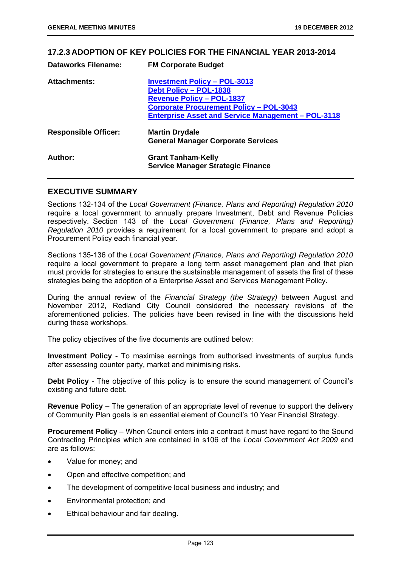#### **17.2.3 ADOPTION OF KEY POLICIES FOR THE FINANCIAL YEAR 2013-2014**

| <b>Dataworks Filename:</b>  | <b>FM Corporate Budget</b>                                |
|-----------------------------|-----------------------------------------------------------|
| <b>Attachments:</b>         | <b>Investment Policy - POL-3013</b>                       |
|                             | <b>Debt Policy - POL-1838</b>                             |
|                             | <b>Revenue Policy - POL-1837</b>                          |
|                             | <b>Corporate Procurement Policy - POL-3043</b>            |
|                             | <b>Enterprise Asset and Service Management - POL-3118</b> |
| <b>Responsible Officer:</b> | <b>Martin Drydale</b>                                     |
|                             | <b>General Manager Corporate Services</b>                 |
| Author:                     | <b>Grant Tanham-Kelly</b>                                 |
|                             | <b>Service Manager Strategic Finance</b>                  |

#### **EXECUTIVE SUMMARY**

Sections 132-134 of the *Local Government (Finance, Plans and Reporting) Regulation 2010* require a local government to annually prepare Investment, Debt and Revenue Policies respectively. Section 143 of the *Local Government (Finance, Plans and Reporting) Regulation 2010* provides a requirement for a local government to prepare and adopt a Procurement Policy each financial year.

Sections 135-136 of the *Local Government (Finance, Plans and Reporting) Regulation 2010* require a local government to prepare a long term asset management plan and that plan must provide for strategies to ensure the sustainable management of assets the first of these strategies being the adoption of a Enterprise Asset and Services Management Policy.

During the annual review of the *Financial Strategy (the Strategy)* between August and November 2012, Redland City Council considered the necessary revisions of the aforementioned policies. The policies have been revised in line with the discussions held during these workshops.

The policy objectives of the five documents are outlined below:

**Investment Policy** - To maximise earnings from authorised investments of surplus funds after assessing counter party, market and minimising risks.

**Debt Policy** - The objective of this policy is to ensure the sound management of Council's existing and future debt.

**Revenue Policy** – The generation of an appropriate level of revenue to support the delivery of Community Plan goals is an essential element of Council's 10 Year Financial Strategy.

**Procurement Policy** – When Council enters into a contract it must have regard to the Sound Contracting Principles which are contained in s106 of the *Local Government Act 2009* and are as follows:

- Value for money; and
- Open and effective competition; and
- The development of competitive local business and industry; and
- Environmental protection; and
- Ethical behaviour and fair dealing.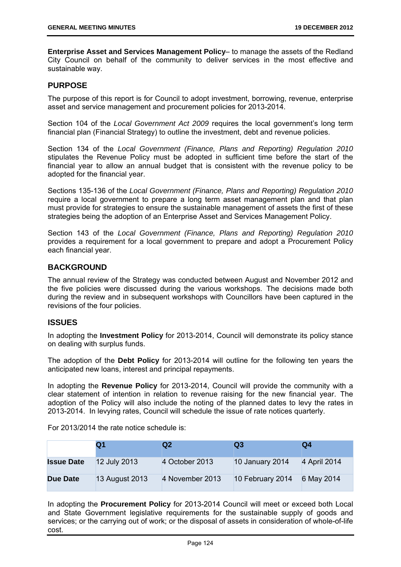**Enterprise Asset and Services Management Policy**– to manage the assets of the Redland City Council on behalf of the community to deliver services in the most effective and sustainable way.

#### **PURPOSE**

The purpose of this report is for Council to adopt investment, borrowing, revenue, enterprise asset and service management and procurement policies for 2013-2014.

Section 104 of the *Local Government Act 2009* requires the local government's long term financial plan (Financial Strategy) to outline the investment, debt and revenue policies.

Section 134 of the *Local Government (Finance, Plans and Reporting) Regulation 2010* stipulates the Revenue Policy must be adopted in sufficient time before the start of the financial year to allow an annual budget that is consistent with the revenue policy to be adopted for the financial year.

Sections 135-136 of the *Local Government (Finance, Plans and Reporting) Regulation 2010* require a local government to prepare a long term asset management plan and that plan must provide for strategies to ensure the sustainable management of assets the first of these strategies being the adoption of an Enterprise Asset and Services Management Policy.

Section 143 of the *Local Government (Finance, Plans and Reporting) Regulation 2010* provides a requirement for a local government to prepare and adopt a Procurement Policy each financial year.

## **BACKGROUND**

The annual review of the Strategy was conducted between August and November 2012 and the five policies were discussed during the various workshops. The decisions made both during the review and in subsequent workshops with Councillors have been captured in the revisions of the four policies.

## **ISSUES**

In adopting the **Investment Policy** for 2013-2014, Council will demonstrate its policy stance on dealing with surplus funds.

The adoption of the **Debt Policy** for 2013-2014 will outline for the following ten years the anticipated new loans, interest and principal repayments.

In adopting the **Revenue Policy** for 2013-2014, Council will provide the community with a clear statement of intention in relation to revenue raising for the new financial year. The adoption of the Policy will also include the noting of the planned dates to levy the rates in 2013-2014. In levying rates, Council will schedule the issue of rate notices quarterly.

For 2013/2014 the rate notice schedule is:

|                   | Q1             | Q2              | Q3               | Q4           |
|-------------------|----------------|-----------------|------------------|--------------|
| <b>Issue Date</b> | 12 July 2013   | 4 October 2013  | 10 January 2014  | 4 April 2014 |
| Due Date          | 13 August 2013 | 4 November 2013 | 10 February 2014 | 6 May 2014   |

In adopting the **Procurement Policy** for 2013-2014 Council will meet or exceed both Local and State Government legislative requirements for the sustainable supply of goods and services; or the carrying out of work; or the disposal of assets in consideration of whole-of-life cost.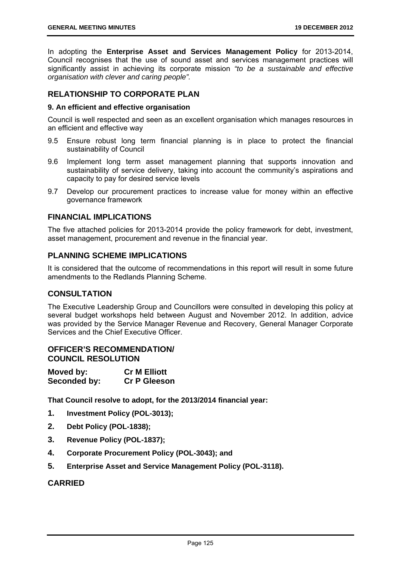In adopting the **Enterprise Asset and Services Management Policy** for 2013-2014, Council recognises that the use of sound asset and services management practices will significantly assist in achieving its corporate mission *"to be a sustainable and effective organisation with clever and caring people".*

## **RELATIONSHIP TO CORPORATE PLAN**

#### **9. An efficient and effective organisation**

Council is well respected and seen as an excellent organisation which manages resources in an efficient and effective way

- 9.5 Ensure robust long term financial planning is in place to protect the financial sustainability of Council
- 9.6 Implement long term asset management planning that supports innovation and sustainability of service delivery, taking into account the community's aspirations and capacity to pay for desired service levels
- 9.7 Develop our procurement practices to increase value for money within an effective governance framework

#### **FINANCIAL IMPLICATIONS**

The five attached policies for 2013-2014 provide the policy framework for debt, investment, asset management, procurement and revenue in the financial year.

## **PLANNING SCHEME IMPLICATIONS**

It is considered that the outcome of recommendations in this report will result in some future amendments to the Redlands Planning Scheme.

#### **CONSULTATION**

The Executive Leadership Group and Councillors were consulted in developing this policy at several budget workshops held between August and November 2012. In addition, advice was provided by the Service Manager Revenue and Recovery, General Manager Corporate Services and the Chief Executive Officer.

## **OFFICER'S RECOMMENDATION/ COUNCIL RESOLUTION**

| Moved by:    | <b>Cr M Elliott</b> |
|--------------|---------------------|
| Seconded by: | <b>Cr P Gleeson</b> |

**That Council resolve to adopt, for the 2013/2014 financial year:** 

- **1. Investment Policy (POL-3013);**
- **2. Debt Policy (POL-1838);**
- **3. Revenue Policy (POL-1837);**
- **4. Corporate Procurement Policy (POL-3043); and**
- **5. Enterprise Asset and Service Management Policy (POL-3118).**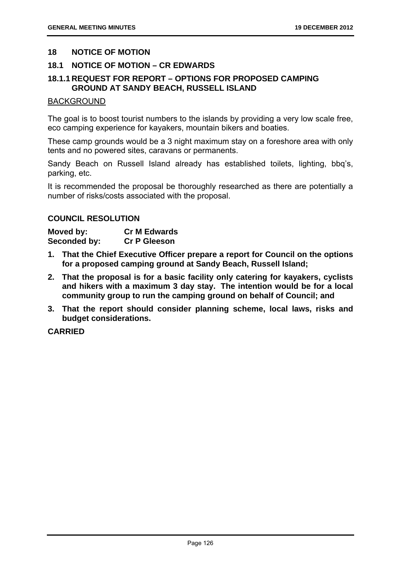#### **18 NOTICE OF MOTION**

## **18.1 NOTICE OF MOTION – CR EDWARDS**

## **18.1.1 REQUEST FOR REPORT – OPTIONS FOR PROPOSED CAMPING GROUND AT SANDY BEACH, RUSSELL ISLAND**

#### BACKGROUND

The goal is to boost tourist numbers to the islands by providing a very low scale free, eco camping experience for kayakers, mountain bikers and boaties.

These camp grounds would be a 3 night maximum stay on a foreshore area with only tents and no powered sites, caravans or permanents.

Sandy Beach on Russell Island already has established toilets, lighting, bbq's, parking, etc.

It is recommended the proposal be thoroughly researched as there are potentially a number of risks/costs associated with the proposal.

## **COUNCIL RESOLUTION**

| Moved by:    | <b>Cr M Edwards</b> |
|--------------|---------------------|
| Seconded by: | <b>Cr P Gleeson</b> |

- **1. That the Chief Executive Officer prepare a report for Council on the options for a proposed camping ground at Sandy Beach, Russell Island;**
- **2. That the proposal is for a basic facility only catering for kayakers, cyclists and hikers with a maximum 3 day stay. The intention would be for a local community group to run the camping ground on behalf of Council; and**
- **3. That the report should consider planning scheme, local laws, risks and budget considerations.**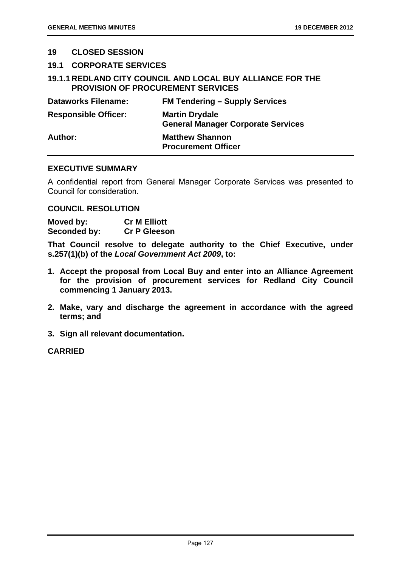#### **19 CLOSED SESSION**

#### **19.1 CORPORATE SERVICES**

## **19.1.1 REDLAND CITY COUNCIL AND LOCAL BUY ALLIANCE FOR THE PROVISION OF PROCUREMENT SERVICES**

| <b>Dataworks Filename:</b>  | <b>FM Tendering – Supply Services</b>                              |
|-----------------------------|--------------------------------------------------------------------|
| <b>Responsible Officer:</b> | <b>Martin Drydale</b><br><b>General Manager Corporate Services</b> |
| Author:                     | <b>Matthew Shannon</b><br><b>Procurement Officer</b>               |

## **EXECUTIVE SUMMARY**

A confidential report from General Manager Corporate Services was presented to Council for consideration.

#### **COUNCIL RESOLUTION**

**Moved by: Cr M Elliott Seconded by: Cr P Gleeson** 

**That Council resolve to delegate authority to the Chief Executive, under s.257(1)(b) of the** *Local Government Act 2009***, to:** 

- **1. Accept the proposal from Local Buy and enter into an Alliance Agreement for the provision of procurement services for Redland City Council commencing 1 January 2013.**
- **2. Make, vary and discharge the agreement in accordance with the agreed terms; and**
- **3. Sign all relevant documentation.**